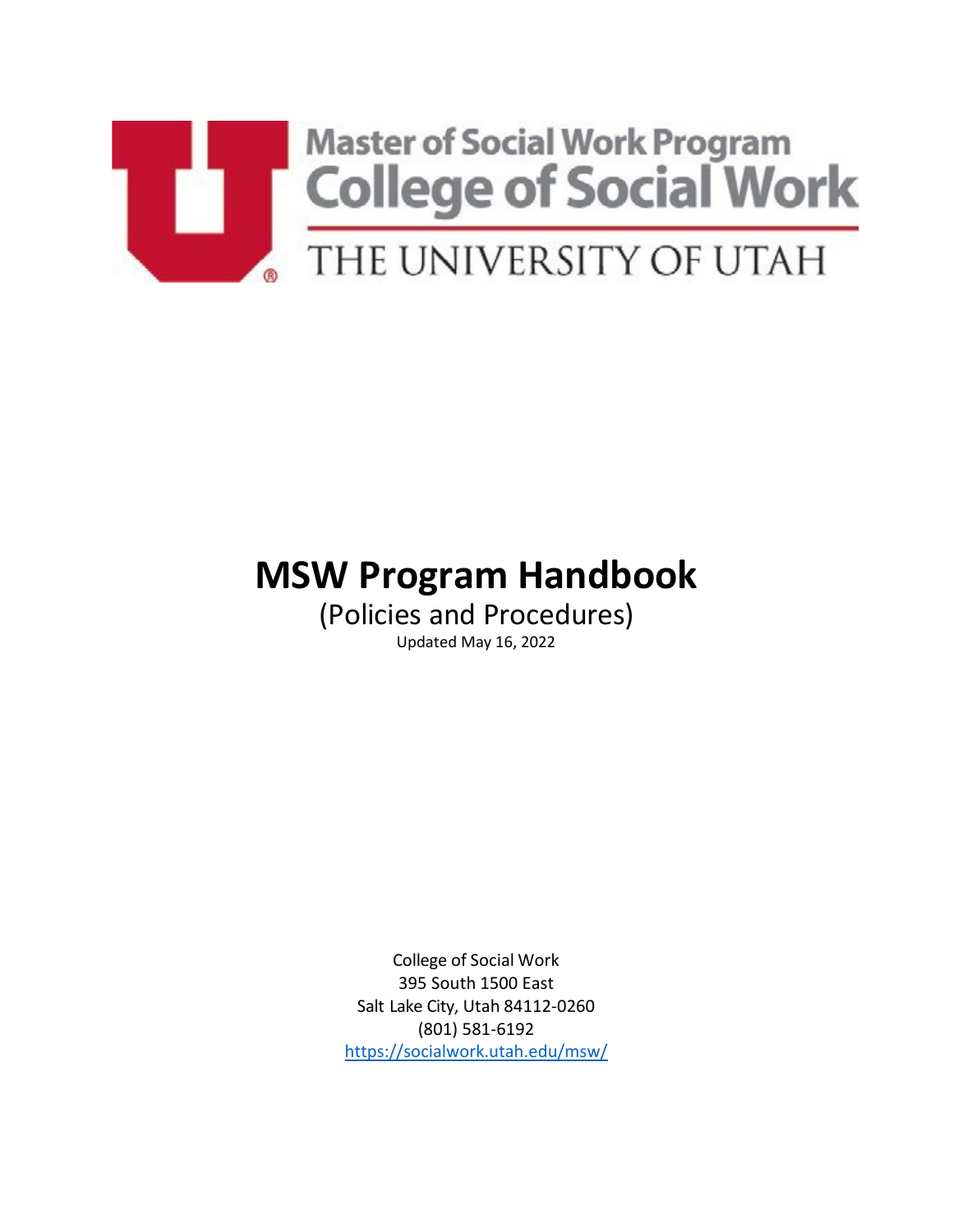

# **MSW Program Handbook**

(Policies and Procedures) Updated May 16, 2022

College of Social Work 395 South 1500 East Salt Lake City, Utah 84112-0260 (801) 581-6192 <https://socialwork.utah.edu/msw/>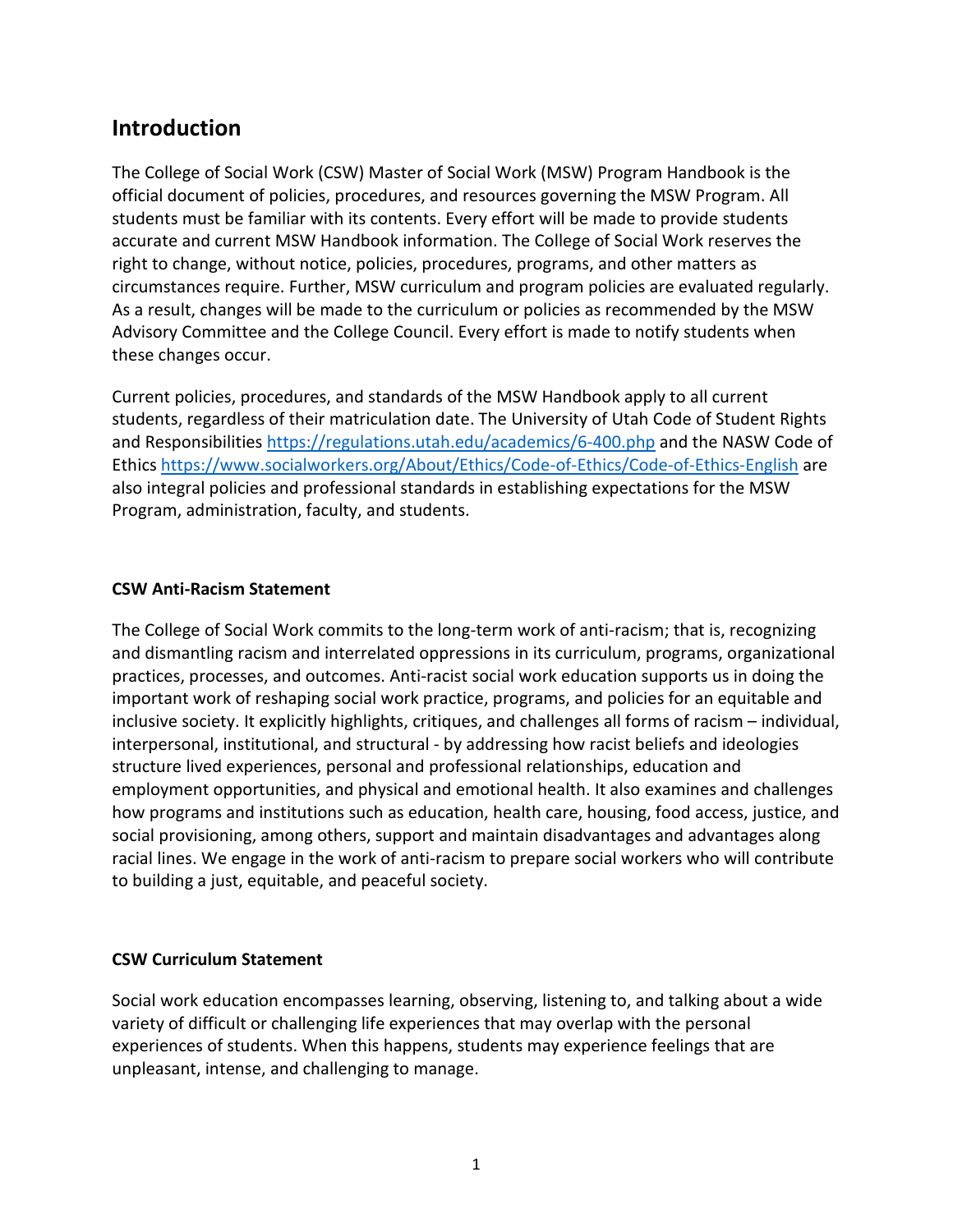# **Introduction**

The College of Social Work (CSW) Master of Social Work (MSW) Program Handbook is the official document of policies, procedures, and resources governing the MSW Program. All students must be familiar with its contents. Every effort will be made to provide students accurate and current MSW Handbook information. The College of Social Work reserves the right to change, without notice, policies, procedures, programs, and other matters as circumstances require. Further, MSW curriculum and program policies are evaluated regularly. As a result, changes will be made to the curriculum or policies as recommended by the MSW Advisory Committee and the College Council. Every effort is made to notify students when these changes occur.

Current policies, procedures, and standards of the MSW Handbook apply to all current students, regardless of their matriculation date. The [University of Utah Code](https://regulations.utah.edu/academics/6-400.php) of Student Rights [and Responsibilities](https://regulations.utah.edu/academics/6-400.php) <https://regulations.utah.edu/academics/6-400.php> and the NASW Code of Ethics<https://www.socialworkers.org/About/Ethics/Code-of-Ethics/Code-of-Ethics-English> are also integral policies and professional standards in establishing expectations for the MSW Program, administration, faculty, and students.

#### **CSW Anti-Racism Statement**

The College of Social Work commits to the long-term work of anti-racism; that is, recognizing and dismantling racism and interrelated oppressions in its curriculum, programs, organizational practices, processes, and outcomes. Anti-racist social work education supports us in doing the important work of reshaping social work practice, programs, and policies for an equitable and inclusive society. It explicitly highlights, critiques, and challenges all forms of racism – individual, interpersonal, institutional, and structural - by addressing how racist beliefs and ideologies structure lived experiences, personal and professional relationships, education and employment opportunities, and physical and emotional health. It also examines and challenges how programs and institutions such as education, health care, housing, food access, justice, and social provisioning, among others, support and maintain disadvantages and advantages along racial lines. We engage in the work of anti-racism to prepare social workers who will contribute to building a just, equitable, and peaceful society.

#### **CSW Curriculum Statement**

Social work education encompasses learning, observing, listening to, and talking about a wide variety of difficult or challenging life experiences that may overlap with the personal experiences of students. When this happens, students may experience feelings that are unpleasant, intense, and challenging to manage.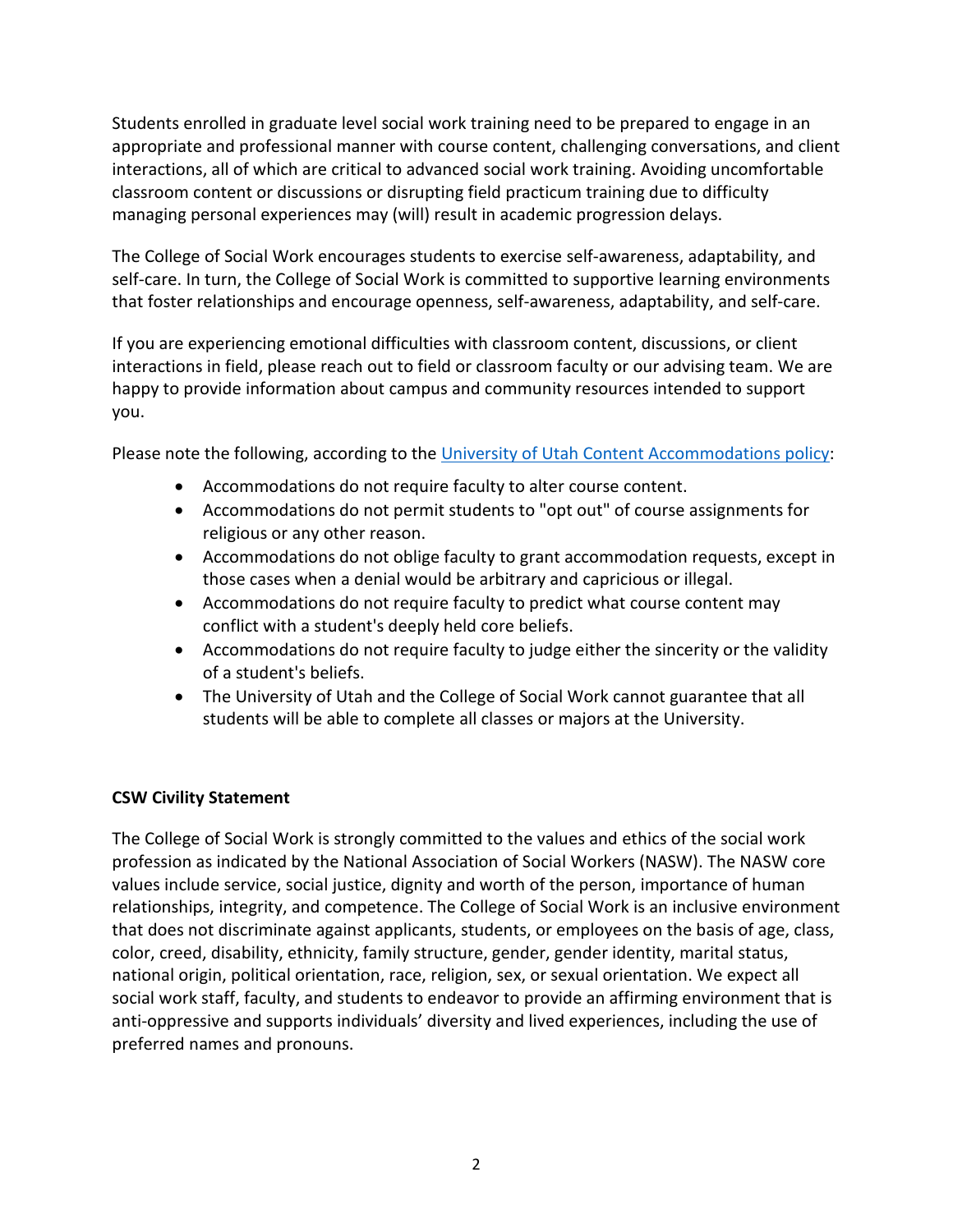Students enrolled in graduate level social work training need to be prepared to engage in an appropriate and professional manner with course content, challenging conversations, and client interactions, all of which are critical to advanced social work training. Avoiding uncomfortable classroom content or discussions or disrupting field practicum training due to difficulty managing personal experiences may (will) result in academic progression delays.

The College of Social Work encourages students to exercise self-awareness, adaptability, and self-care. In turn, the College of Social Work is committed to supportive learning environments that foster relationships and encourage openness, self-awareness, adaptability, and self-care.

If you are experiencing emotional difficulties with classroom content, discussions, or client interactions in field, please reach out to field or classroom faculty or our advising team. We are happy to provide information about campus and community resources intended to support you.

Please note the following, according to the [University of Utah Content Accommodations policy:](https://academic-affairs.utah.edu/wp-content/uploads/sites/18/2015/03/accommodations-policy-background.pdf)

- Accommodations do not require faculty to alter course content.
- Accommodations do not permit students to "opt out" of course assignments for religious or any other reason.
- Accommodations do not oblige faculty to grant accommodation requests, except in those cases when a denial would be arbitrary and capricious or illegal.
- Accommodations do not require faculty to predict what course content may conflict with a student's deeply held core beliefs.
- Accommodations do not require faculty to judge either the sincerity or the validity of a student's beliefs.
- The University of Utah and the College of Social Work cannot guarantee that all students will be able to complete all classes or majors at the University.

### **CSW Civility Statement**

The College of Social Work is strongly committed to the values and ethics of the social work profession as indicated by the National Association of Social Workers (NASW). The NASW core values include service, social justice, dignity and worth of the person, importance of human relationships, integrity, and competence. The College of Social Work is an inclusive environment that does not discriminate against applicants, students, or employees on the basis of age, class, color, creed, disability, ethnicity, family structure, gender, gender identity, marital status, national origin, political orientation, race, religion, sex, or sexual orientation. We expect all social work staff, faculty, and students to endeavor to provide an affirming environment that is anti-oppressive and supports individuals' diversity and lived experiences, including the use of preferred names and pronouns.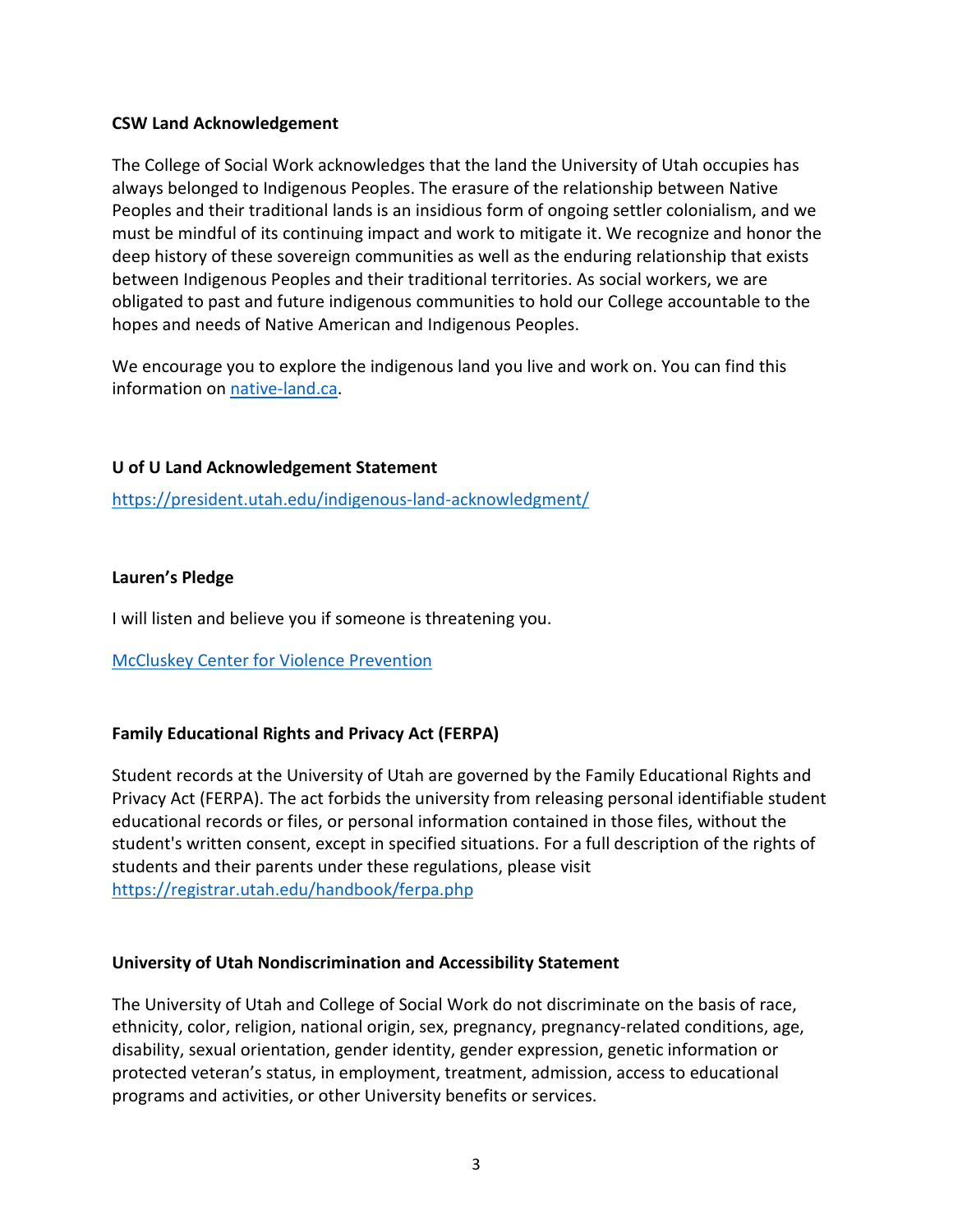#### **CSW Land Acknowledgement**

The College of Social Work acknowledges that the land the University of Utah occupies has always belonged to Indigenous Peoples. The erasure of the relationship between Native Peoples and their traditional lands is an insidious form of ongoing settler colonialism, and we must be mindful of its continuing impact and work to mitigate it. We recognize and honor the deep history of these sovereign communities as well as the enduring relationship that exists between Indigenous Peoples and their traditional territories. As social workers, we are obligated to past and future indigenous communities to hold our College accountable to the hopes and needs of Native American and Indigenous Peoples.

We encourage you to explore the indigenous land you live and work on. You can find this information on [native-land.ca.](https://native-land.ca/)

#### **U of U Land Acknowledgement Statement**

<https://president.utah.edu/indigenous-land-acknowledgment/>

#### **Lauren's Pledge**

I will listen and believe you if someone is threatening you.

[McCluskey Center for Violence Prevention](https://violenceprevention.utah.edu/)

### **Family Educational Rights and Privacy Act (FERPA)**

Student records at the University of Utah are governed by the Family Educational Rights and Privacy Act (FERPA). The act forbids the university from releasing personal identifiable student educational records or files, or personal information contained in those files, without the student's written consent, except in specified situations. For a full description of the rights of students and their parents under these regulations, please visit <https://registrar.utah.edu/handbook/ferpa.php>

#### **University of Utah Nondiscrimination and Accessibility Statement**

The University of Utah and College of Social Work do not discriminate on the basis of race, ethnicity, color, religion, national origin, sex, pregnancy, pregnancy-related conditions, age, disability, sexual orientation, gender identity, gender expression, genetic information or protected veteran's status, in employment, treatment, admission, access to educational programs and activities, or other University benefits or services.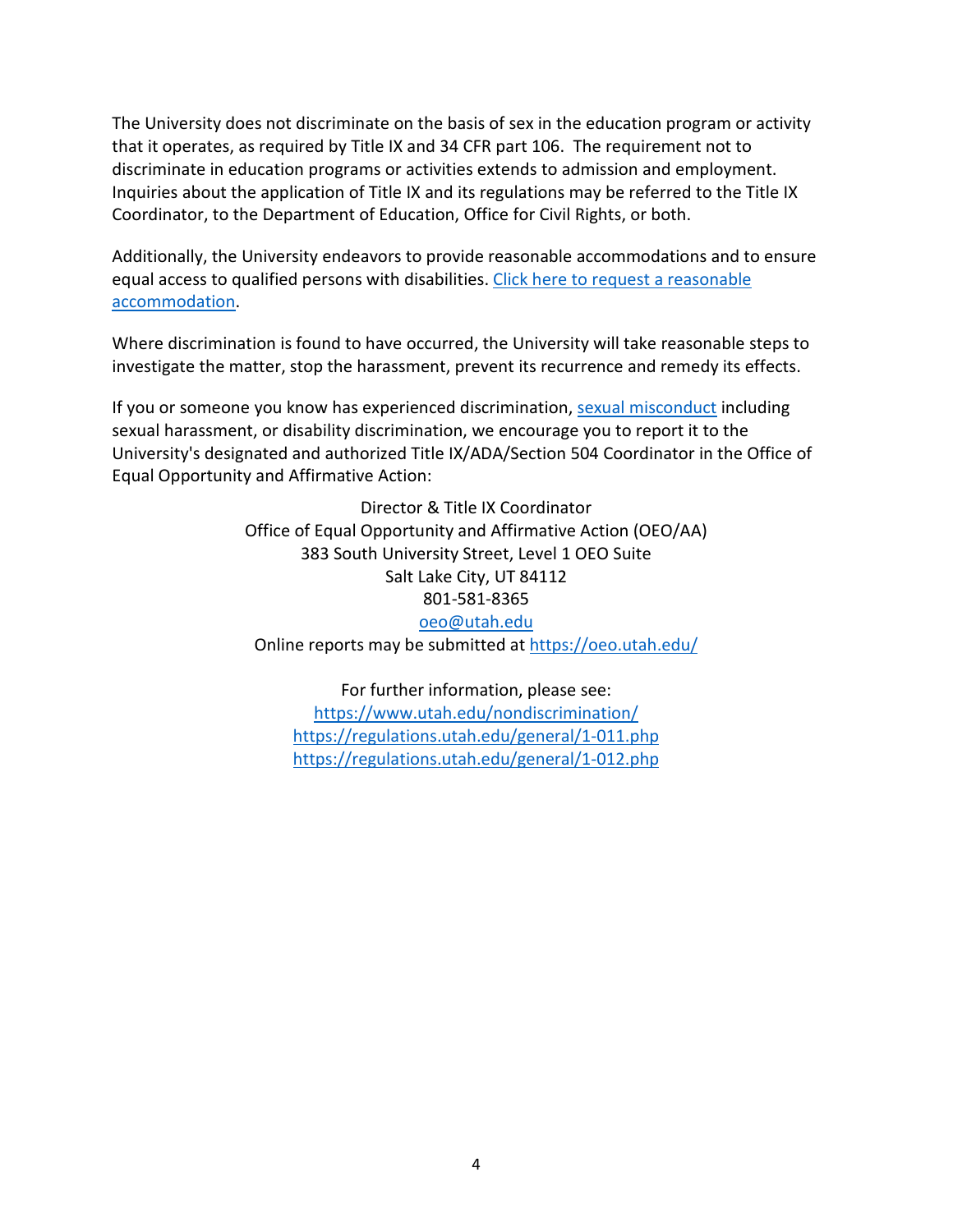The University does not discriminate on the basis of sex in the education program or activity that it operates, as required by Title IX and 34 CFR part 106. The requirement not to discriminate in education programs or activities extends to admission and employment. Inquiries about the application of Title IX and its regulations may be referred to the Title IX Coordinator, to the Department of Education, Office for Civil Rights, or both.

Additionally, the University endeavors to provide reasonable accommodations and to ensure equal access to qualified persons with disabilities. Click here to request a reasonable [accommodation.](https://oeo.utah.edu/how-can-we-help/disability-access.php)

Where discrimination is found to have occurred, the University will take reasonable steps to investigate the matter, stop the harassment, prevent its recurrence and remedy its effects.

If you or someone you know has experienced discrimination, [sexual misconduct](https://oeo.utah.edu/how-can-we-help/sexual-misconduct.php) including sexual harassment, or disability discrimination, we encourage you to report it to the University's designated and authorized Title IX/ADA/Section 504 Coordinator in the Office of Equal Opportunity and Affirmative Action:

> Director & Title IX Coordinator Office of Equal Opportunity and Affirmative Action (OEO/AA) 383 South University Street, Level 1 OEO Suite Salt Lake City, UT 84112 801-581-8365 [oeo@utah.edu](mailto:oeo@utah.edu) Online reports may be submitted at<https://oeo.utah.edu/>

For further information, please see: <https://www.utah.edu/nondiscrimination/> <https://regulations.utah.edu/general/1-011.php> <https://regulations.utah.edu/general/1-012.php>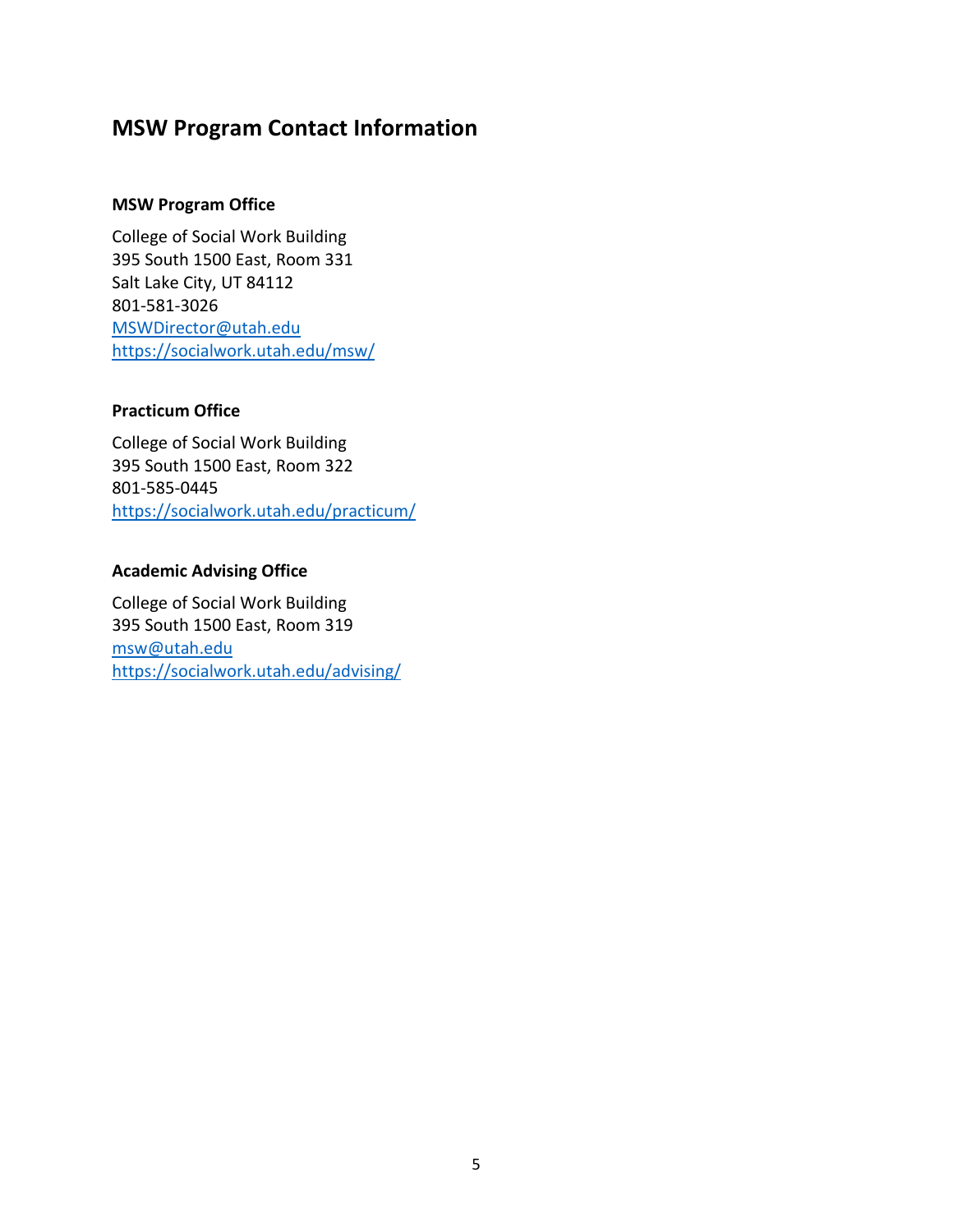# **MSW Program Contact Information**

#### **MSW Program Office**

College of Social Work Building 395 South 1500 East, Room 331 Salt Lake City, UT 84112 801-581-3026 [MSWDirector@utah.edu](mailto:MSWDirector@utah.edu) <https://socialwork.utah.edu/msw/>

#### **Practicum Office**

College of Social Work Building 395 South 1500 East, Room 322 801-585-0445 <https://socialwork.utah.edu/practicum/>

### **Academic Advising Office**

College of Social Work Building 395 South 1500 East, Room 319 [msw@utah.edu](mailto:msw@utah.edu) <https://socialwork.utah.edu/advising/>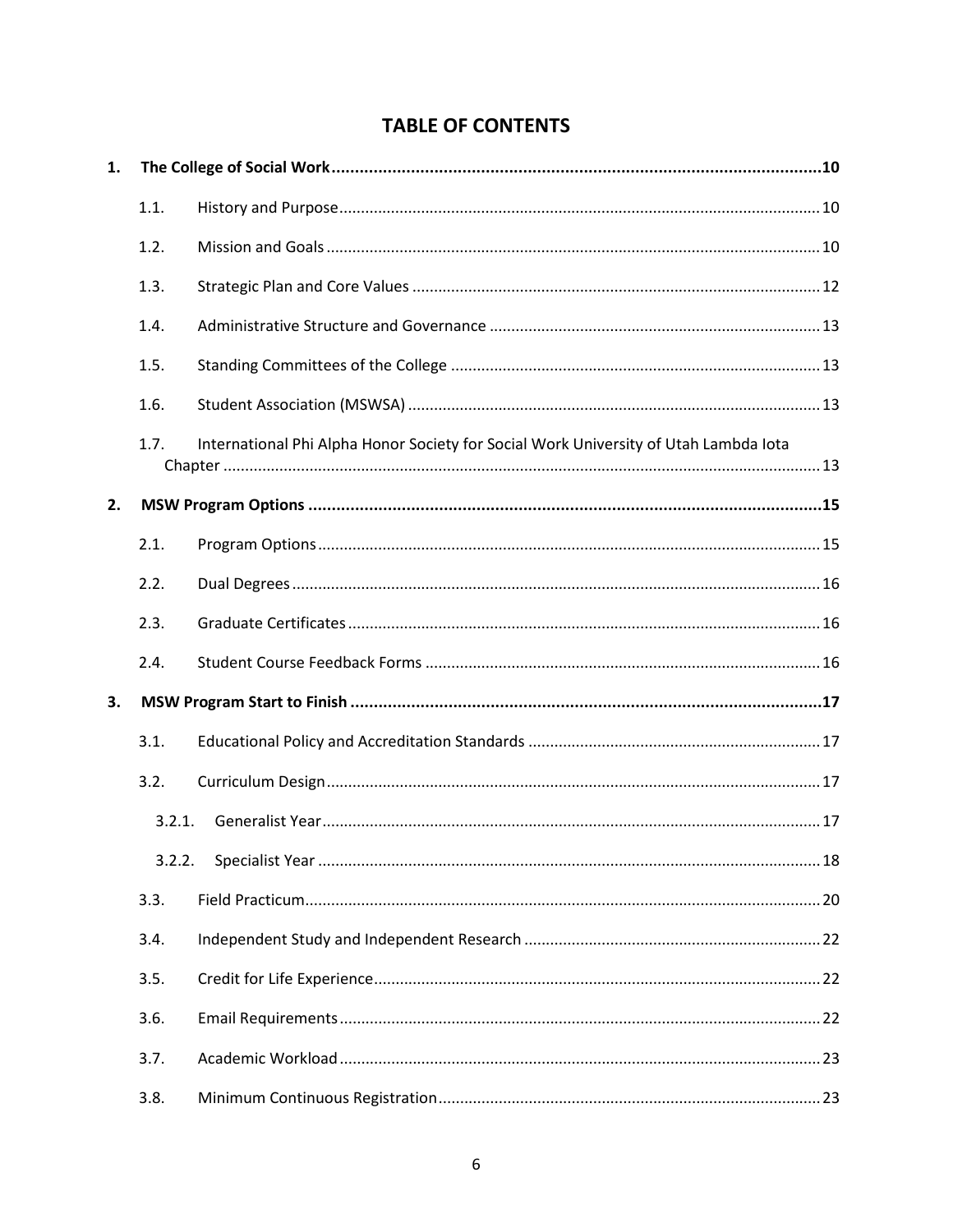# **TABLE OF CONTENTS**

| 1. |        |                                                                                      |  |
|----|--------|--------------------------------------------------------------------------------------|--|
|    | 1.1.   |                                                                                      |  |
|    | 1.2.   |                                                                                      |  |
|    | 1.3.   |                                                                                      |  |
|    | 1.4.   |                                                                                      |  |
|    | 1.5.   |                                                                                      |  |
|    | 1.6.   |                                                                                      |  |
|    | 1.7.   | International Phi Alpha Honor Society for Social Work University of Utah Lambda lota |  |
| 2. |        |                                                                                      |  |
|    | 2.1.   |                                                                                      |  |
|    | 2.2.   |                                                                                      |  |
|    | 2.3.   |                                                                                      |  |
|    | 2.4.   |                                                                                      |  |
| 3. |        |                                                                                      |  |
|    | 3.1.   |                                                                                      |  |
|    | 3.2.   |                                                                                      |  |
|    | 3.2.1. |                                                                                      |  |
|    | 3.2.2. |                                                                                      |  |
|    | 3.3.   |                                                                                      |  |
|    | 3.4.   |                                                                                      |  |
|    | 3.5.   |                                                                                      |  |
|    | 3.6.   |                                                                                      |  |
|    | 3.7.   |                                                                                      |  |
|    | 3.8.   |                                                                                      |  |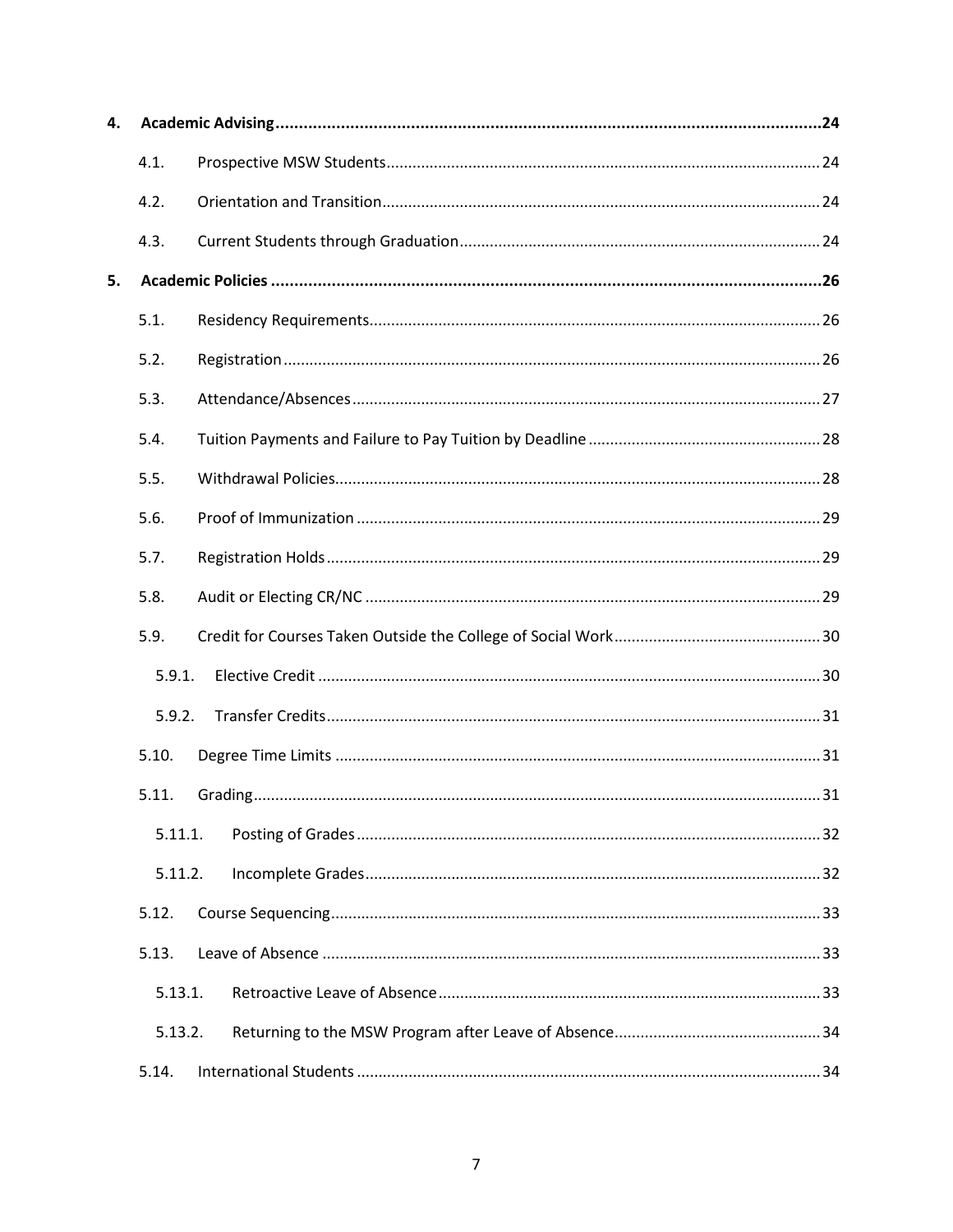| 4. |         |  |
|----|---------|--|
|    | 4.1.    |  |
|    | 4.2.    |  |
|    | 4.3.    |  |
| 5. |         |  |
|    | 5.1.    |  |
|    | 5.2.    |  |
|    | 5.3.    |  |
|    | 5.4.    |  |
|    | 5.5.    |  |
|    | 5.6.    |  |
|    | 5.7.    |  |
|    | 5.8.    |  |
|    | 5.9.    |  |
|    | 5.9.1.  |  |
|    | 5.9.2.  |  |
|    | 5.10.   |  |
|    | 5.11.   |  |
|    | 5.11.1. |  |
|    | 5.11.2. |  |
|    | 5.12.   |  |
|    | 5.13.   |  |
|    | 5.13.1. |  |
|    | 5.13.2. |  |
|    | 5.14.   |  |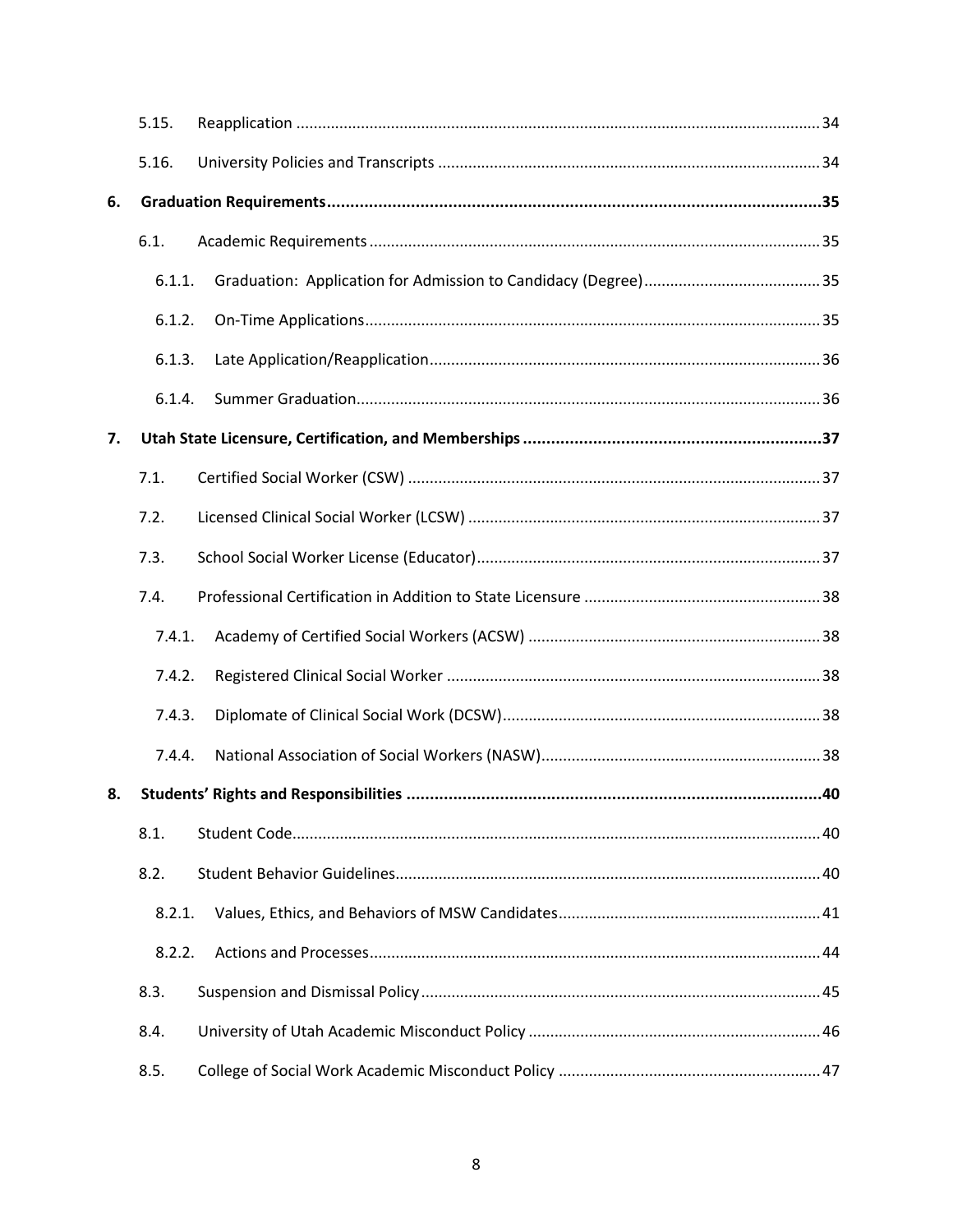|    | 5.15.  |  |
|----|--------|--|
|    | 5.16.  |  |
| 6. |        |  |
|    | 6.1.   |  |
|    | 6.1.1. |  |
|    | 6.1.2. |  |
|    | 6.1.3. |  |
|    | 6.1.4. |  |
| 7. |        |  |
|    | 7.1.   |  |
|    | 7.2.   |  |
|    | 7.3.   |  |
|    | 7.4.   |  |
|    | 7.4.1. |  |
|    | 7.4.2. |  |
|    | 7.4.3. |  |
|    | 7.4.4. |  |
| 8. |        |  |
|    | 8.1.   |  |
|    | 8.2.   |  |
|    | 8.2.1. |  |
|    | 8.2.2. |  |
|    | 8.3.   |  |
|    | 8.4.   |  |
|    | 8.5.   |  |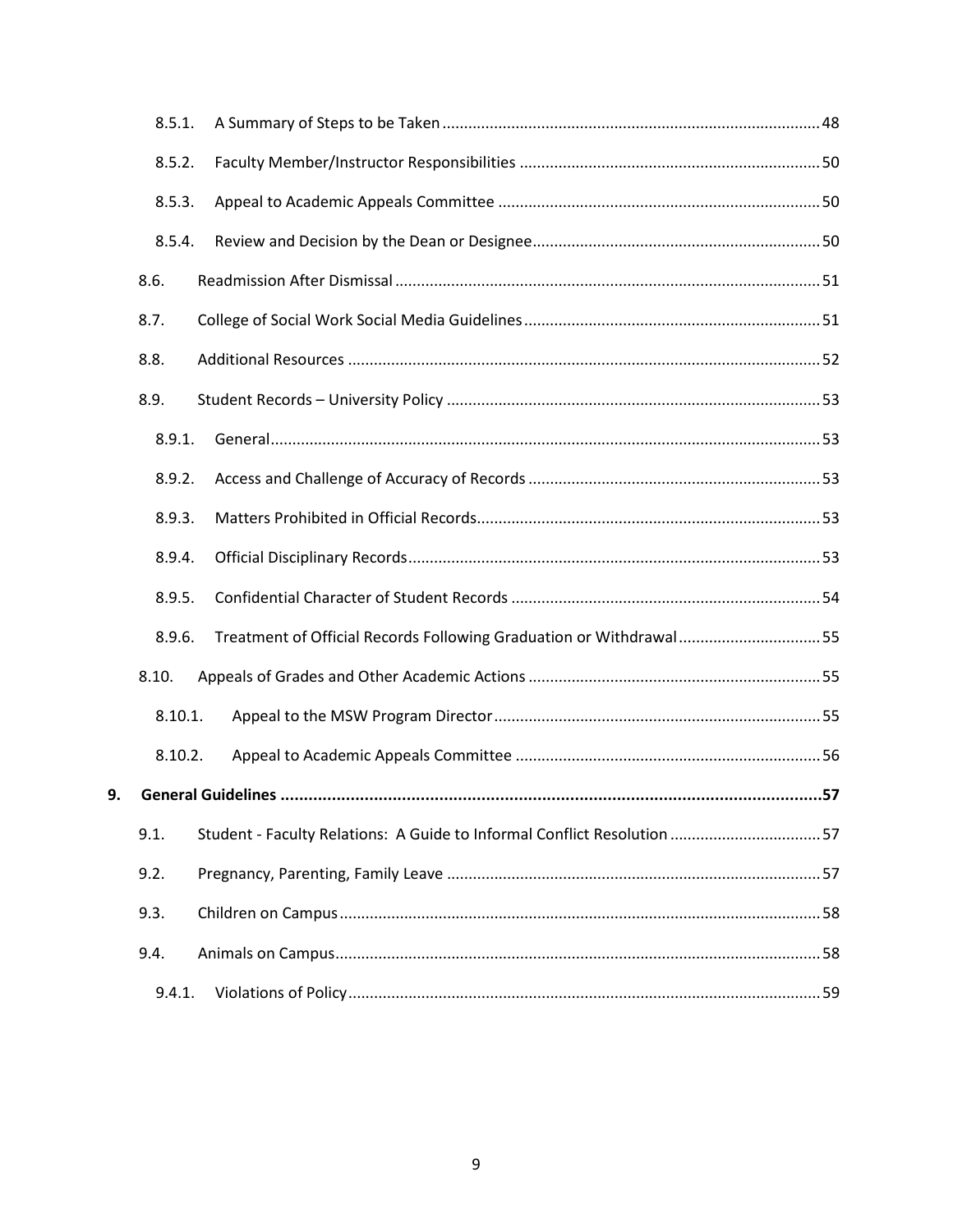| 8.5.1.  |                                                                          |  |
|---------|--------------------------------------------------------------------------|--|
| 8.5.2.  |                                                                          |  |
| 8.5.3.  |                                                                          |  |
| 8.5.4.  |                                                                          |  |
| 8.6.    |                                                                          |  |
| 8.7.    |                                                                          |  |
| 8.8.    |                                                                          |  |
| 8.9.    |                                                                          |  |
| 8.9.1.  |                                                                          |  |
| 8.9.2.  |                                                                          |  |
| 8.9.3.  |                                                                          |  |
| 8.9.4.  |                                                                          |  |
| 8.9.5.  |                                                                          |  |
| 8.9.6.  | Treatment of Official Records Following Graduation or Withdrawal55       |  |
| 8.10.   |                                                                          |  |
| 8.10.1. |                                                                          |  |
| 8.10.2. |                                                                          |  |
|         |                                                                          |  |
| 9.1.    | Student - Faculty Relations: A Guide to Informal Conflict Resolution  57 |  |
| 9.2.    |                                                                          |  |
| 9.3.    |                                                                          |  |
| 9.4.    |                                                                          |  |
| 9.4.1.  |                                                                          |  |

9.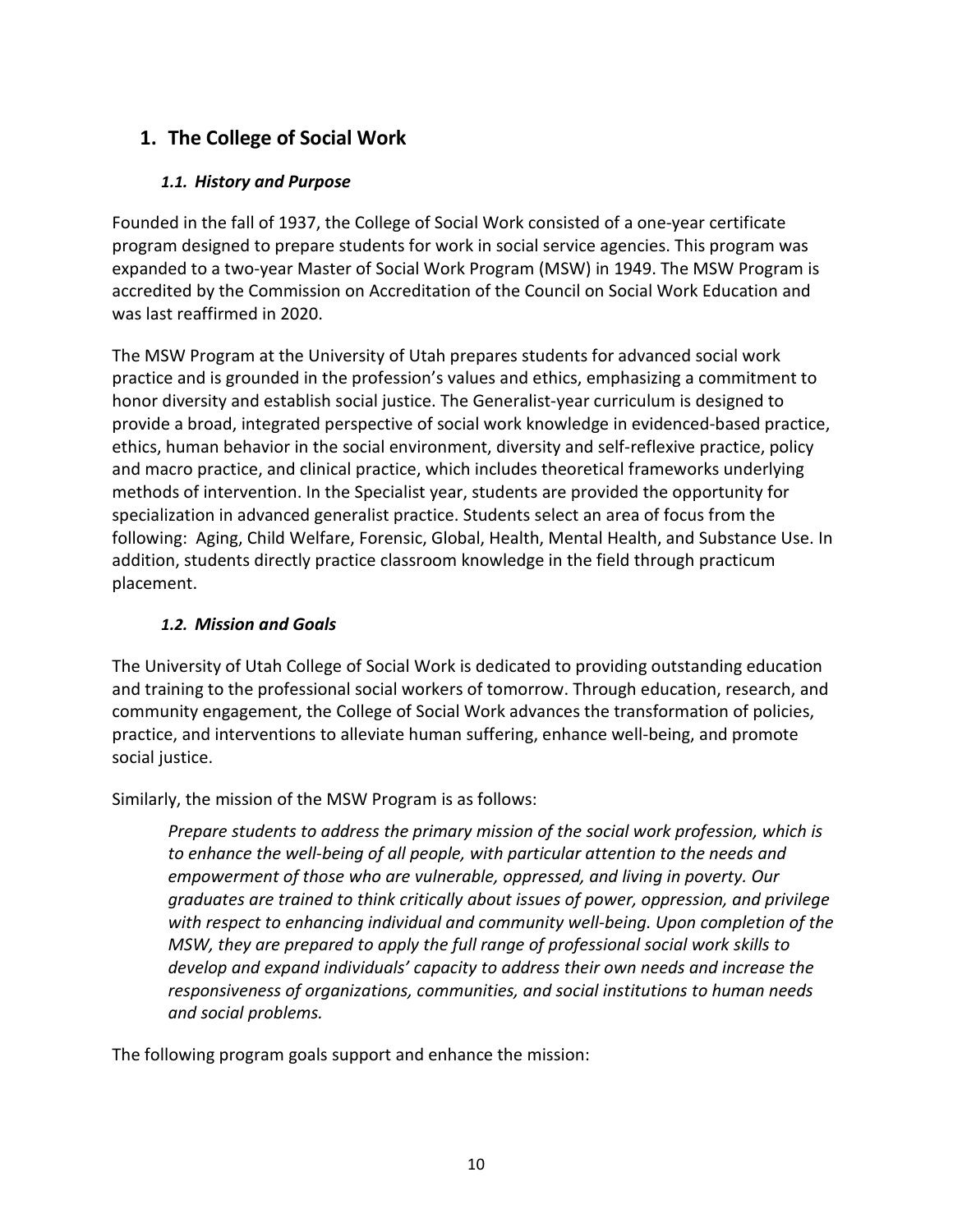# <span id="page-10-1"></span><span id="page-10-0"></span>**1. The College of Social Work**

# *1.1. History and Purpose*

Founded in the fall of 1937, the College of Social Work consisted of a one-year certificate program designed to prepare students for work in social service agencies. This program was expanded to a two-year Master of Social Work Program (MSW) in 1949. The MSW Program is accredited by the Commission on Accreditation of the Council on Social Work Education and was last reaffirmed in 2020.

The MSW Program at the University of Utah prepares students for advanced social work practice and is grounded in the profession's values and ethics, emphasizing a commitment to honor diversity and establish social justice. The Generalist-year curriculum is designed to provide a broad, integrated perspective of social work knowledge in evidenced-based practice, ethics, human behavior in the social environment, diversity and self-reflexive practice, policy and macro practice, and clinical practice, which includes theoretical frameworks underlying methods of intervention. In the Specialist year, students are provided the opportunity for specialization in advanced generalist practice. Students select an area of focus from the following: Aging, Child Welfare, Forensic, Global, Health, Mental Health, and Substance Use. In addition, students directly practice classroom knowledge in the field through practicum placement.

# *1.2. Mission and Goals*

<span id="page-10-2"></span>The University of Utah College of Social Work is dedicated to providing outstanding education and training to the professional social workers of tomorrow. Through education, research, and community engagement, the College of Social Work advances the transformation of policies, practice, and interventions to alleviate human suffering, enhance well-being, and promote social justice.

Similarly, the mission of the MSW Program is as follows:

*Prepare students to address the primary mission of the social work profession, which is to enhance the well-being of all people, with particular attention to the needs and empowerment of those who are vulnerable, oppressed, and living in poverty. Our graduates are trained to think critically about issues of power, oppression, and privilege with respect to enhancing individual and community well-being. Upon completion of the MSW, they are prepared to apply the full range of professional social work skills to develop and expand individuals' capacity to address their own needs and increase the responsiveness of organizations, communities, and social institutions to human needs and social problems.*

The following program goals support and enhance the mission: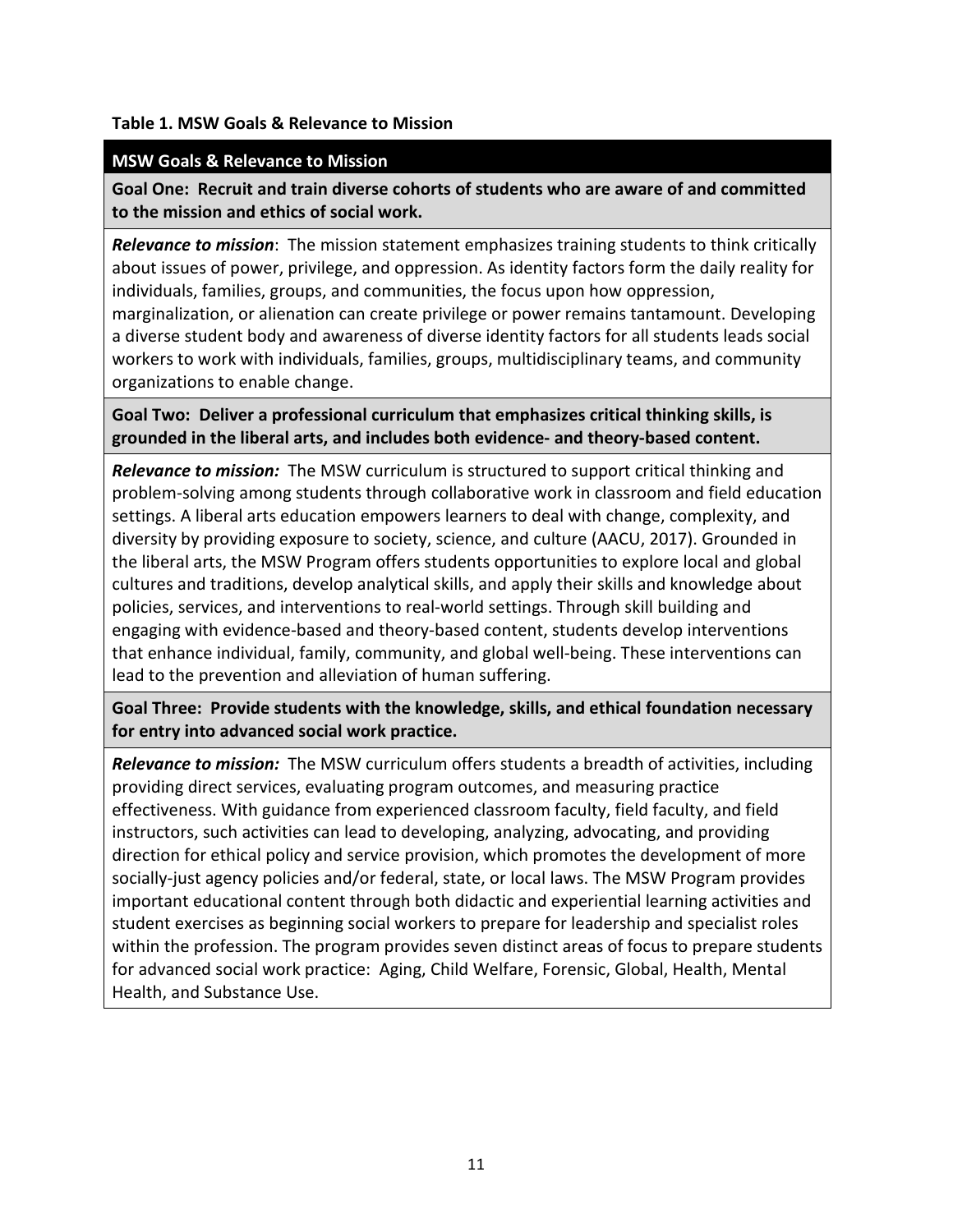#### **Table 1. MSW Goals & Relevance to Mission**

#### **MSW Goals & Relevance to Mission**

**Goal One: Recruit and train diverse cohorts of students who are aware of and committed to the mission and ethics of social work.**

*Relevance to mission*: The mission statement emphasizes training students to think critically about issues of power, privilege, and oppression. As identity factors form the daily reality for individuals, families, groups, and communities, the focus upon how oppression, marginalization, or alienation can create privilege or power remains tantamount. Developing

a diverse student body and awareness of diverse identity factors for all students leads social workers to work with individuals, families, groups, multidisciplinary teams, and community organizations to enable change.

**Goal Two: Deliver a professional curriculum that emphasizes critical thinking skills, is grounded in the liberal arts, and includes both evidence- and theory-based content.**

*Relevance to mission:* The MSW curriculum is structured to support critical thinking and problem-solving among students through collaborative work in classroom and field education settings. A liberal arts education empowers learners to deal with change, complexity, and diversity by providing exposure to society, science, and culture (AACU, 2017). Grounded in the liberal arts, the MSW Program offers students opportunities to explore local and global cultures and traditions, develop analytical skills, and apply their skills and knowledge about policies, services, and interventions to real-world settings. Through skill building and engaging with evidence-based and theory-based content, students develop interventions that enhance individual, family, community, and global well-being. These interventions can lead to the prevention and alleviation of human suffering.

**Goal Three: Provide students with the knowledge, skills, and ethical foundation necessary for entry into advanced social work practice.**

*Relevance to mission:* The MSW curriculum offers students a breadth of activities, including providing direct services, evaluating program outcomes, and measuring practice effectiveness. With guidance from experienced classroom faculty, field faculty, and field instructors, such activities can lead to developing, analyzing, advocating, and providing direction for ethical policy and service provision, which promotes the development of more socially-just agency policies and/or federal, state, or local laws. The MSW Program provides important educational content through both didactic and experiential learning activities and student exercises as beginning social workers to prepare for leadership and specialist roles within the profession. The program provides seven distinct areas of focus to prepare students for advanced social work practice: Aging, Child Welfare, Forensic, Global, Health, Mental Health, and Substance Use.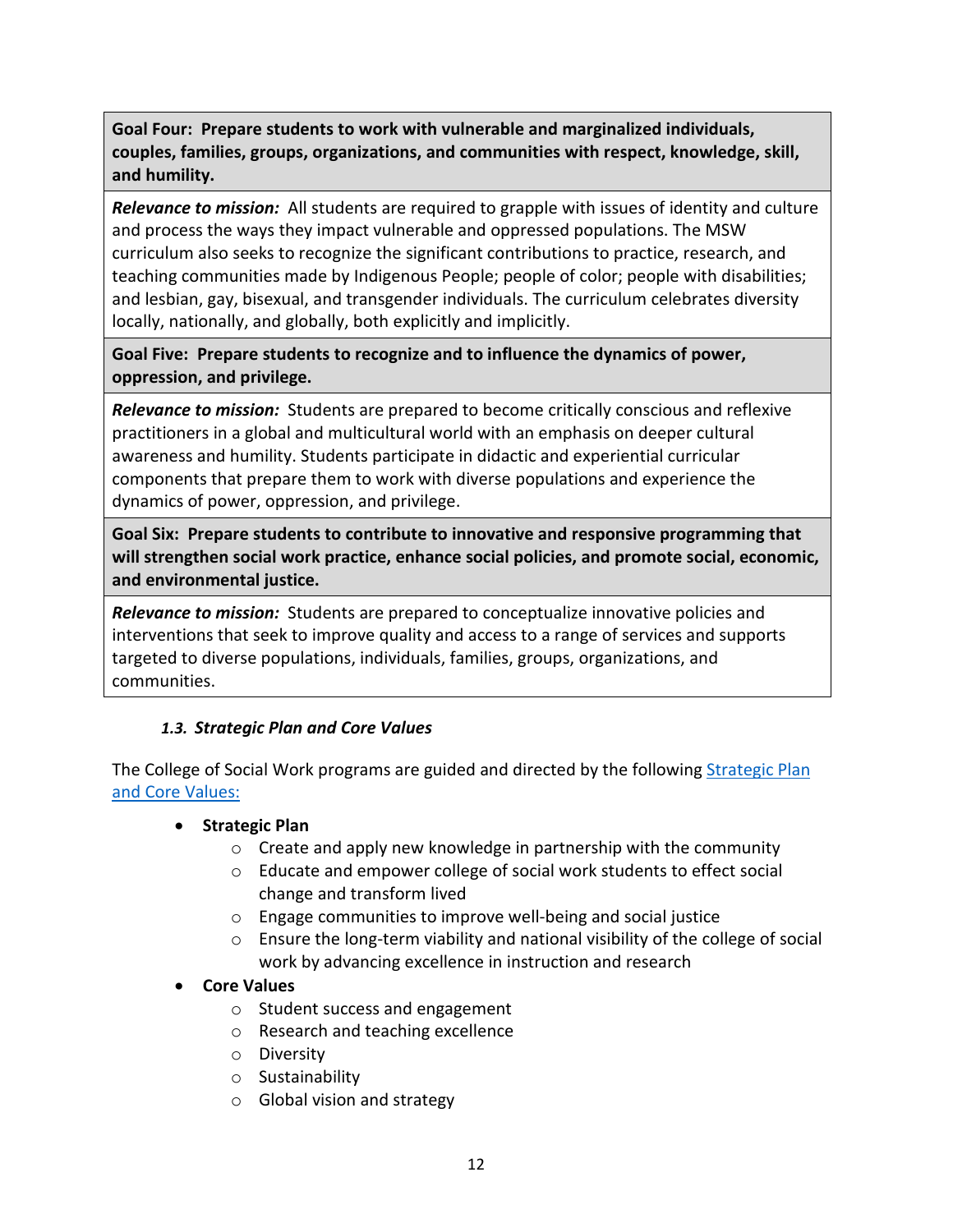**Goal Four: Prepare students to work with vulnerable and marginalized individuals, couples, families, groups, organizations, and communities with respect, knowledge, skill, and humility.** 

*Relevance to mission:* All students are required to grapple with issues of identity and culture and process the ways they impact vulnerable and oppressed populations. The MSW curriculum also seeks to recognize the significant contributions to practice, research, and teaching communities made by Indigenous People; people of color; people with disabilities; and lesbian, gay, bisexual, and transgender individuals. The curriculum celebrates diversity locally, nationally, and globally, both explicitly and implicitly.

**Goal Five: Prepare students to recognize and to influence the dynamics of power, oppression, and privilege.**

*Relevance to mission:* Students are prepared to become critically conscious and reflexive practitioners in a global and multicultural world with an emphasis on deeper cultural awareness and humility. Students participate in didactic and experiential curricular components that prepare them to work with diverse populations and experience the dynamics of power, oppression, and privilege.

**Goal Six: Prepare students to contribute to innovative and responsive programming that will strengthen social work practice, enhance social policies, and promote social, economic, and environmental justice.**

*Relevance to mission:* Students are prepared to conceptualize innovative policies and interventions that seek to improve quality and access to a range of services and supports targeted to diverse populations, individuals, families, groups, organizations, and communities.

### <span id="page-12-0"></span>*1.3. Strategic Plan and Core Values*

The College of Social Work programs are guided and directed by the following **Strategic Plan** and [Core Values:](https://socialwork.utah.edu/about/strategic-plan-and-core-values.php)

- **Strategic Plan**
	- o Create and apply new knowledge in partnership with the community
	- o Educate and empower college of social work students to effect social change and transform lived
	- o Engage communities to improve well-being and social justice
	- $\circ$  Ensure the long-term viability and national visibility of the college of social work by advancing excellence in instruction and research

### • **Core Values**

- o Student success and engagement
- o Research and teaching excellence
- o Diversity
- o Sustainability
- o Global vision and strategy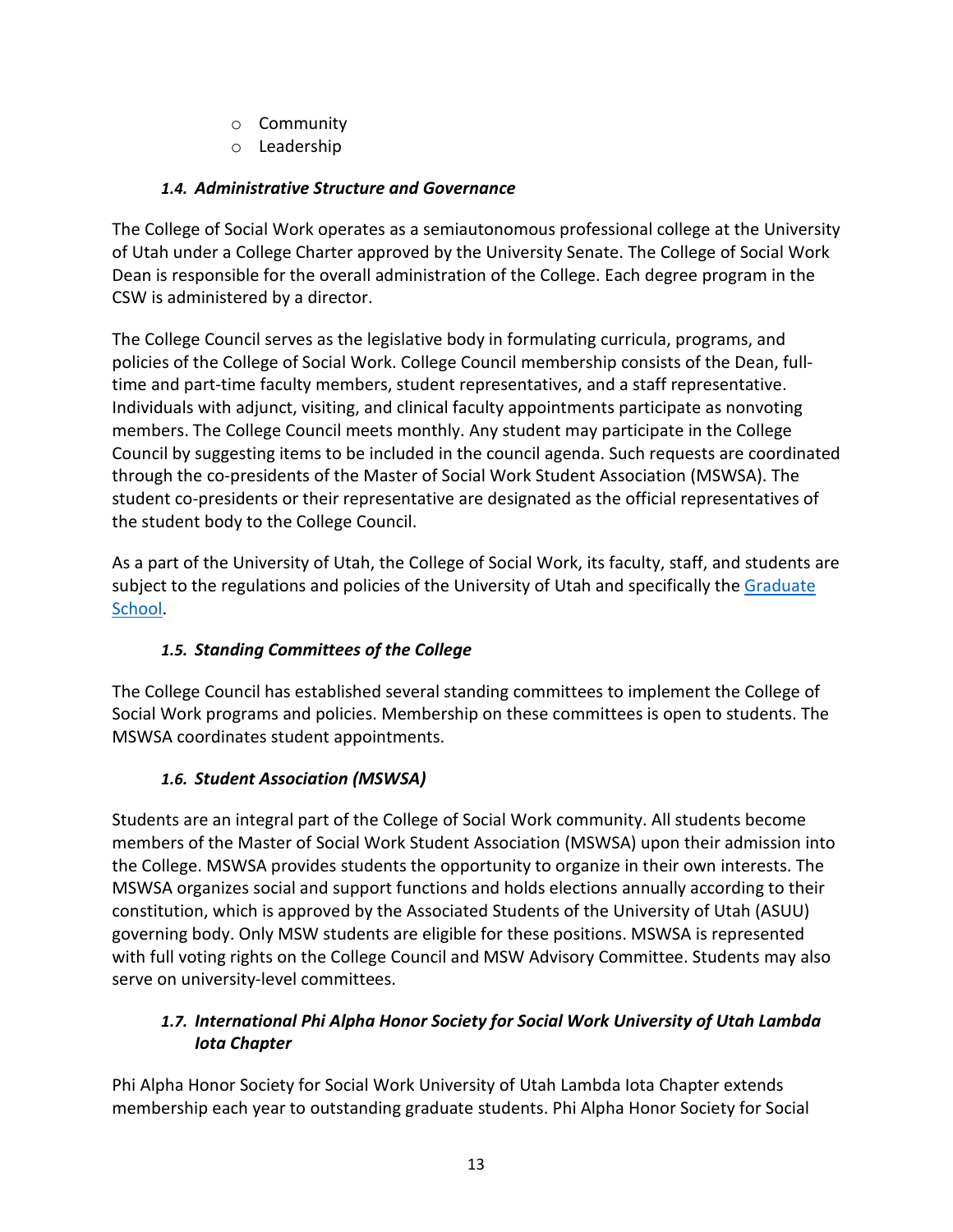- o Community
- o Leadership

# <span id="page-13-0"></span>*1.4. Administrative Structure and Governance*

The College of Social Work operates as a semiautonomous professional college at the University of Utah under a College Charter approved by the University Senate. The College of Social Work Dean is responsible for the overall administration of the College. Each degree program in the CSW is administered by a director.

The College Council serves as the legislative body in formulating curricula, programs, and policies of the College of Social Work. College Council membership consists of the Dean, fulltime and part-time faculty members, student representatives, and a staff representative. Individuals with adjunct, visiting, and clinical faculty appointments participate as nonvoting members. The College Council meets monthly. Any student may participate in the College Council by suggesting items to be included in the council agenda. Such requests are coordinated through the co-presidents of the Master of Social Work Student Association (MSWSA). The student co-presidents or their representative are designated as the official representatives of the student body to the College Council.

As a part of the University of Utah, the College of Social Work, its faculty, staff, and students are subject to the regulations and policies of the University of Utah and specifically the Graduate [School.](https://gradschool.utah.edu/)

# *1.5. Standing Committees of the College*

<span id="page-13-1"></span>The College Council has established several standing committees to implement the College of Social Work programs and policies. Membership on these committees is open to students. The MSWSA coordinates student appointments.

# *1.6. Student Association (MSWSA)*

<span id="page-13-2"></span>Students are an integral part of the College of Social Work community. All students become members of the Master of Social Work Student Association (MSWSA) upon their admission into the College. MSWSA provides students the opportunity to organize in their own interests. The MSWSA organizes social and support functions and holds elections annually according to their constitution, which is approved by the Associated Students of the University of Utah (ASUU) governing body. Only MSW students are eligible for these positions. MSWSA is represented with full voting rights on the College Council and MSW Advisory Committee. Students may also serve on university-level committees.

# <span id="page-13-3"></span>*1.7. International Phi Alpha Honor Society for Social Work University of Utah Lambda Iota Chapter*

Phi Alpha Honor Society for Social Work University of Utah Lambda Iota Chapter extends membership each year to outstanding graduate students. Phi Alpha Honor Society for Social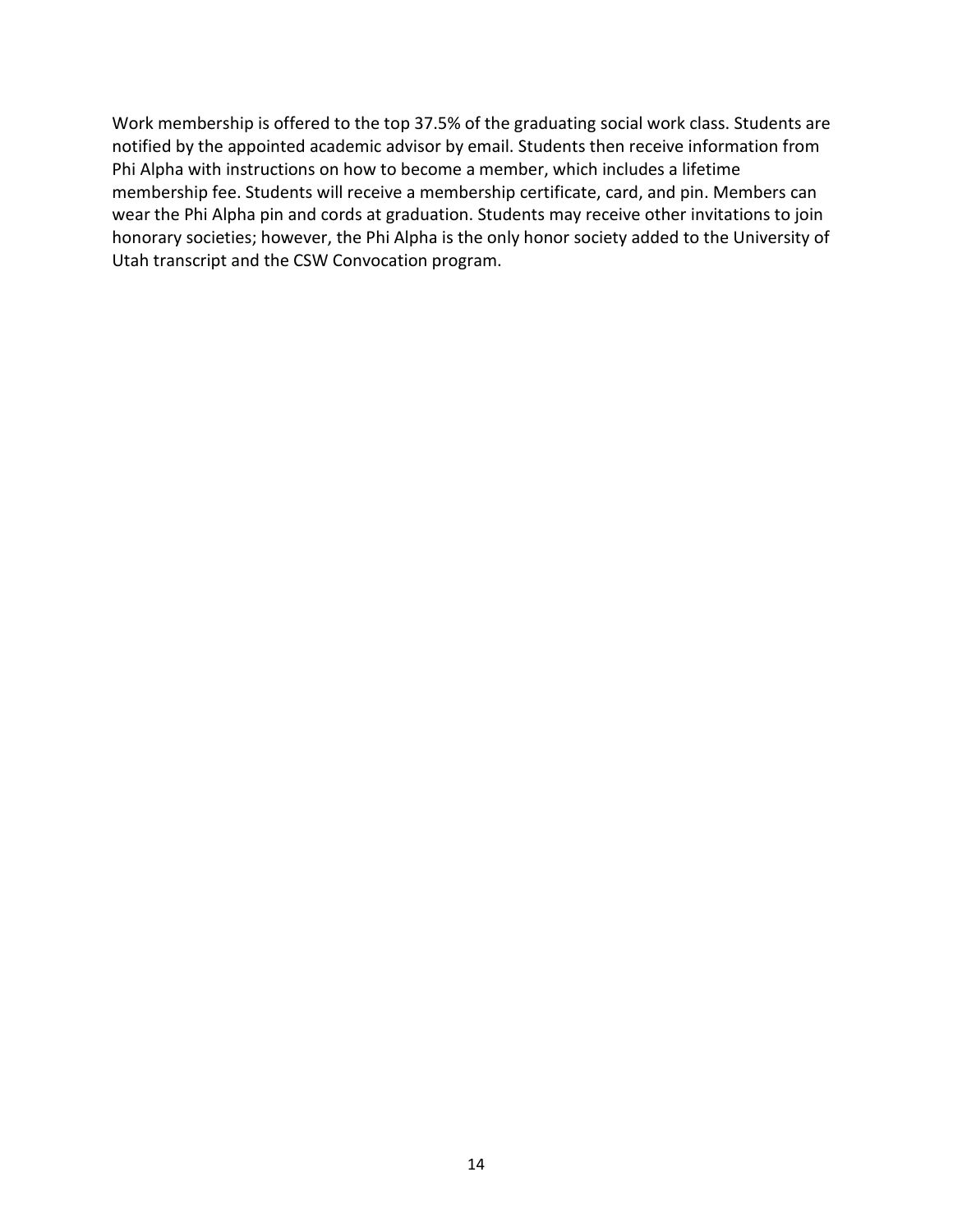Work membership is offered to the top 37.5% of the graduating social work class. Students are notified by the appointed academic advisor by email. Students then receive information from Phi Alpha with instructions on how to become a member, which includes a lifetime membership fee. Students will receive a membership certificate, card, and pin. Members can wear the Phi Alpha pin and cords at graduation. Students may receive other invitations to join honorary societies; however, the Phi Alpha is the only honor society added to the University of Utah transcript and the CSW Convocation program.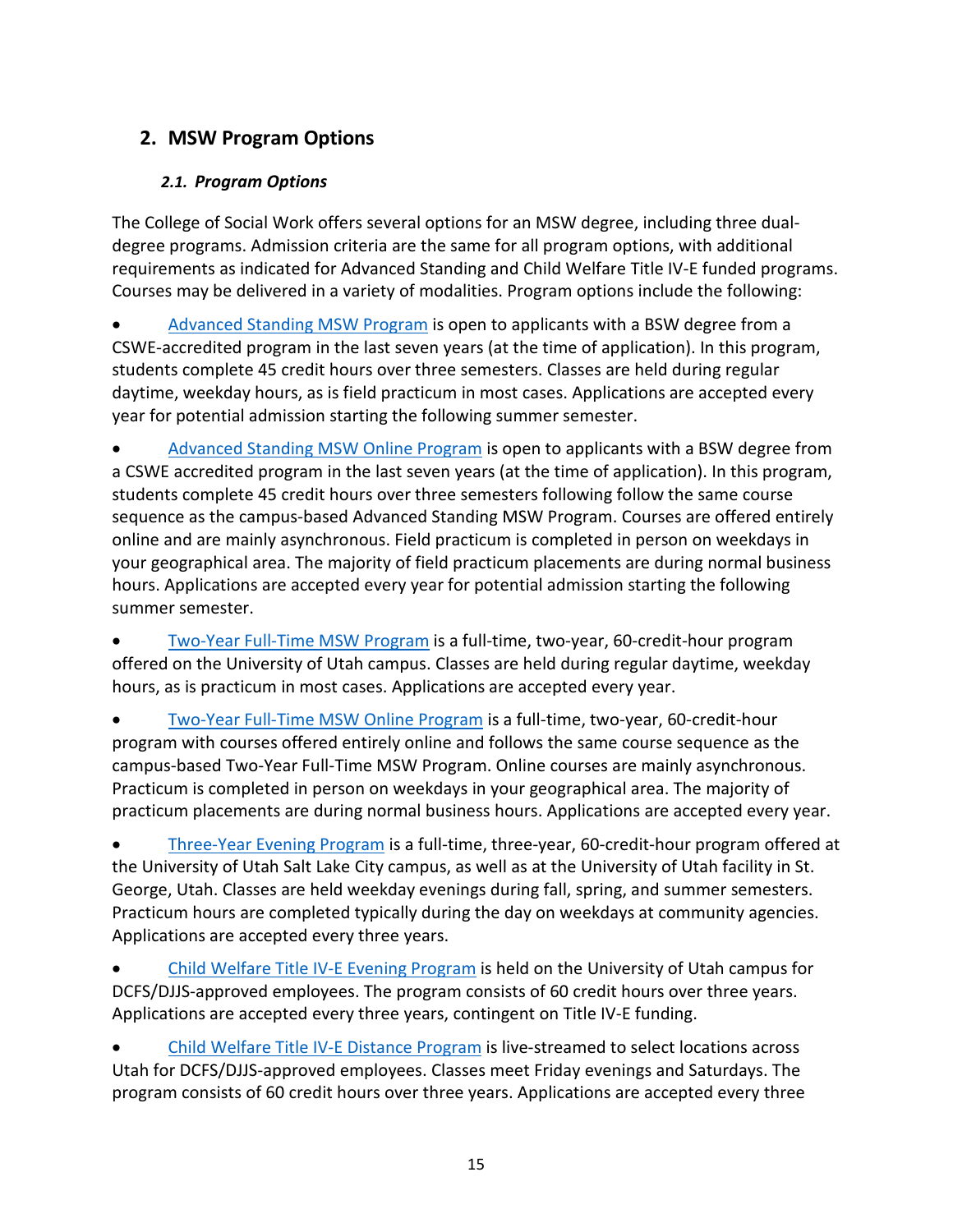# <span id="page-15-1"></span><span id="page-15-0"></span>**2. MSW Program Options**

# *2.1. Program Options*

The College of Social Work offers several options for an MSW degree, including three dualdegree programs. Admission criteria are the same for all program options, with additional requirements as indicated for Advanced Standing and Child Welfare Title IV-E funded programs. Courses may be delivered in a variety of modalities. Program options include the following:

[Advanced Standing MSW Program](https://www.socwk.utah.edu/msw/programs/advanced-standing-slc.php) is open to applicants with a BSW degree from a CSWE-accredited program in the last seven years (at the time of application). In this program, students complete 45 credit hours over three semesters. Classes are held during regular daytime, weekday hours, as is field practicum in most cases. Applications are accepted every year for potential admission starting the following summer semester.

• [Advanced Standing MSW Online Program](https://www.socwk.utah.edu/msw/programs/advanced-standing-online.php) is open to applicants with a BSW degree from a CSWE accredited program in the last seven years (at the time of application). In this program, students complete 45 credit hours over three semesters following follow the same course sequence as the campus-based Advanced Standing MSW Program. Courses are offered entirely online and are mainly asynchronous. Field practicum is completed in person on weekdays in your geographical area. The majority of field practicum placements are during normal business hours. Applications are accepted every year for potential admission starting the following summer semester.

• [Two-Year Full-Time MSW Program](https://www.socwk.utah.edu/msw/programs/two-year.php) is a full-time, two-year, 60-credit-hour program offered on the University of Utah campus. Classes are held during regular daytime, weekday hours, as is practicum in most cases. Applications are accepted every year.

• [Two-Year Full-Time MSW Online Program](https://www.socwk.utah.edu/msw/programs/two-year-online.php) is a full-time, two-year, 60-credit-hour program with courses offered entirely online and follows the same course sequence as the campus-based Two-Year Full-Time MSW Program. Online courses are mainly asynchronous. Practicum is completed in person on weekdays in your geographical area. The majority of practicum placements are during normal business hours. Applications are accepted every year.

• [Three-Year Evening Program](https://www.socwk.utah.edu/msw/programs/three-year-evening.php) is a full-time, three-year, 60-credit-hour program offered at the University of Utah Salt Lake City campus, as well as at the University of Utah facility in St. George, Utah. Classes are held weekday evenings during fall, spring, and summer semesters. Practicum hours are completed typically during the day on weekdays at community agencies. Applications are accepted every three years.

• [Child Welfare Title IV-E Evening Program](https://www.socwk.utah.edu/msw/programs/child-welfare-slc.php) is held on the University of Utah campus for DCFS/DJJS-approved employees. The program consists of 60 credit hours over three years. Applications are accepted every three years, contingent on Title IV-E funding.

• [Child Welfare Title IV-E Distance](https://www.socwk.utah.edu/msw/programs/child-welfare-distance.php) Program is live-streamed to select locations across Utah for DCFS/DJJS-approved employees. Classes meet Friday evenings and Saturdays. The program consists of 60 credit hours over three years. Applications are accepted every three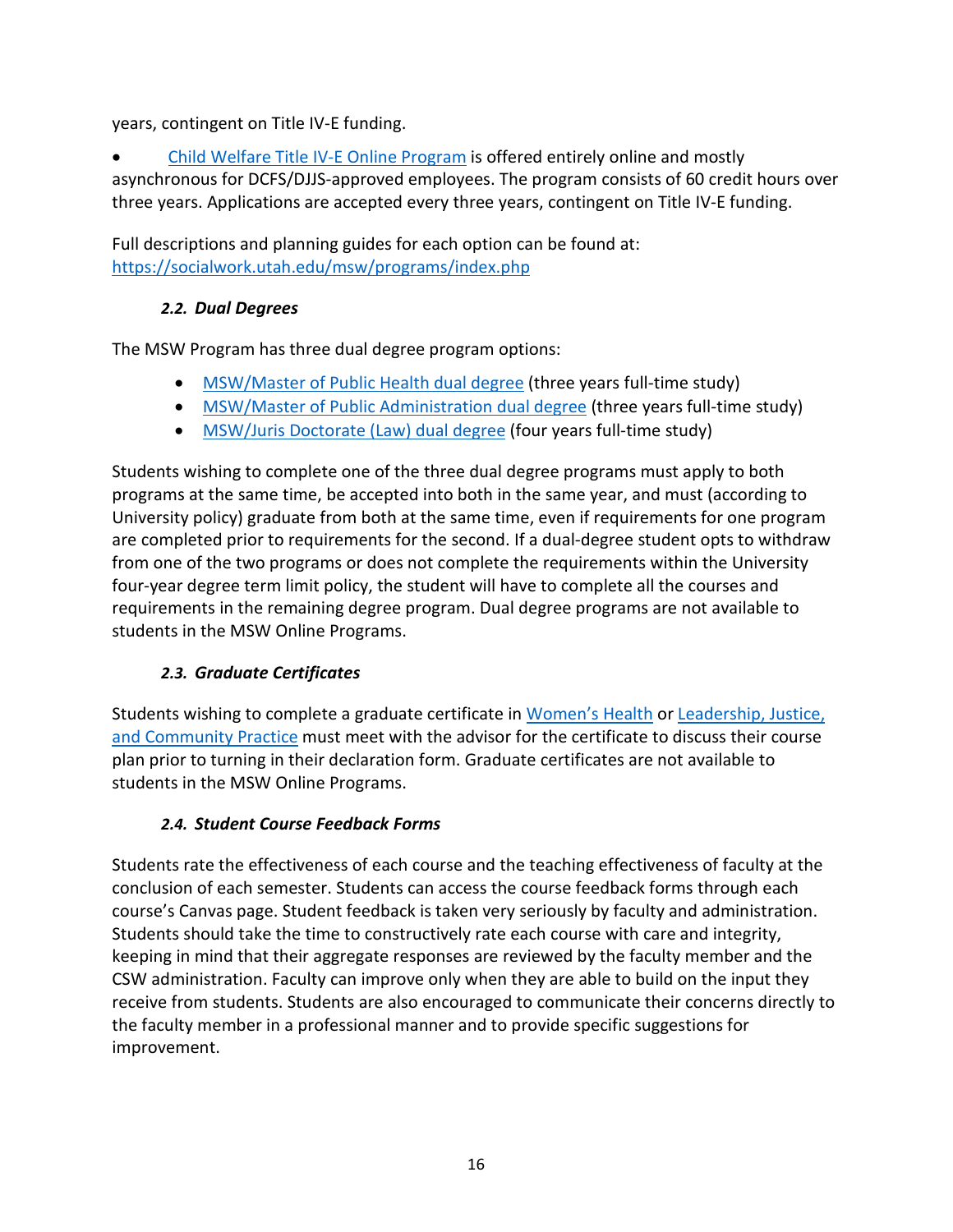years, contingent on Title IV-E funding.

• [Child Welfare Title IV-E Online Program](https://www.socwk.utah.edu/msw/programs/child-welfare-online.php) is offered entirely online and mostly asynchronous for DCFS/DJJS-approved employees. The program consists of 60 credit hours over three years. Applications are accepted every three years, contingent on Title IV-E funding.

Full descriptions and planning guides for each option can be found at: <https://socialwork.utah.edu/msw/programs/index.php>

# *2.2. Dual Degrees*

<span id="page-16-0"></span>The MSW Program has three dual degree program options:

- [MSW/Master of Public Health dual degree](https://socialwork.utah.edu/msw/dual-degrees/msw-mph/index.php) (three years full-time study)
- [MSW/Master of Public Administration dual degree](https://socialwork.utah.edu/msw/dual-degrees/msw-mpa/index.php) (three years full-time study)
- [MSW/Juris Doctorate \(Law\) dual degree](https://socialwork.utah.edu/msw/dual-degrees/msw-jd/index.php) (four years full-time study)

Students wishing to complete one of the three dual degree programs must apply to both programs at the same time, be accepted into both in the same year, and must (according to University policy) graduate from both at the same time, even if requirements for one program are completed prior to requirements for the second. If a dual-degree student opts to withdraw from one of the two programs or does not complete the requirements within the University four-year degree term limit policy, the student will have to complete all the courses and requirements in the remaining degree program. Dual degree programs are not available to students in the MSW Online Programs.

# *2.3. Graduate Certificates*

<span id="page-16-1"></span>Students wishing to complete a graduate certificate in [Women's Health](https://socialwork.utah.edu/certificates/womens-health.php) o[r Leadership, Justice,](https://socialwork.utah.edu/certificates/community-practice.php)  [and Community Practice](https://socialwork.utah.edu/certificates/community-practice.php) must meet with the advisor for the certificate to discuss their course plan prior to turning in their declaration form. Graduate certificates are not available to students in the MSW Online Programs.

# *2.4. Student Course Feedback Forms*

<span id="page-16-2"></span>Students rate the effectiveness of each course and the teaching effectiveness of faculty at the conclusion of each semester. Students can access the course feedback forms through each course's Canvas page. Student feedback is taken very seriously by faculty and administration. Students should take the time to constructively rate each course with care and integrity, keeping in mind that their aggregate responses are reviewed by the faculty member and the CSW administration. Faculty can improve only when they are able to build on the input they receive from students. Students are also encouraged to communicate their concerns directly to the faculty member in a professional manner and to provide specific suggestions for improvement.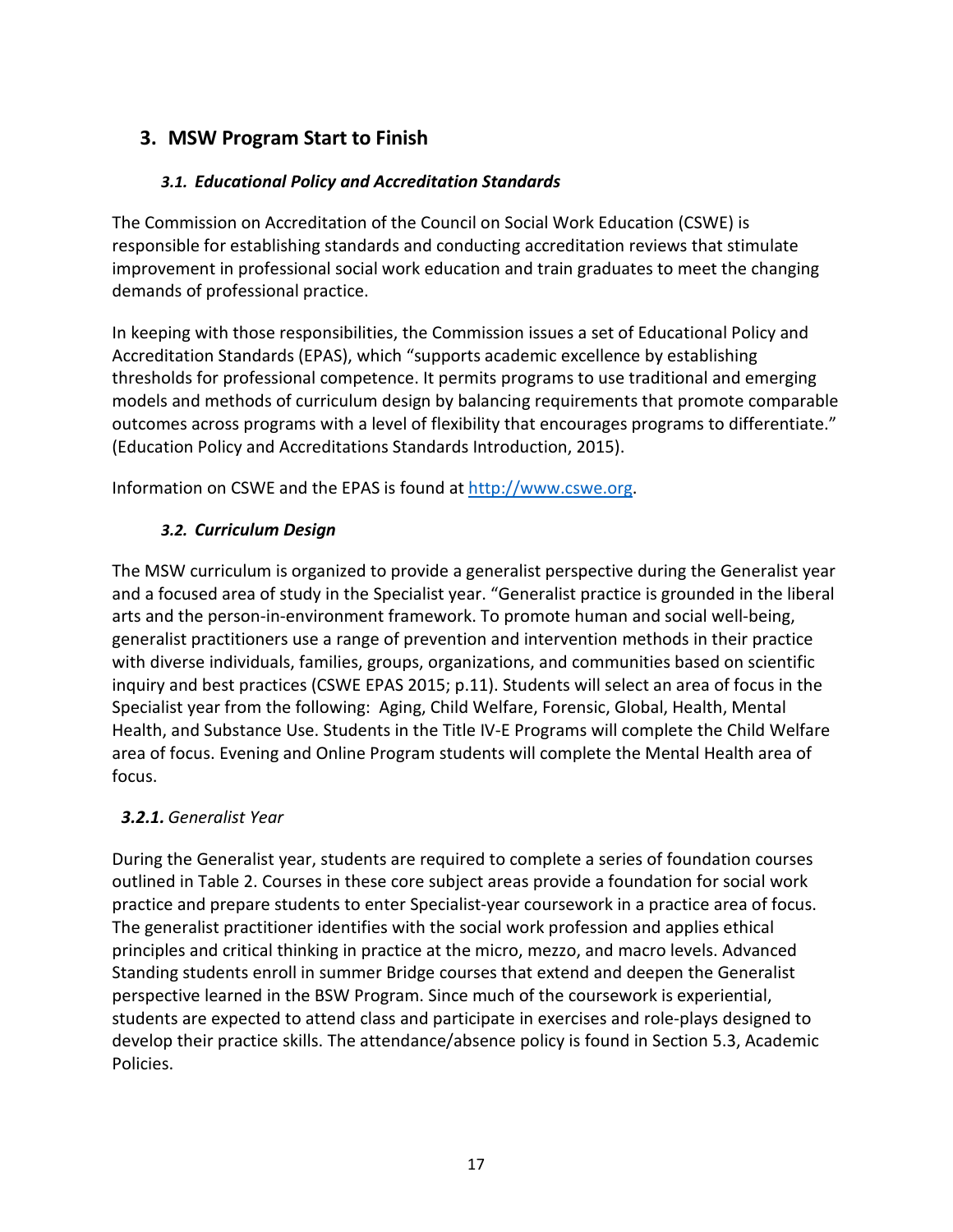# <span id="page-17-1"></span><span id="page-17-0"></span>**3. MSW Program Start to Finish**

### *3.1. Educational Policy and Accreditation Standards*

The Commission on Accreditation of the Council on Social Work Education (CSWE) is responsible for establishing standards and conducting accreditation reviews that stimulate improvement in professional social work education and train graduates to meet the changing demands of professional practice.

In keeping with those responsibilities, the Commission issues a set of Educational Policy and Accreditation Standards (EPAS), which "supports academic excellence by establishing thresholds for professional competence. It permits programs to use traditional and emerging models and methods of curriculum design by balancing requirements that promote comparable outcomes across programs with a level of flexibility that encourages programs to differentiate." (Education Policy and Accreditations Standards Introduction, 2015).

<span id="page-17-2"></span>Information on CSWE and the EPAS is found at [http://www.cswe.org.](http://www.cswe.org/)

### *3.2. Curriculum Design*

The MSW curriculum is organized to provide a generalist perspective during the Generalist year and a focused area of study in the Specialist year. "Generalist practice is grounded in the liberal arts and the person-in-environment framework. To promote human and social well-being, generalist practitioners use a range of prevention and intervention methods in their practice with diverse individuals, families, groups, organizations, and communities based on scientific inquiry and best practices (CSWE EPAS 2015; p.11). Students will select an area of focus in the Specialist year from the following: Aging, Child Welfare, Forensic, Global, Health, Mental Health, and Substance Use. Students in the Title IV-E Programs will complete the Child Welfare area of focus. Evening and Online Program students will complete the Mental Health area of focus.

# <span id="page-17-3"></span>*3.2.1. Generalist Year*

During the Generalist year, students are required to complete a series of foundation courses outlined in Table 2. Courses in these core subject areas provide a foundation for social work practice and prepare students to enter Specialist-year coursework in a practice area of focus. The generalist practitioner identifies with the social work profession and applies ethical principles and critical thinking in practice at the micro, mezzo, and macro levels. Advanced Standing students enroll in summer Bridge courses that extend and deepen the Generalist perspective learned in the BSW Program. Since much of the coursework is experiential, students are expected to attend class and participate in exercises and role-plays designed to develop their practice skills. The attendance/absence policy is found in Section 5.3, Academic Policies.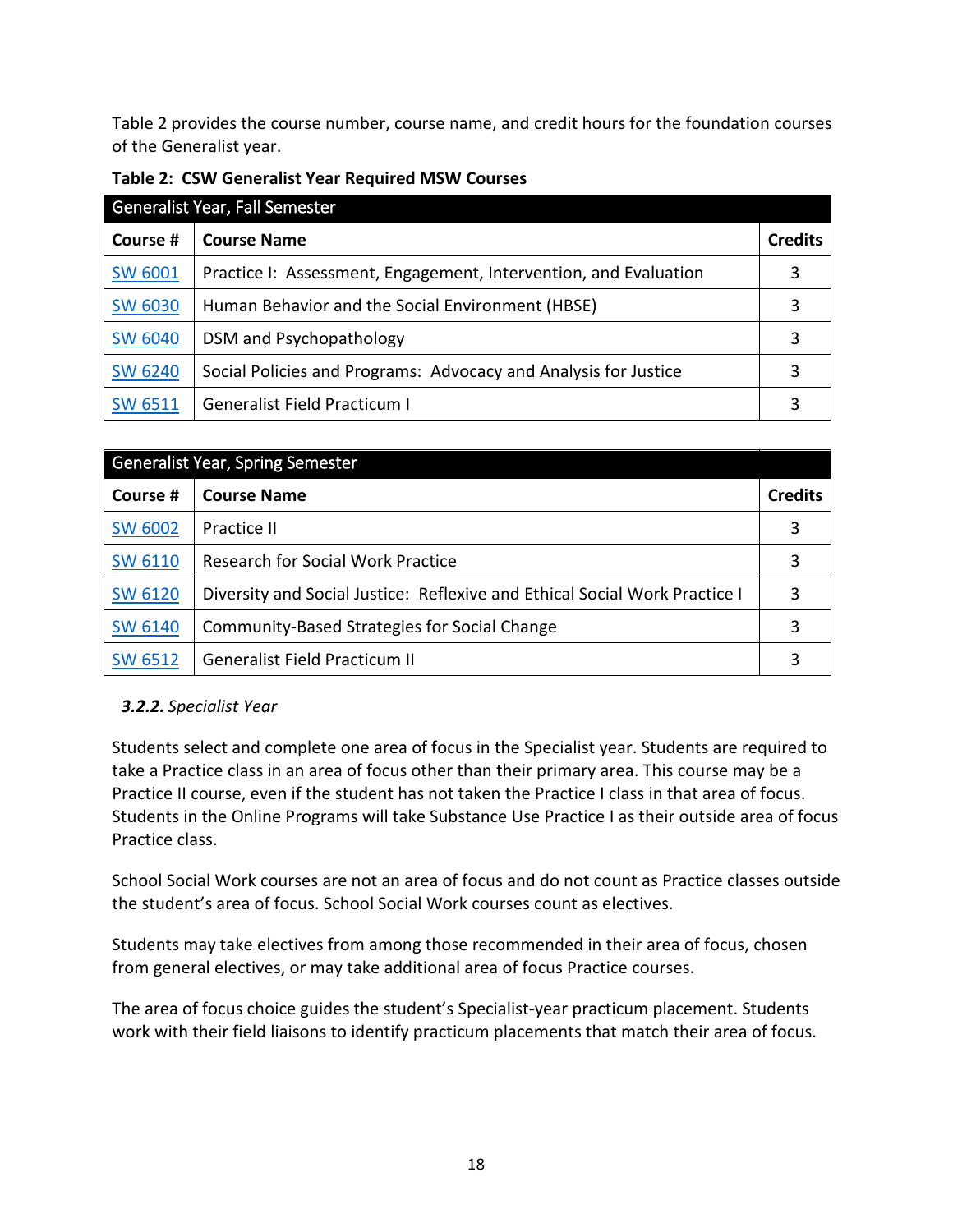Table 2 provides the course number, course name, and credit hours for the foundation courses of the Generalist year.

| Generalist Year, Fall Semester |                                                                  |                |  |  |
|--------------------------------|------------------------------------------------------------------|----------------|--|--|
| Course #                       | <b>Course Name</b>                                               | <b>Credits</b> |  |  |
| <b>SW 6001</b>                 | Practice I: Assessment, Engagement, Intervention, and Evaluation |                |  |  |
| <b>SW 6030</b>                 | Human Behavior and the Social Environment (HBSE)                 |                |  |  |
| <b>SW 6040</b>                 | DSM and Psychopathology                                          |                |  |  |
| <b>SW 6240</b>                 | Social Policies and Programs: Advocacy and Analysis for Justice  |                |  |  |
| <b>SW 6511</b>                 | <b>Generalist Field Practicum I</b>                              |                |  |  |

| <b>Generalist Year, Spring Semester</b> |                                                                            |                |  |  |
|-----------------------------------------|----------------------------------------------------------------------------|----------------|--|--|
| Course #                                | <b>Course Name</b>                                                         | <b>Credits</b> |  |  |
| <b>SW 6002</b>                          | Practice II                                                                | 3              |  |  |
| <b>SW 6110</b>                          | <b>Research for Social Work Practice</b>                                   |                |  |  |
| <b>SW 6120</b>                          | Diversity and Social Justice: Reflexive and Ethical Social Work Practice I |                |  |  |
| <b>SW 6140</b>                          | Community-Based Strategies for Social Change                               |                |  |  |
| <b>SW 6512</b>                          | <b>Generalist Field Practicum II</b>                                       |                |  |  |

# <span id="page-18-0"></span>*3.2.2. Specialist Year*

Students select and complete one area of focus in the Specialist year. Students are required to take a Practice class in an area of focus other than their primary area. This course may be a Practice II course, even if the student has not taken the Practice I class in that area of focus. Students in the Online Programs will take Substance Use Practice I as their outside area of focus Practice class.

School Social Work courses are not an area of focus and do not count as Practice classes outside the student's area of focus. School Social Work courses count as electives.

Students may take electives from among those recommended in their area of focus, chosen from general electives, or may take additional area of focus Practice courses.

The area of focus choice guides the student's Specialist-year practicum placement. Students work with their field liaisons to identify practicum placements that match their area of focus.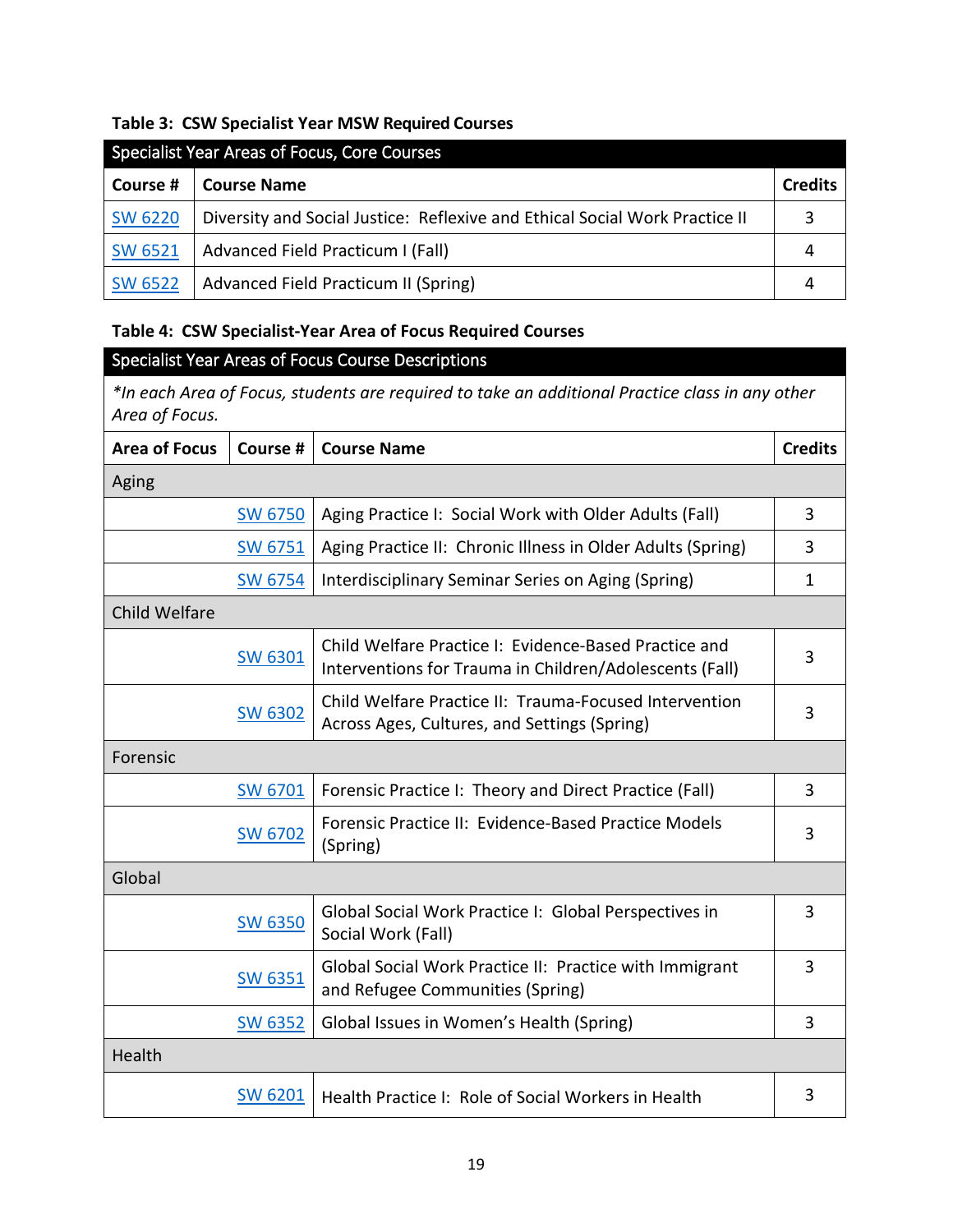#### **Table 3: CSW Specialist Year MSW Required Courses**

| Specialist Year Areas of Focus, Core Courses |                                                                             |                |  |  |
|----------------------------------------------|-----------------------------------------------------------------------------|----------------|--|--|
| Course #                                     | <b>Course Name</b>                                                          | <b>Credits</b> |  |  |
| <b>SW 6220</b>                               | Diversity and Social Justice: Reflexive and Ethical Social Work Practice II |                |  |  |
| <b>SW 6521</b>                               | Advanced Field Practicum I (Fall)                                           |                |  |  |
| <b>SW 6522</b>                               | Advanced Field Practicum II (Spring)                                        |                |  |  |

### **Table 4: CSW Specialist-Year Area of Focus Required Courses**

# Specialist Year Areas of Focus Course Descriptions

*\*In each Area of Focus, students are required to take an additional Practice class in any other Area of Focus.*

| <b>Area of Focus</b> | Course #       | <b>Course Name</b>                                                                                               | <b>Credits</b> |
|----------------------|----------------|------------------------------------------------------------------------------------------------------------------|----------------|
| Aging                |                |                                                                                                                  |                |
|                      | <b>SW 6750</b> | Aging Practice I: Social Work with Older Adults (Fall)                                                           | 3              |
|                      | <b>SW 6751</b> | Aging Practice II: Chronic Illness in Older Adults (Spring)                                                      | 3              |
|                      | <b>SW 6754</b> | Interdisciplinary Seminar Series on Aging (Spring)                                                               | $\mathbf{1}$   |
| <b>Child Welfare</b> |                |                                                                                                                  |                |
|                      | <b>SW 6301</b> | Child Welfare Practice I: Evidence-Based Practice and<br>Interventions for Trauma in Children/Adolescents (Fall) | 3              |
|                      | <b>SW 6302</b> | Child Welfare Practice II: Trauma-Focused Intervention<br>Across Ages, Cultures, and Settings (Spring)           | 3              |
| Forensic             |                |                                                                                                                  |                |
|                      | SW 6701        | Forensic Practice I: Theory and Direct Practice (Fall)                                                           | 3              |
|                      | <b>SW 6702</b> | Forensic Practice II: Evidence-Based Practice Models<br>(Spring)                                                 | 3              |
| Global               |                |                                                                                                                  |                |
|                      | <b>SW 6350</b> | Global Social Work Practice I: Global Perspectives in<br>Social Work (Fall)                                      | 3              |
|                      | <b>SW 6351</b> | Global Social Work Practice II: Practice with Immigrant<br>and Refugee Communities (Spring)                      | 3              |
|                      | <b>SW 6352</b> | Global Issues in Women's Health (Spring)                                                                         | 3              |
| Health               |                |                                                                                                                  |                |
|                      | SW 6201        | Health Practice I: Role of Social Workers in Health                                                              | 3              |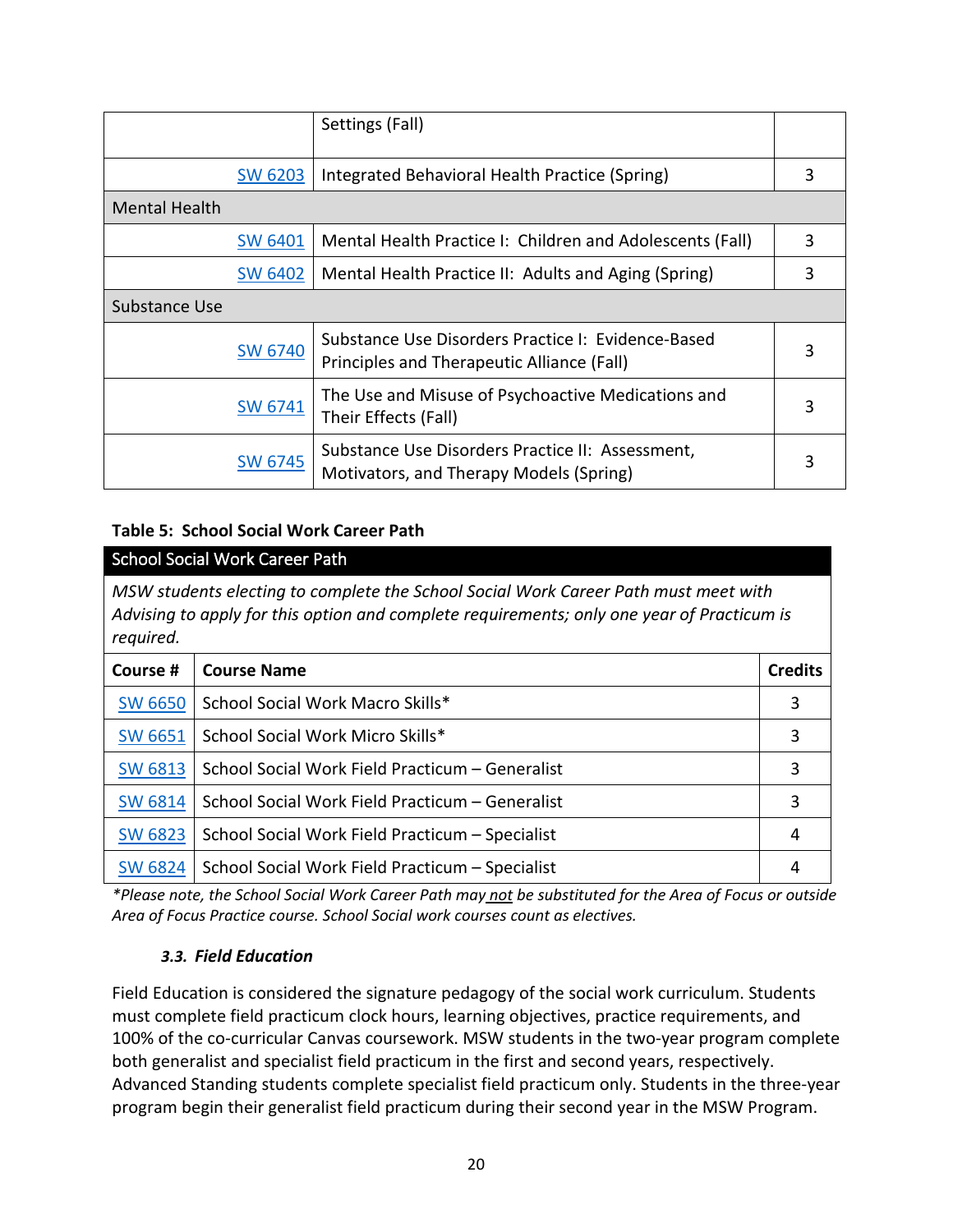|                      |                | Settings (Fall)                                                                                  |   |
|----------------------|----------------|--------------------------------------------------------------------------------------------------|---|
|                      | <b>SW 6203</b> | Integrated Behavioral Health Practice (Spring)                                                   | 3 |
| <b>Mental Health</b> |                |                                                                                                  |   |
|                      | <b>SW 6401</b> | Mental Health Practice I: Children and Adolescents (Fall)                                        | 3 |
|                      | <b>SW 6402</b> | Mental Health Practice II: Adults and Aging (Spring)                                             | 3 |
| Substance Use        |                |                                                                                                  |   |
|                      | <b>SW 6740</b> | Substance Use Disorders Practice I: Evidence-Based<br>Principles and Therapeutic Alliance (Fall) | 3 |
|                      | SW 6741        | The Use and Misuse of Psychoactive Medications and<br>Their Effects (Fall)                       | 3 |
|                      | <b>SW 6745</b> | Substance Use Disorders Practice II: Assessment,<br>Motivators, and Therapy Models (Spring)      |   |

### **Table 5: School Social Work Career Path**

| <b>School Social Work Career Path</b>                                                                                                                                                          |                                                 |   |  |  |
|------------------------------------------------------------------------------------------------------------------------------------------------------------------------------------------------|-------------------------------------------------|---|--|--|
| MSW students electing to complete the School Social Work Career Path must meet with<br>Advising to apply for this option and complete requirements; only one year of Practicum is<br>required. |                                                 |   |  |  |
| Course #<br><b>Course Name</b><br><b>Credits</b>                                                                                                                                               |                                                 |   |  |  |
| <b>SW 6650</b>                                                                                                                                                                                 | School Social Work Macro Skills*                | 3 |  |  |
| <b>SW 6651</b>                                                                                                                                                                                 | School Social Work Micro Skills*                | 3 |  |  |
| <b>SW 6813</b>                                                                                                                                                                                 | School Social Work Field Practicum - Generalist | 3 |  |  |
| <b>SW 6814</b>                                                                                                                                                                                 | School Social Work Field Practicum - Generalist | 3 |  |  |
| <b>SW 6823</b>                                                                                                                                                                                 | School Social Work Field Practicum - Specialist | 4 |  |  |
| <b>SW 6824</b>                                                                                                                                                                                 | School Social Work Field Practicum - Specialist | 4 |  |  |

<span id="page-20-0"></span>*\*Please note, the School Social Work Career Path may not be substituted for the Area of Focus or outside Area of Focus Practice course. School Social work courses count as electives.*

#### *3.3. Field Education*

Field Education is considered the signature pedagogy of the social work curriculum. Students must complete field practicum clock hours, learning objectives, practice requirements, and 100% of the co-curricular Canvas coursework. MSW students in the two-year program complete both generalist and specialist field practicum in the first and second years, respectively. Advanced Standing students complete specialist field practicum only. Students in the three-year program begin their generalist field practicum during their second year in the MSW Program.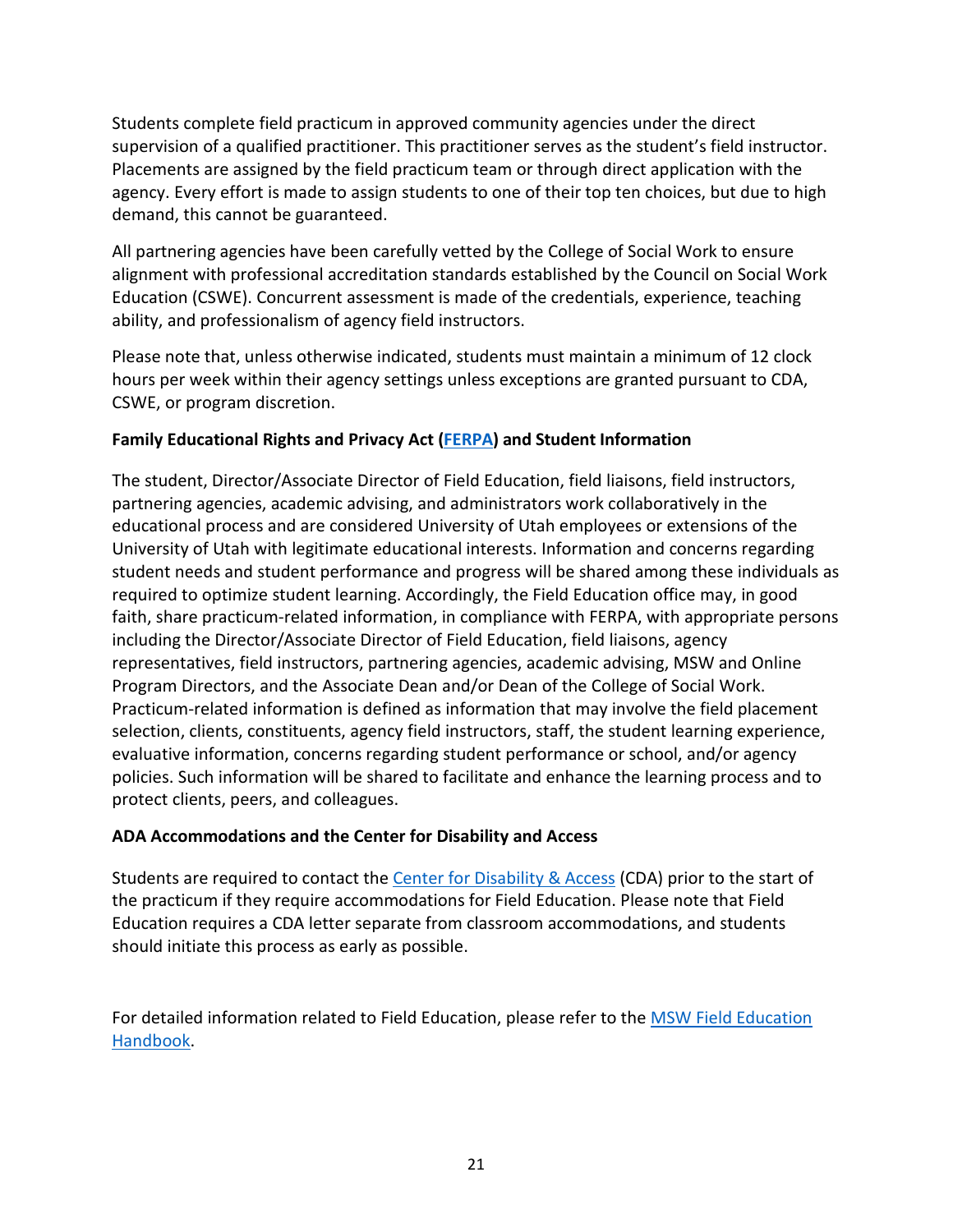Students complete field practicum in approved community agencies under the direct supervision of a qualified practitioner. This practitioner serves as the student's field instructor. Placements are assigned by the field practicum team or through direct application with the agency. Every effort is made to assign students to one of their top ten choices, but due to high demand, this cannot be guaranteed.

All partnering agencies have been carefully vetted by the College of Social Work to ensure alignment with professional accreditation standards established by the Council on Social Work Education (CSWE). Concurrent assessment is made of the credentials, experience, teaching ability, and professionalism of agency field instructors.

Please note that, unless otherwise indicated, students must maintain a minimum of 12 clock hours per week within their agency settings unless exceptions are granted pursuant to CDA, CSWE, or program discretion.

### **Family Educational Rights and Privacy Act [\(FERPA\)](https://registrar.utah.edu/handbook/ferpa.php) and Student Information**

The student, Director/Associate Director of Field Education, field liaisons, field instructors, partnering agencies, academic advising, and administrators work collaboratively in the educational process and are considered University of Utah employees or extensions of the University of Utah with legitimate educational interests. Information and concerns regarding student needs and student performance and progress will be shared among these individuals as required to optimize student learning. Accordingly, the Field Education office may, in good faith, share practicum-related information, in compliance with FERPA, with appropriate persons including the Director/Associate Director of Field Education, field liaisons, agency representatives, field instructors, partnering agencies, academic advising, MSW and Online Program Directors, and the Associate Dean and/or Dean of the College of Social Work. Practicum-related information is defined as information that may involve the field placement selection, clients, constituents, agency field instructors, staff, the student learning experience, evaluative information, concerns regarding student performance or school, and/or agency policies. Such information will be shared to facilitate and enhance the learning process and to protect clients, peers, and colleagues.

### **ADA Accommodations and the Center for Disability and Access**

Students are required to contact the [Center for Disability & Access](https://disability.utah.edu/) (CDA) prior to the start of the practicum if they require accommodations for Field Education. Please note that Field Education requires a CDA letter separate from classroom accommodations, and students should initiate this process as early as possible.

For detailed information related to Field Education, please refer to the **MSW Field Education** [Handbook.](https://socialwork.utah.edu/practicum/_documents/msw-field-education-handbook-2022.pdf)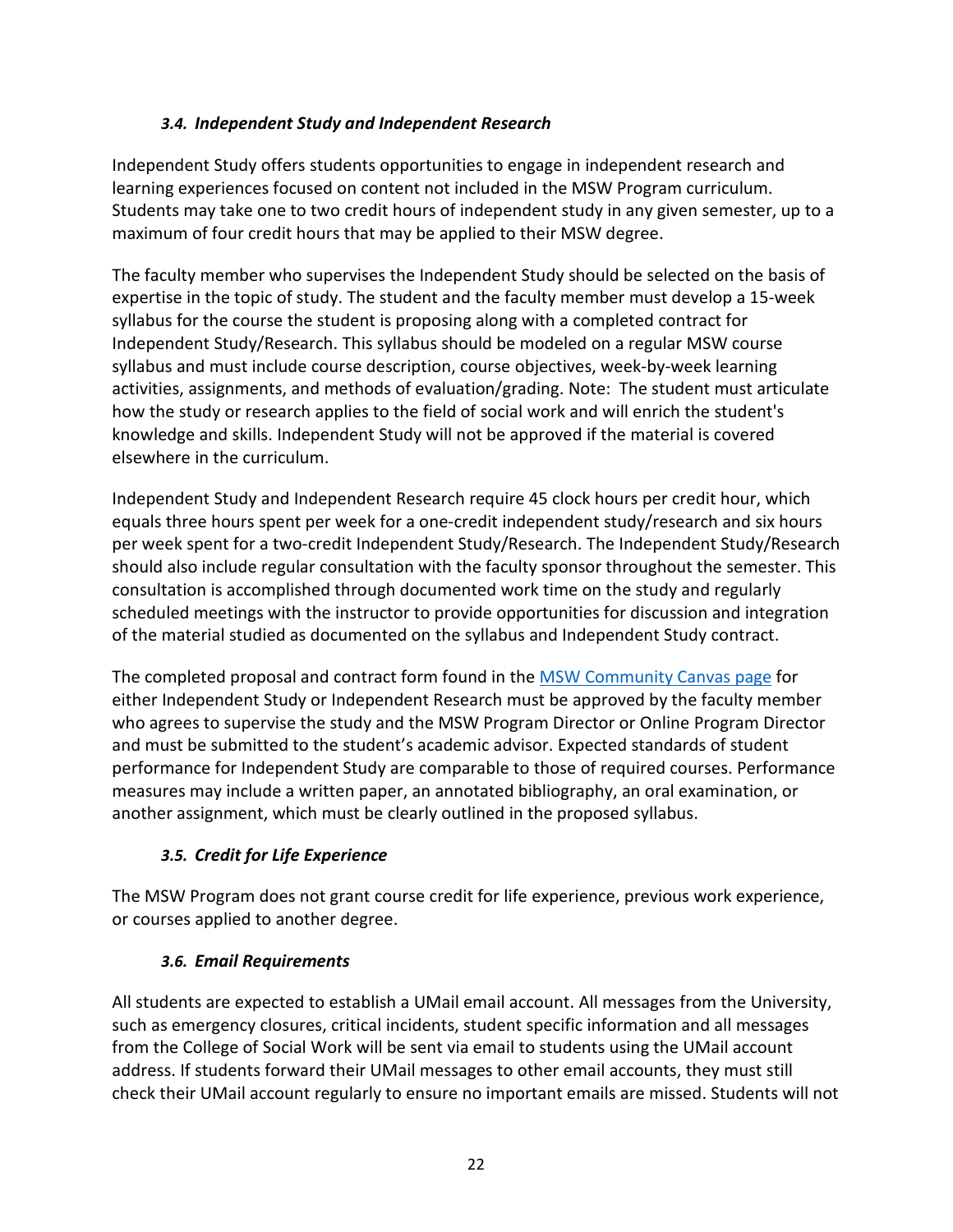### *3.4. Independent Study and Independent Research*

<span id="page-22-0"></span>Independent Study offers students opportunities to engage in independent research and learning experiences focused on content not included in the MSW Program curriculum. Students may take one to two credit hours of independent study in any given semester, up to a maximum of four credit hours that may be applied to their MSW degree.

The faculty member who supervises the Independent Study should be selected on the basis of expertise in the topic of study. The student and the faculty member must develop a 15-week syllabus for the course the student is proposing along with a completed contract for Independent Study/Research. This syllabus should be modeled on a regular MSW course syllabus and must include course description, course objectives, week-by-week learning activities, assignments, and methods of evaluation/grading. Note: The student must articulate how the study or research applies to the field of social work and will enrich the student's knowledge and skills. Independent Study will not be approved if the material is covered elsewhere in the curriculum.

Independent Study and Independent Research require 45 clock hours per credit hour, which equals three hours spent per week for a one-credit independent study/research and six hours per week spent for a two-credit Independent Study/Research. The Independent Study/Research should also include regular consultation with the faculty sponsor throughout the semester. This consultation is accomplished through documented work time on the study and regularly scheduled meetings with the instructor to provide opportunities for discussion and integration of the material studied as documented on the syllabus and Independent Study contract.

The completed proposal and contract form found in th[e MSW Community Canvas page](https://utah.instructure.com/courses/460062) for either Independent Study or Independent Research must be approved by the faculty member who agrees to supervise the study and the MSW Program Director or Online Program Director and must be submitted to the student's academic advisor. Expected standards of student performance for Independent Study are comparable to those of required courses. Performance measures may include a written paper, an annotated bibliography, an oral examination, or another assignment, which must be clearly outlined in the proposed syllabus.

# <span id="page-22-1"></span>*3.5. Credit for Life Experience*

The MSW Program does not grant course credit for life experience, previous work experience, or courses applied to another degree.

# <span id="page-22-2"></span>*3.6. Email Requirements*

All students are expected to establish a UMail email account. All messages from the University, such as emergency closures, critical incidents, student specific information and all messages from the College of Social Work will be sent via email to students using the UMail account address. If students forward their UMail messages to other email accounts, they must still check their UMail account regularly to ensure no important emails are missed. Students will not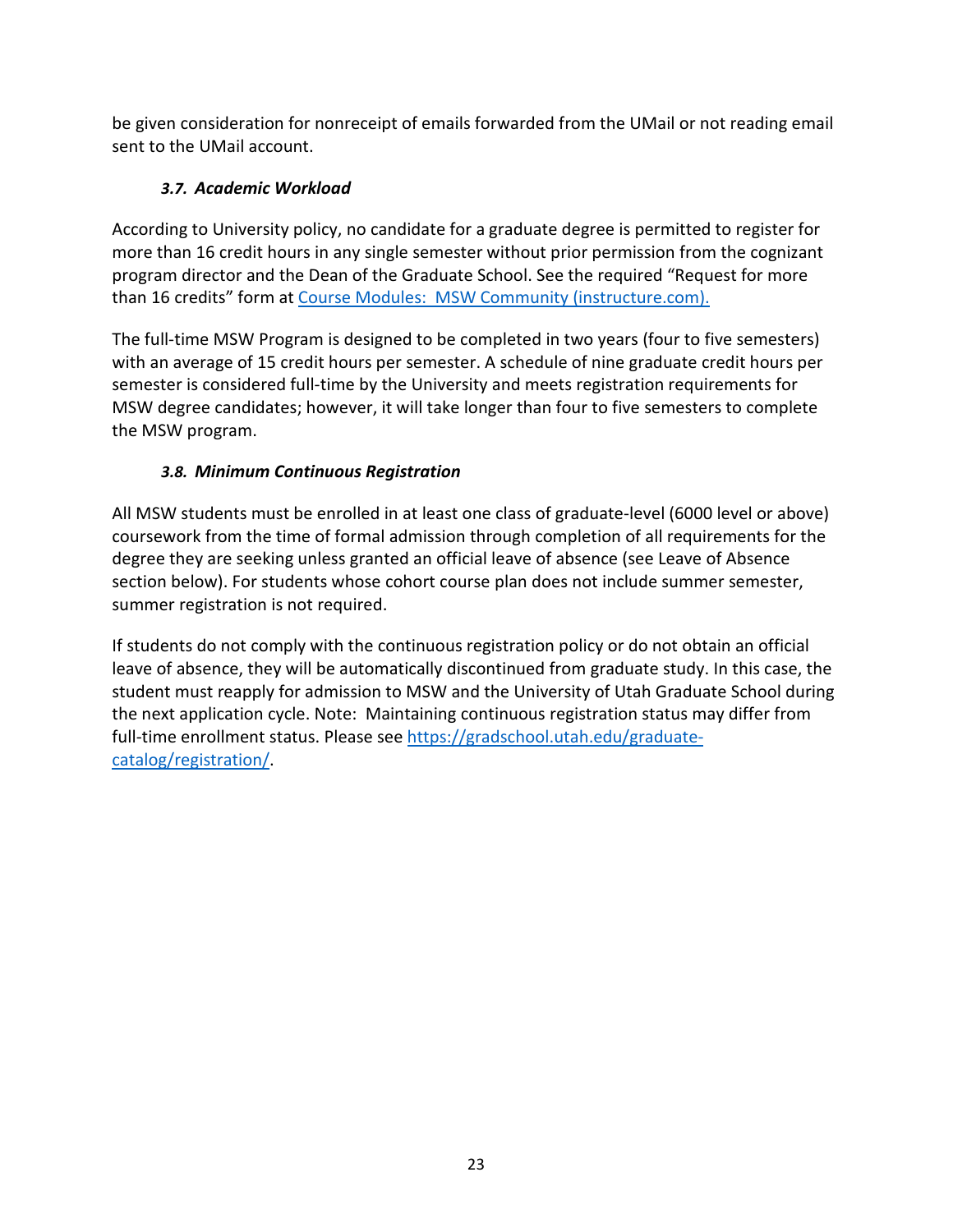be given consideration for nonreceipt of emails forwarded from the UMail or not reading email sent to the UMail account.

# <span id="page-23-0"></span>*3.7. Academic Workload*

According to University policy, no candidate for a graduate degree is permitted to register for more than 16 credit hours in any single semester without prior permission from the cognizant program director and the Dean of the Graduate School. See the required "Request for more than 16 credits" form at Course Modules: [MSW Community \(instructure.com\).](https://utah.instructure.com/courses/460062/modules)

The full-time MSW Program is designed to be completed in two years (four to five semesters) with an average of 15 credit hours per semester. A schedule of nine graduate credit hours per semester is considered full-time by the University and meets registration requirements for MSW degree candidates; however, it will take longer than four to five semesters to complete the MSW program.

# *3.8. Minimum Continuous Registration*

<span id="page-23-1"></span>All MSW students must be enrolled in at least one class of graduate-level (6000 level or above) coursework from the time of formal admission through completion of all requirements for the degree they are seeking unless granted an official leave of absence (see Leave of Absence section below). For students whose cohort course plan does not include summer semester, summer registration is not required.

If students do not comply with the continuous registration policy or do not obtain an official leave of absence, they will be automatically discontinued from graduate study. In this case, the student must reapply for admission to MSW and the University of Utah Graduate School during the next application cycle. Note: Maintaining continuous registration status may differ from full-time enrollment status. Please se[e https://gradschool.utah.edu/graduate](https://gradschool.utah.edu/graduate-catalog/registration/)[catalog/registration/.](https://gradschool.utah.edu/graduate-catalog/registration/)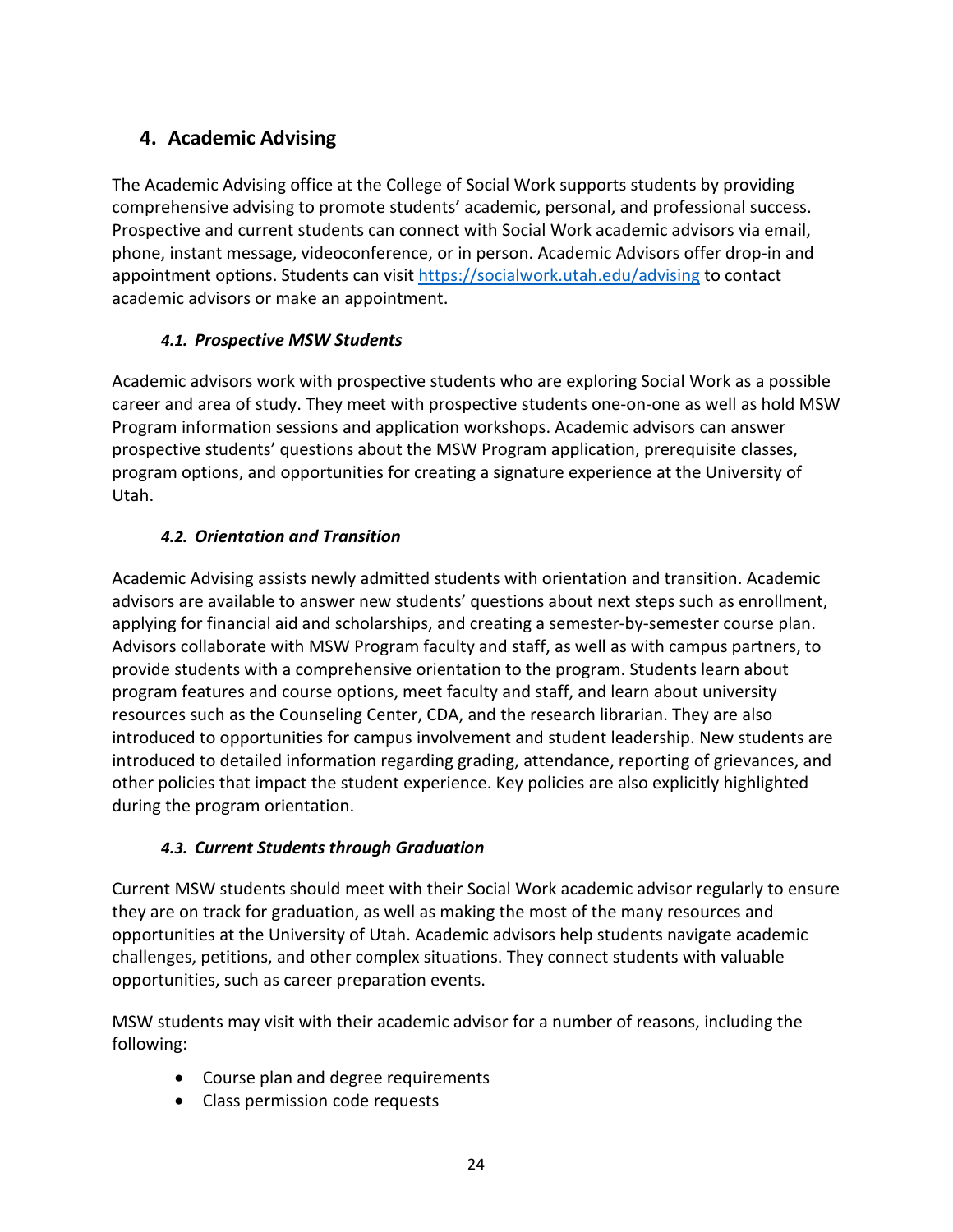# <span id="page-24-0"></span>**4. Academic Advising**

The Academic Advising office at the College of Social Work supports students by providing comprehensive advising to promote students' academic, personal, and professional success. Prospective and current students can connect with Social Work academic advisors via email, phone, instant message, videoconference, or in person. Academic Advisors offer drop-in and appointment options. Students can visit<https://socialwork.utah.edu/advising> to contact academic advisors or make an appointment.

# *4.1. Prospective MSW Students*

<span id="page-24-1"></span>Academic advisors work with prospective students who are exploring Social Work as a possible career and area of study. They meet with prospective students one-on-one as well as hold MSW Program information sessions and application workshops. Academic advisors can answer prospective students' questions about the MSW Program application, prerequisite classes, program options, and opportunities for creating a signature experience at the University of Utah.

# *4.2. Orientation and Transition*

<span id="page-24-2"></span>Academic Advising assists newly admitted students with orientation and transition. Academic advisors are available to answer new students' questions about next steps such as enrollment, applying for financial aid and scholarships, and creating a semester-by-semester course plan. Advisors collaborate with MSW Program faculty and staff, as well as with campus partners, to provide students with a comprehensive orientation to the program. Students learn about program features and course options, meet faculty and staff, and learn about university resources such as the Counseling Center, CDA, and the research librarian. They are also introduced to opportunities for campus involvement and student leadership. New students are introduced to detailed information regarding grading, attendance, reporting of grievances, and other policies that impact the student experience. Key policies are also explicitly highlighted during the program orientation.

# <span id="page-24-3"></span>*4.3. Current Students through Graduation*

Current MSW students should meet with their Social Work academic advisor regularly to ensure they are on track for graduation, as well as making the most of the many resources and opportunities at the University of Utah. Academic advisors help students navigate academic challenges, petitions, and other complex situations. They connect students with valuable opportunities, such as career preparation events.

MSW students may visit with their academic advisor for a number of reasons, including the following:

- Course plan and degree requirements
- Class permission code requests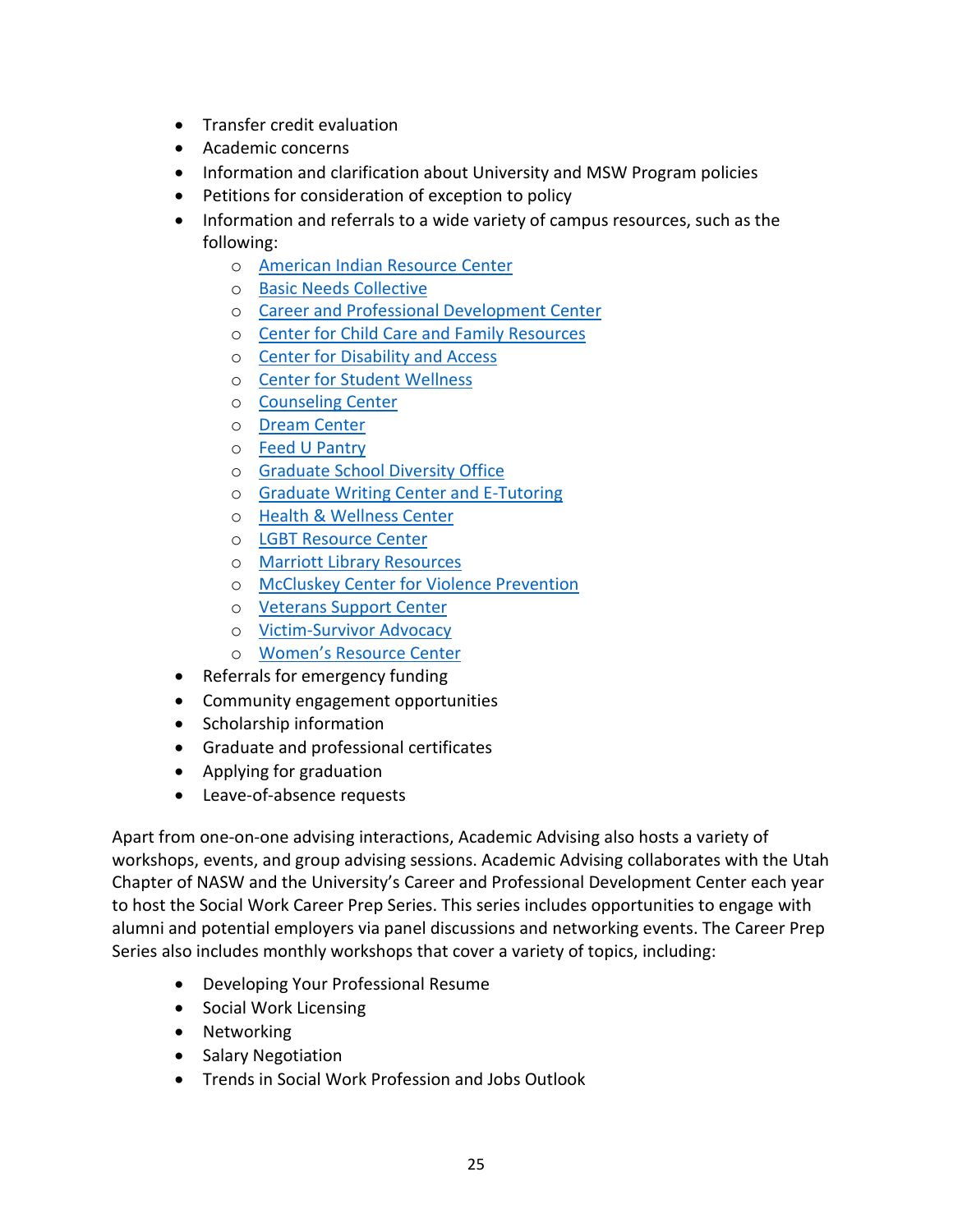- Transfer credit evaluation
- Academic concerns
- Information and clarification about University and MSW Program policies
- Petitions for consideration of exception to policy
- Information and referrals to a wide variety of campus resources, such as the following:
	- o [American Indian Resource Center](https://diversity.utah.edu/centers/airc/)
	- o [Basic Needs Collective](https://basicneeds.utah.edu/)
	- o [Career and Professional Development Center](https://careers.utah.edu/)
	- o [Center for Child Care and Family Resources](https://childcare.utah.edu/)
	- o [Center for Disability and Access](https://disability.utah.edu/)
	- o [Center for Student Wellness](https://wellness.utah.edu/)
	- o [Counseling Center](https://counselingcenter.utah.edu/)
	- o [Dream Center](https://dream.utah.edu/)
	- o [Feed U Pantry](https://union.utah.edu/resources-spaces/feed-u-pantry/)
	- o [Graduate School Diversity Office](https://gradschool.utah.edu/diversity/)
	- o [Graduate Writing Center and E-Tutoring](https://writingcenter.utah.edu/grad-student-services.php)
	- o [Health & Wellness Center](https://healthcare.utah.edu/locations/health-wellness/)
	- o [LGBT Resource Center](https://lgbt.utah.edu/)
	- o [Marriott Library Resources](https://lib.utah.edu/)
	- o [McCluskey Center for Violence Prevention](https://violenceprevention.utah.edu/)
	- o [Veterans Support Center](https://veteranscenter.utah.edu/)
	- o [Victim-Survivor Advocacy](https://wellness.utah.edu/victim-survivor-advocacy/)
	- o [Women's Resource Center](https://womenscenter.utah.edu/)
- Referrals for emergency funding
- Community engagement opportunities
- Scholarship information
- Graduate and professional certificates
- Applying for graduation
- Leave-of-absence requests

Apart from one-on-one advising interactions, Academic Advising also hosts a variety of workshops, events, and group advising sessions. Academic Advising collaborates with the Utah Chapter of NASW and the University's Career and Professional Development Center each year to host the Social Work Career Prep Series. This series includes opportunities to engage with alumni and potential employers via panel discussions and networking events. The Career Prep Series also includes monthly workshops that cover a variety of topics, including:

- Developing Your Professional Resume
- Social Work Licensing
- Networking
- Salary Negotiation
- Trends in Social Work Profession and Jobs Outlook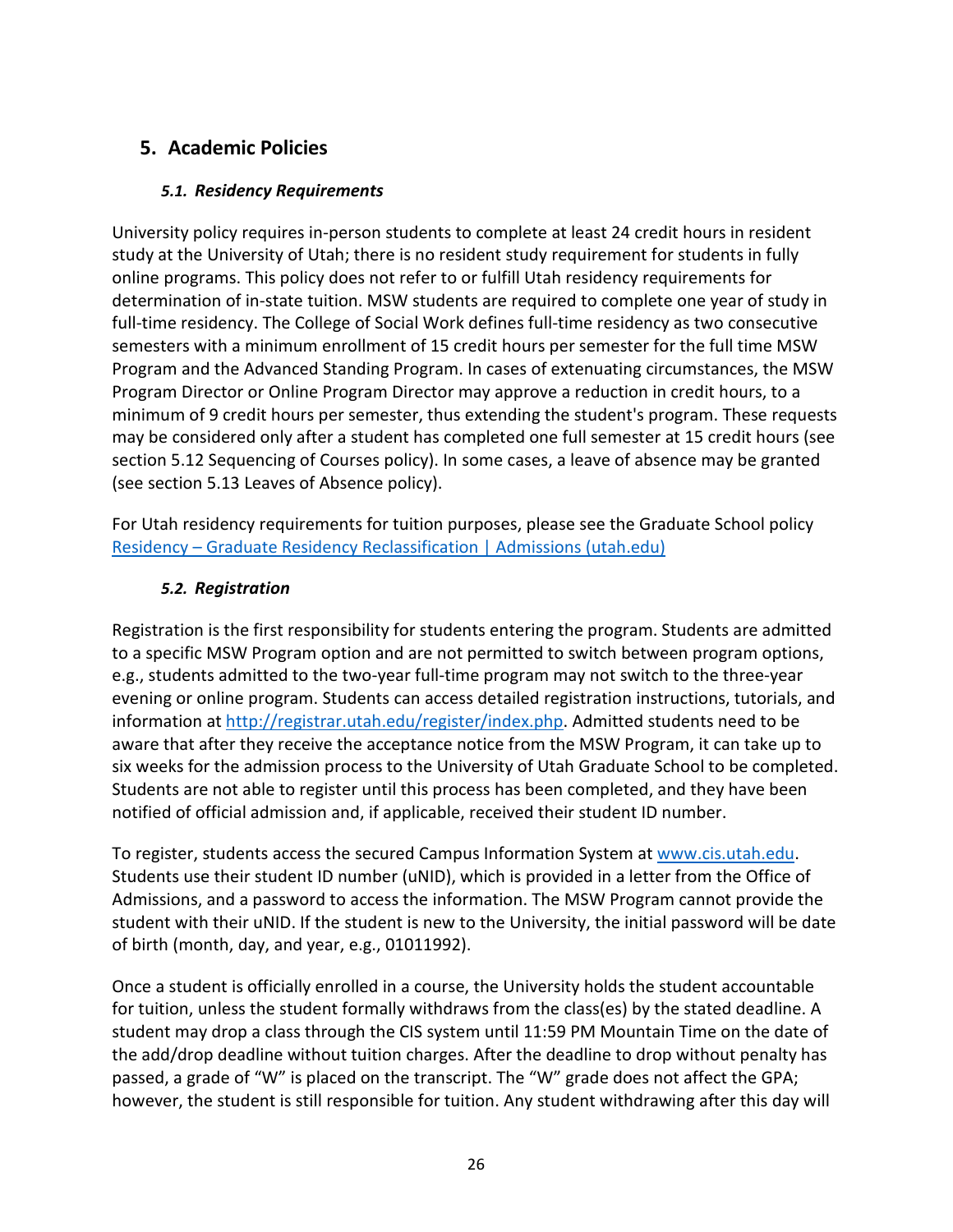# <span id="page-26-1"></span><span id="page-26-0"></span>**5. Academic Policies**

### *5.1. Residency Requirements*

University policy requires in-person students to complete at least 24 credit hours in resident study at the University of Utah; there is no resident study requirement for students in fully online programs. This policy does not refer to or fulfill Utah residency requirements for determination of in-state tuition. MSW students are required to complete one year of study in full-time residency. The College of Social Work defines full-time residency as two consecutive semesters with a minimum enrollment of 15 credit hours per semester for the full time MSW Program and the Advanced Standing Program. In cases of extenuating circumstances, the MSW Program Director or Online Program Director may approve a reduction in credit hours, to a minimum of 9 credit hours per semester, thus extending the student's program. These requests may be considered only after a student has completed one full semester at 15 credit hours (see section 5.12 Sequencing of Courses policy). In some cases, a leave of absence may be granted (see section 5.13 Leaves of Absence policy).

For Utah residency requirements for tuition purposes, please see the Graduate School policy Residency – [Graduate Residency Reclassification | Admissions \(utah.edu\)](https://admissions.utah.edu/residency-graduate-residency-reclassification/)

### *5.2. Registration*

<span id="page-26-2"></span>Registration is the first responsibility for students entering the program. Students are admitted to a specific MSW Program option and are not permitted to switch between program options, e.g., students admitted to the two-year full-time program may not switch to the three-year evening or online program. Students can access detailed registration instructions, tutorials, and information at [http://registrar.utah.edu/register/index.php.](http://registrar.utah.edu/register/index.php) Admitted students need to be aware that after they receive the acceptance notice from the MSW Program, it can take up to six weeks for the admission process to the University of Utah Graduate School to be completed. Students are not able to register until this process has been completed, and they have been notified of official admission and, if applicable, received their student ID number.

To register, students access the secured Campus Information System at [www.cis.utah.edu.](http://www.cis.utah.edu/) Students use their student ID number (uNID), which is provided in a letter from the Office of Admissions, and a password to access the information. The MSW Program cannot provide the student with their uNID. If the student is new to the University, the initial password will be date of birth (month, day, and year, e.g., 01011992).

Once a student is officially enrolled in a course, the University holds the student accountable for tuition, unless the student formally withdraws from the class(es) by the stated deadline. A student may drop a class through the CIS system until 11:59 PM Mountain Time on the date of the add/drop deadline without tuition charges. After the deadline to drop without penalty has passed, a grade of "W" is placed on the transcript. The "W" grade does not affect the GPA; however, the student is still responsible for tuition. Any student withdrawing after this day will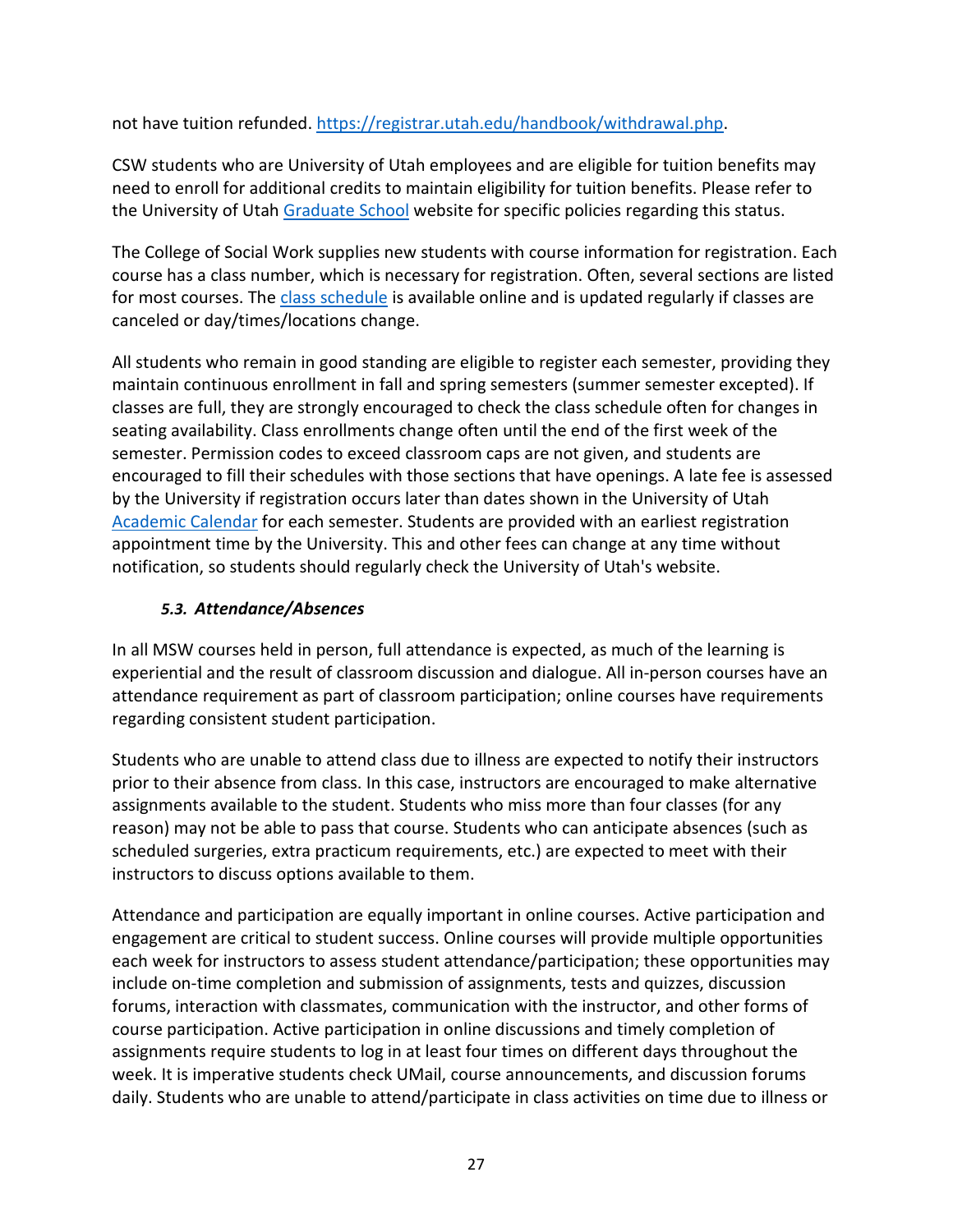not have tuition refunded. [https://registrar.utah.edu/handbook/withdrawal.php.](https://registrar.utah.edu/handbook/withdrawal.php)

CSW students who are University of Utah employees and are eligible for tuition benefits may need to enroll for additional credits to maintain eligibility for tuition benefits. Please refer to the University of Utah [Graduate School](https://gradschool.utah.edu/) website for specific policies regarding this status.

The College of Social Work supplies new students with course information for registration. Each course has a class number, which is necessary for registration. Often, several sections are listed for most courses. The [class schedule](https://student.apps.utah.edu/uofu/stu/ClassSchedules/main/1228/index.html) is available online and is updated regularly if classes are canceled or day/times/locations change.

All students who remain in good standing are eligible to register each semester, providing they maintain continuous enrollment in fall and spring semesters (summer semester excepted). If classes are full, they are strongly encouraged to check the class schedule often for changes in seating availability. Class enrollments change often until the end of the first week of the semester. Permission codes to exceed classroom caps are not given, and students are encouraged to fill their schedules with those sections that have openings. A late fee is assessed by the University if registration occurs later than dates shown in the University of Utah [Academic Calendar](https://registrar.utah.edu/academic-calendars/index.php) for each semester. Students are provided with an earliest registration appointment time by the University. This and other fees can change at any time without notification, so students should regularly check the University of Utah's website.

### *5.3. Attendance/Absences*

<span id="page-27-0"></span>In all MSW courses held in person, full attendance is expected, as much of the learning is experiential and the result of classroom discussion and dialogue. All in-person courses have an attendance requirement as part of classroom participation; online courses have requirements regarding consistent student participation.

Students who are unable to attend class due to illness are expected to notify their instructors prior to their absence from class. In this case, instructors are encouraged to make alternative assignments available to the student. Students who miss more than four classes (for any reason) may not be able to pass that course. Students who can anticipate absences (such as scheduled surgeries, extra practicum requirements, etc.) are expected to meet with their instructors to discuss options available to them.

Attendance and participation are equally important in online courses. Active participation and engagement are critical to student success. Online courses will provide multiple opportunities each week for instructors to assess student attendance/participation; these opportunities may include on-time completion and submission of assignments, tests and quizzes, discussion forums, interaction with classmates, communication with the instructor, and other forms of course participation. Active participation in online discussions and timely completion of assignments require students to log in at least four times on different days throughout the week. It is imperative students check UMail, course announcements, and discussion forums daily. Students who are unable to attend/participate in class activities on time due to illness or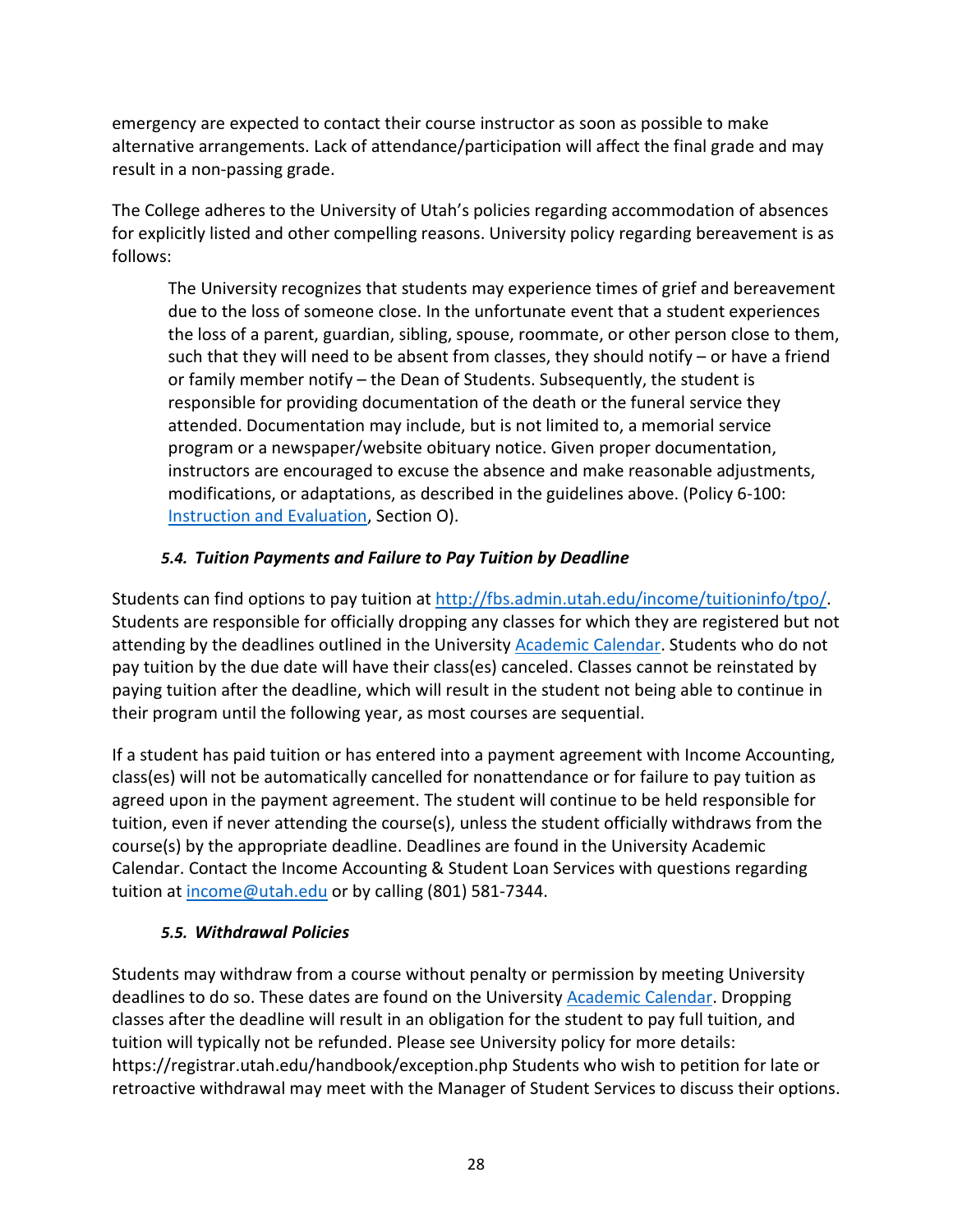emergency are expected to contact their course instructor as soon as possible to make alternative arrangements. Lack of attendance/participation will affect the final grade and may result in a non-passing grade.

The College adheres to the University of Utah's policies regarding accommodation of absences for explicitly listed and other compelling reasons. University policy regarding bereavement is as follows:

The University recognizes that students may experience times of grief and bereavement due to the loss of someone close. In the unfortunate event that a student experiences the loss of a parent, guardian, sibling, spouse, roommate, or other person close to them, such that they will need to be absent from classes, they should notify  $-$  or have a friend or family member notify – the Dean of Students. Subsequently, the student is responsible for providing documentation of the death or the funeral service they attended. Documentation may include, but is not limited to, a memorial service program or a newspaper/website obituary notice. Given proper documentation, instructors are encouraged to excuse the absence and make reasonable adjustments, modifications, or adaptations, as described in the guidelines above. (Policy 6-100: [Instruction and Evaluation,](https://regulations.utah.edu/academics/6-100.php) Section O).

### *5.4. Tuition Payments and Failure to Pay Tuition by Deadline*

<span id="page-28-0"></span>Students can find options to pay tuition at [http://fbs.admin.utah.edu/income/tuitioninfo/tpo/.](http://fbs.admin.utah.edu/income/tuitioninfo/tpo/) Students are responsible for officially dropping any classes for which they are registered but not attending by the deadlines outlined in the University [Academic Calendar.](https://registrar.utah.edu/academic-calendars/index.php) Students who do not pay tuition by the due date will have their class(es) canceled. Classes cannot be reinstated by paying tuition after the deadline, which will result in the student not being able to continue in their program until the following year, as most courses are sequential.

If a student has paid tuition or has entered into a payment agreement with Income Accounting, class(es) will not be automatically cancelled for nonattendance or for failure to pay tuition as agreed upon in the payment agreement. The student will continue to be held responsible for tuition, even if never attending the course(s), unless the student officially withdraws from the course(s) by the appropriate deadline. Deadlines are found in the University Academic Calendar. Contact the Income Accounting & Student Loan Services with questions regarding tuition a[t income@utah.edu](mailto:income@utah.edu) or by calling (801) 581-7344.

### *5.5. Withdrawal Policies*

<span id="page-28-1"></span>Students may withdraw from a course without penalty or permission by meeting University deadlines to do so. These dates are found on the University [Academic Calendar.](https://registrar.utah.edu/academic-calendars/index.php) Dropping classes after the deadline will result in an obligation for the student to pay full tuition, and tuition will typically not be refunded. Please see University policy for more details: <https://registrar.utah.edu/handbook/exception.php> Students who wish to petition for late or retroactive withdrawal may meet with the Manager of Student Services to discuss their options.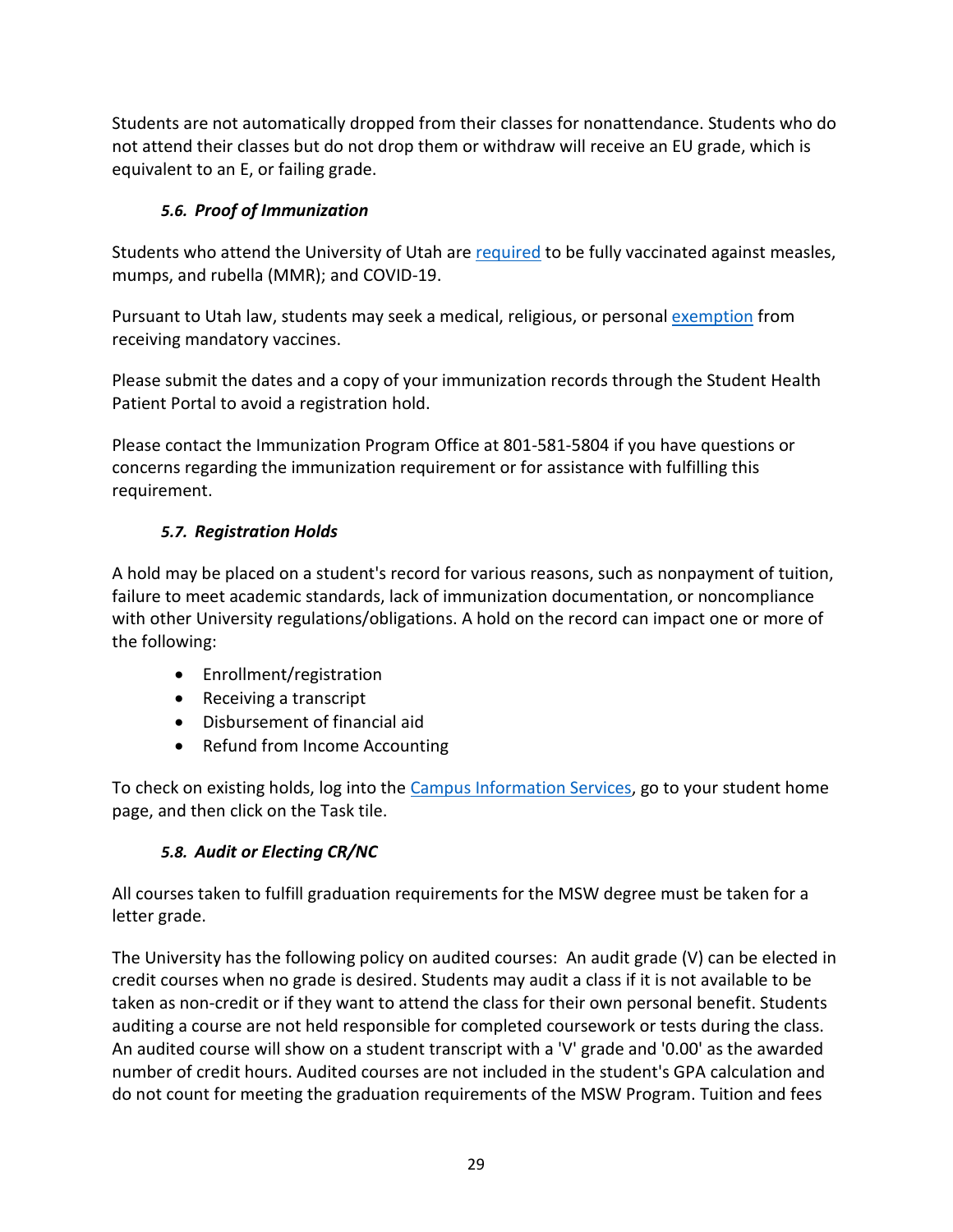Students are not automatically dropped from their classes for nonattendance. Students who do not attend their classes but do not drop them or withdraw will receive an EU grade, which is equivalent to an E, or failing grade.

# *5.6. Proof of Immunization*

<span id="page-29-0"></span>Students who attend the University of Utah ar[e required](https://studenthealth.utah.edu/services/immunizations/) to be fully vaccinated against measles, mumps, and rubella (MMR); and COVID-19.

Pursuant to Utah law, students may seek a medical, religious, or personal [exemption](https://utahsa.az1.qualtrics.com/jfe/form/SV_9X3vkjiFIgrvym2) from receiving mandatory vaccines.

Please submit the dates and a copy of your immunization records through the [Student Health](https://utah.medicatconnect.com/login.aspx)  [Patient Portal](https://utah.medicatconnect.com/login.aspx) to avoid a registration hold.

Please contact the [Immunization](https://studenthealth.test.utah.edu/services/immunizations/index.php) Program Office at 801-581-5804 if you have questions or concerns regarding the immunization requirement or for assistance with fulfilling this requirement.

# <span id="page-29-1"></span>*5.7. Registration Holds*

A hold may be placed on a student's record for various reasons, such as nonpayment of tuition, failure to meet academic standards, lack of immunization documentation, or noncompliance with other University regulations/obligations. A hold on the record can impact one or more of the following:

- Enrollment/registration
- Receiving a transcript
- Disbursement of financial aid
- Refund from Income Accounting

To check on existing holds, log into the [Campus Information Services,](http://www.cis.utah.edu/) go to your student home page, and then click on the Task tile.

# *5.8. Audit or Electing CR/NC*

<span id="page-29-2"></span>All courses taken to fulfill graduation requirements for the MSW degree must be taken for a letter grade.

The University has the following policy on audited courses: An audit grade (V) can be elected in credit courses when no grade is desired. Students may audit a class if it is not available to be taken as non-credit or if they want to attend the class for their own personal benefit. Students auditing a course are not held responsible for completed coursework or tests during the class. An audited course will show on a student transcript with a 'V' grade and '0.00' as the awarded number of credit hours. Audited courses are not included in the student's GPA calculation and do not count for meeting the graduation requirements of the MSW Program. Tuition and fees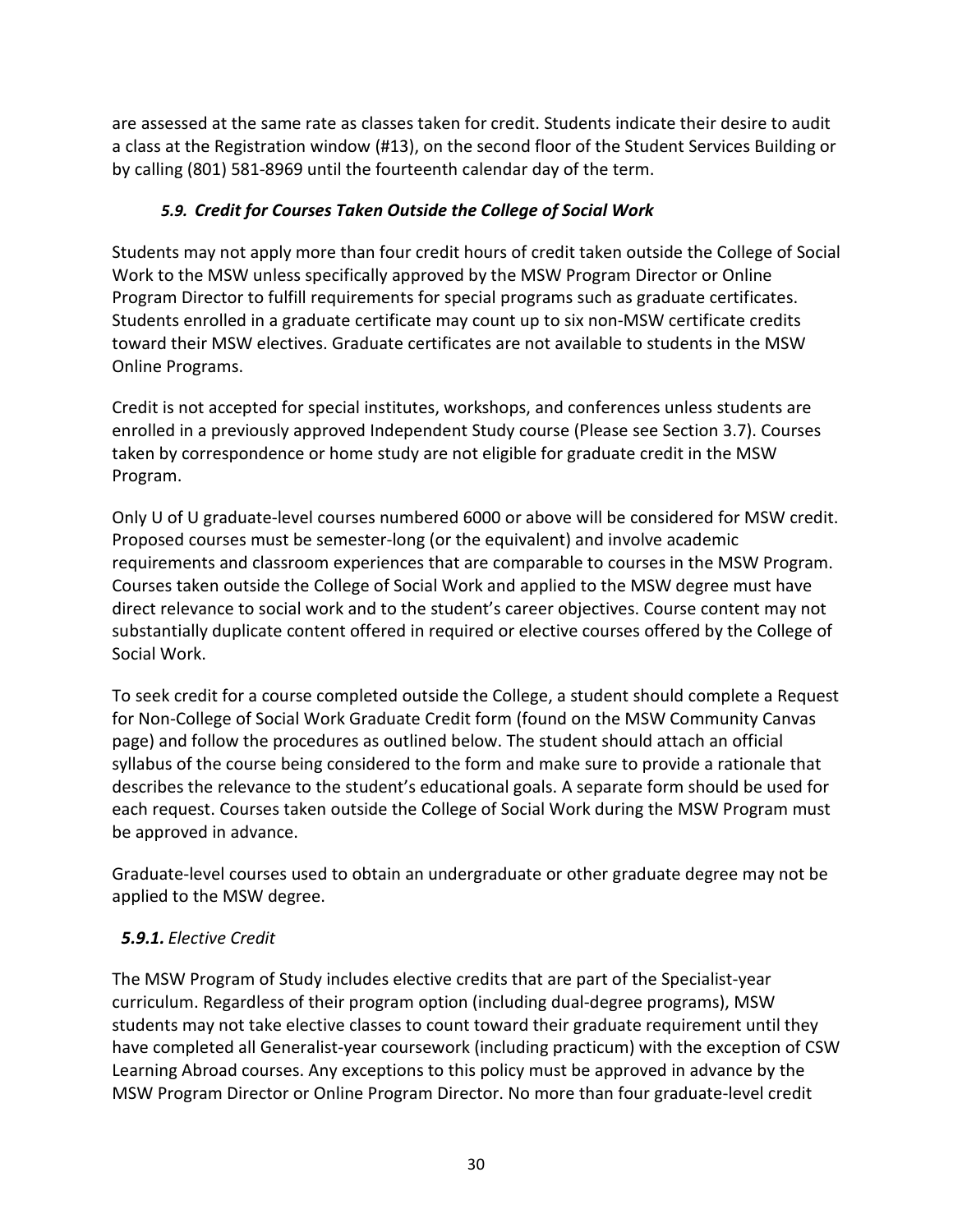are assessed at the same rate as classes taken for credit. Students indicate their desire to audit a class at the Registration window (#13), on the second floor of the Student Services Building or by calling (801) 581-8969 until the fourteenth calendar day of the term.

# *5.9. Credit for Courses Taken Outside the College of Social Work*

<span id="page-30-0"></span>Students may not apply more than four credit hours of credit taken outside the College of Social Work to the MSW unless specifically approved by the MSW Program Director or Online Program Director to fulfill requirements for special programs such as graduate certificates. Students enrolled in a graduate certificate may count up to six non-MSW certificate credits toward their MSW electives. Graduate certificates are not available to students in the MSW Online Programs.

Credit is not accepted for special institutes, workshops, and conferences unless students are enrolled in a previously approved Independent Study course (Please see Section 3.7). Courses taken by correspondence or home study are not eligible for graduate credit in the MSW Program.

Only U of U graduate-level courses numbered 6000 or above will be considered for MSW credit. Proposed courses must be semester-long (or the equivalent) and involve academic requirements and classroom experiences that are comparable to courses in the MSW Program. Courses taken outside the College of Social Work and applied to the MSW degree must have direct relevance to social work and to the student's career objectives. Course content may not substantially duplicate content offered in required or elective courses offered by the College of Social Work.

To seek credit for a course completed outside the College, a student should complete a Request for Non-College of Social Work Graduate Credit form (found on the MSW Community Canvas page) and follow the procedures as outlined below. The student should attach an official syllabus of the course being considered to the form and make sure to provide a rationale that describes the relevance to the student's educational goals. A separate form should be used for each request. Courses taken outside the College of Social Work during the MSW Program must be approved in advance.

Graduate-level courses used to obtain an undergraduate or other graduate degree may not be applied to the MSW degree.

# <span id="page-30-1"></span>*5.9.1. Elective Credit*

The MSW Program of Study includes elective credits that are part of the Specialist-year curriculum. Regardless of their program option (including dual-degree programs), MSW students may not take elective classes to count toward their graduate requirement until they have completed all Generalist-year coursework (including practicum) with the exception of CSW Learning Abroad courses. Any exceptions to this policy must be approved in advance by the MSW Program Director or Online Program Director. No more than four graduate-level credit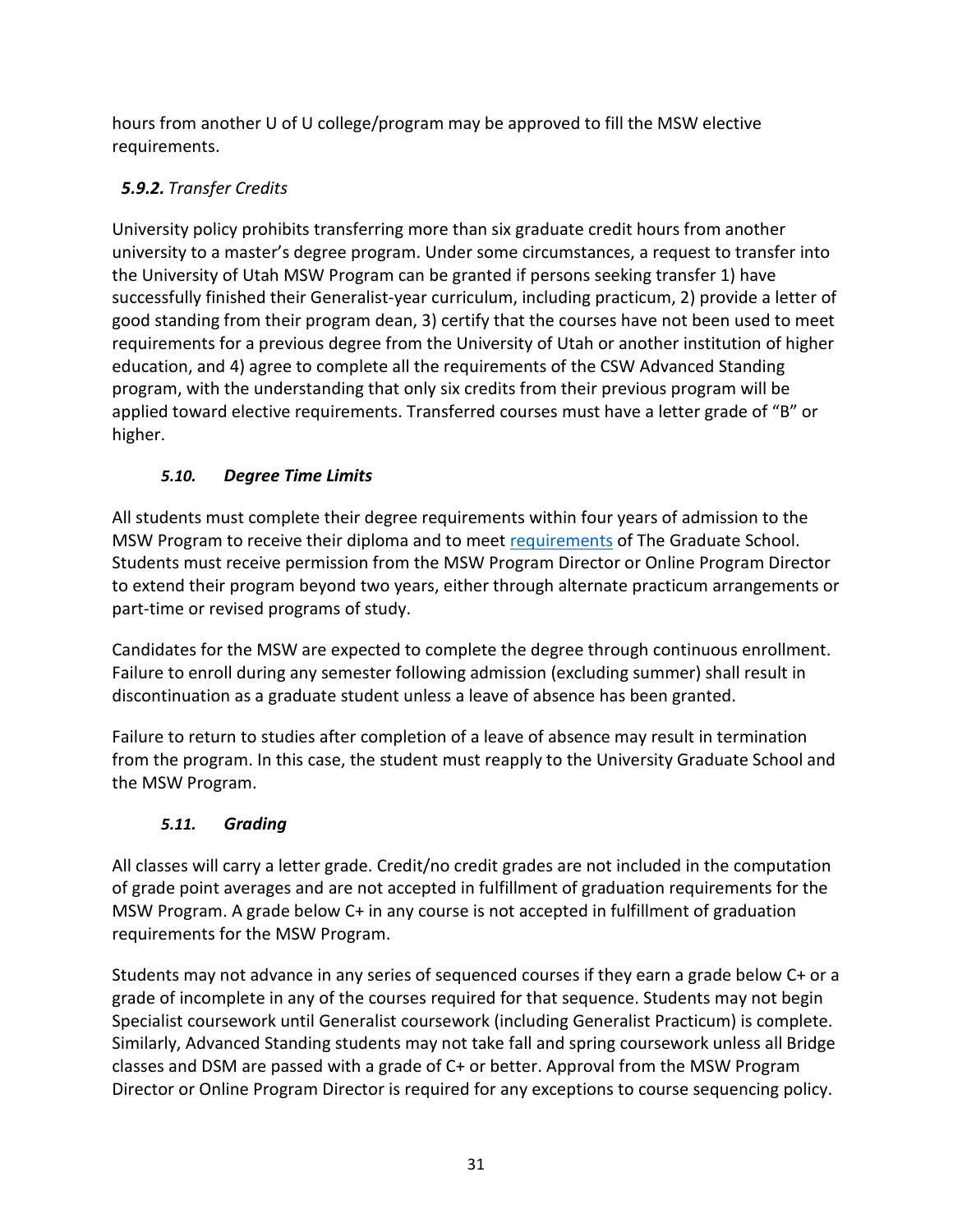hours from another U of U college/program may be approved to fill the MSW elective requirements.

# <span id="page-31-0"></span>*5.9.2. Transfer Credits*

University policy prohibits transferring more than six graduate credit hours from another university to a master's degree program. Under some circumstances, a request to transfer into the University of Utah MSW Program can be granted if persons seeking transfer 1) have successfully finished their Generalist-year curriculum, including practicum, 2) provide a letter of good standing from their program dean, 3) certify that the courses have not been used to meet requirements for a previous degree from the University of Utah or another institution of higher education, and 4) agree to complete all the requirements of the CSW Advanced Standing program, with the understanding that only six credits from their previous program will be applied toward elective requirements. Transferred courses must have a letter grade of "B" or higher.

# *5.10. Degree Time Limits*

<span id="page-31-1"></span>All students must complete their degree requirements within four years of admission to the MSW Program to receive their diploma and to mee[t requirements](https://gradschool.utah.edu/navigating-grad-school/degree-requirements/index.php) of The Graduate School. Students must receive permission from the MSW Program Director or Online Program Director to extend their program beyond two years, either through alternate practicum arrangements or part-time or revised programs of study.

Candidates for the MSW are expected to complete the degree through continuous enrollment. Failure to enroll during any semester following admission (excluding summer) shall result in discontinuation as a graduate student unless a leave of absence has been granted.

Failure to return to studies after completion of a leave of absence may result in termination from the program. In this case, the student must reapply to the University Graduate School and the MSW Program.

# *5.11. Grading*

<span id="page-31-2"></span>All classes will carry a letter grade. Credit/no credit grades are not included in the computation of grade point averages and are not accepted in fulfillment of graduation requirements for the MSW Program. A grade below C+ in any course is not accepted in fulfillment of graduation requirements for the MSW Program.

Students may not advance in any series of sequenced courses if they earn a grade below C+ or a grade of incomplete in any of the courses required for that sequence. Students may not begin Specialist coursework until Generalist coursework (including Generalist Practicum) is complete. Similarly, Advanced Standing students may not take fall and spring coursework unless all Bridge classes and DSM are passed with a grade of C+ or better. Approval from the MSW Program Director or Online Program Director is required for any exceptions to course sequencing policy.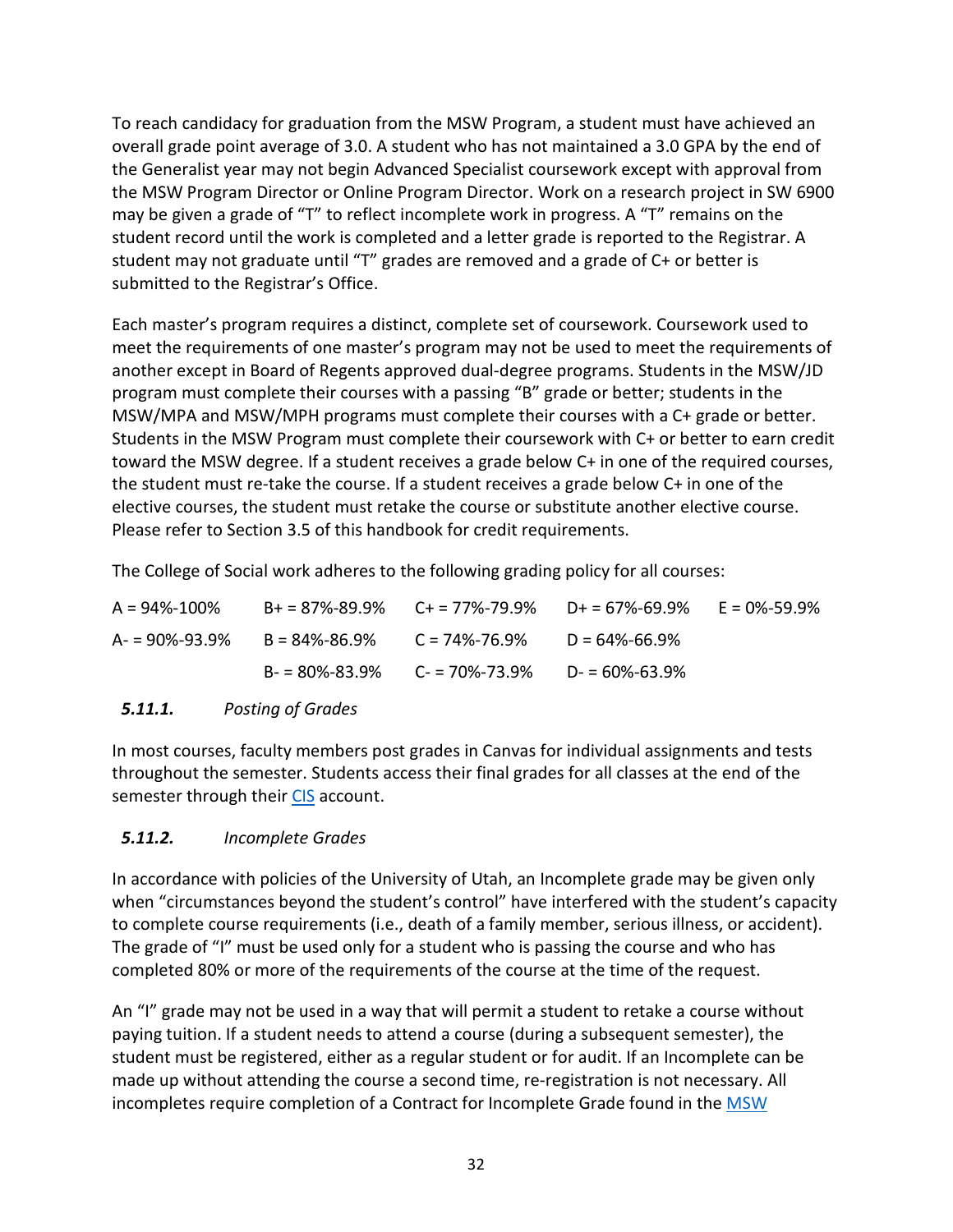To reach candidacy for graduation from the MSW Program, a student must have achieved an overall grade point average of 3.0. A student who has not maintained a 3.0 GPA by the end of the Generalist year may not begin Advanced Specialist coursework except with approval from the MSW Program Director or Online Program Director. Work on a research project in SW 6900 may be given a grade of "T" to reflect incomplete work in progress. A "T" remains on the student record until the work is completed and a letter grade is reported to the Registrar. A student may not graduate until "T" grades are removed and a grade of C+ or better is submitted to the Registrar's Office.

Each master's program requires a distinct, complete set of coursework. Coursework used to meet the requirements of one master's program may not be used to meet the requirements of another except in Board of Regents approved dual-degree programs. Students in the MSW/JD program must complete their courses with a passing "B" grade or better; students in the MSW/MPA and MSW/MPH programs must complete their courses with a C+ grade or better. Students in the MSW Program must complete their coursework with C+ or better to earn credit toward the MSW degree. If a student receives a grade below C+ in one of the required courses, the student must re-take the course. If a student receives a grade below C+ in one of the elective courses, the student must retake the course or substitute another elective course. Please refer to Section 3.5 of this handbook for credit requirements.

The College of Social work adheres to the following grading policy for all courses:

| $A = 94\% - 100\%$ | $B+ = 87\% - 89.9\%$ $C+ = 77\% - 79.9\%$ $D+ = 67\% - 69.9\%$ |                     | E = 0%-59.9% |
|--------------------|----------------------------------------------------------------|---------------------|--------------|
|                    | $A = 90\% - 93.9\%$ B = 84%-86.9% C = 74%-76.9%                | $D = 64\% - 66.9\%$ |              |
|                    | $B - 80\% - 83.9\%$ $C - 70\% - 73.9\%$ $D - 60\% - 63.9\%$    |                     |              |

### <span id="page-32-0"></span>*5.11.1. Posting of Grades*

In most courses, faculty members post grades in Canvas for individual assignments and tests throughout the semester. Students access their final grades for all classes at the end of the semester through their [CIS](http://www.cis.utah.edu/) account.

# <span id="page-32-1"></span>*5.11.2. Incomplete Grades*

In accordance with policies of the University of Utah, an Incomplete grade may be given only when "circumstances beyond the student's control" have interfered with the student's capacity to complete course requirements (i.e., death of a family member, serious illness, or accident). The grade of "I" must be used only for a student who is passing the course and who has completed 80% or more of the requirements of the course at the time of the request.

An "I" grade may not be used in a way that will permit a student to retake a course without paying tuition. If a student needs to attend a course (during a subsequent semester), the student must be registered, either as a regular student or for audit. If an Incomplete can be made up without attending the course a second time, re-registration is not necessary. All incompletes require completion of a Contract for Incomplete Grade found in the [MSW](https://utah.instructure.com/courses/460062)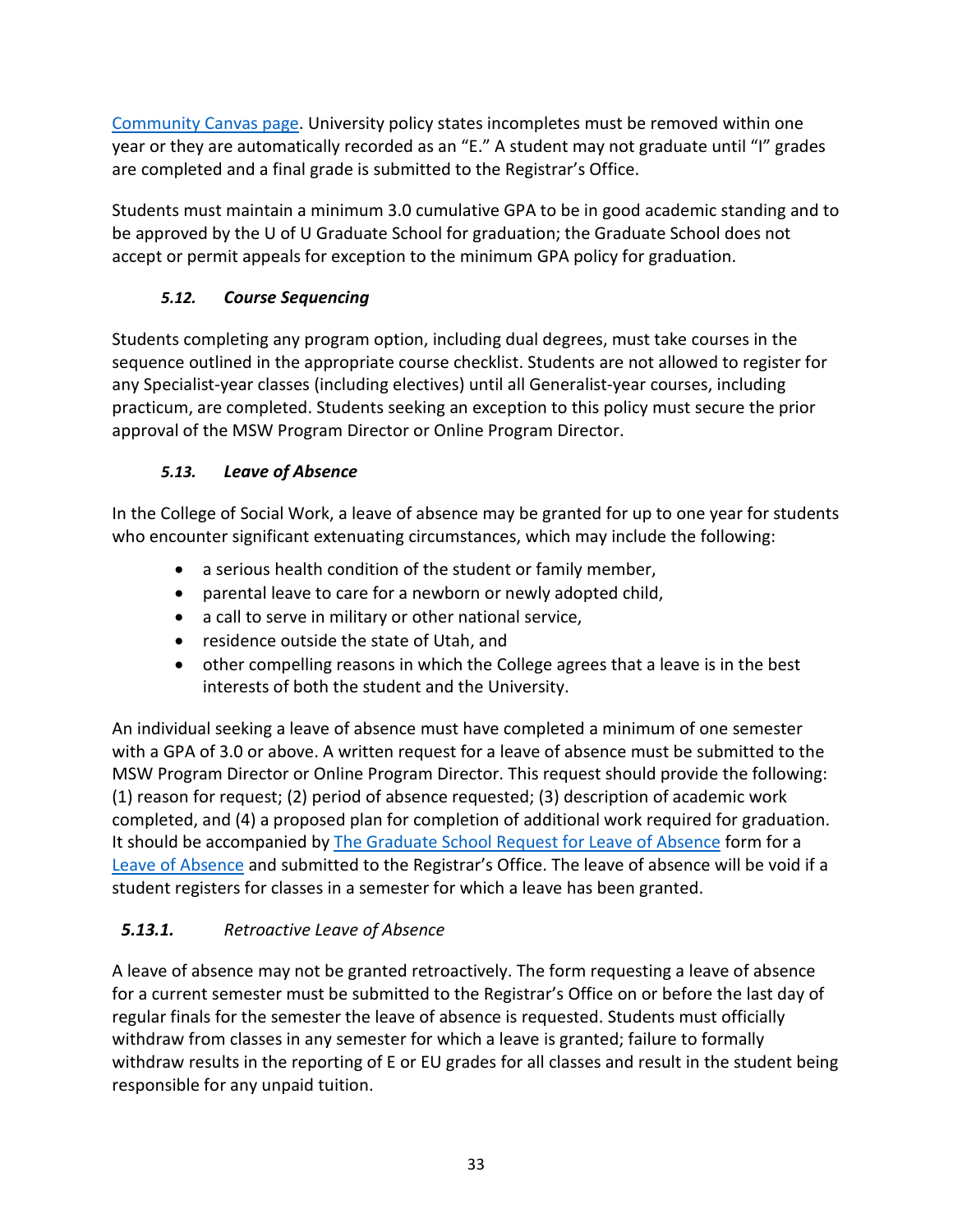[Community Canvas page.](https://utah.instructure.com/courses/460062) University policy states incompletes must be removed within one year or they are automatically recorded as an "E." A student may not graduate until "I" grades are completed and a final grade is submitted to the Registrar's Office.

Students must maintain a minimum 3.0 cumulative GPA to be in good academic standing and to be approved by the U of U Graduate School for graduation; the Graduate School does not accept or permit appeals for exception to the minimum GPA policy for graduation.

# *5.12. Course Sequencing*

<span id="page-33-0"></span>Students completing any program option, including dual degrees, must take courses in the sequence outlined in the appropriate course checklist. Students are not allowed to register for any Specialist-year classes (including electives) until all Generalist-year courses, including practicum, are completed. Students seeking an exception to this policy must secure the prior approval of the MSW Program Director or Online Program Director.

# *5.13. Leave of Absence*

<span id="page-33-1"></span>In the College of Social Work, a leave of absence may be granted for up to one year for students who encounter significant extenuating circumstances, which may include the following:

- a serious health condition of the student or family member,
- parental leave to care for a newborn or newly adopted child,
- a call to serve in military or other national service,
- residence outside the state of Utah, and
- other compelling reasons in which the College agrees that a leave is in the best interests of both the student and the University.

An individual seeking a leave of absence must have completed a minimum of one semester with a GPA of 3.0 or above. A written request for a leave of absence must be submitted to the MSW Program Director or Online Program Director. This request should provide the following: (1) reason for request; (2) period of absence requested; (3) description of academic work completed, and (4) a proposed plan for completion of additional work required for graduation. It should be accompanied by [The Graduate School Request for Leave of Absence](https://registrar.utah.edu/_resources/documents/pdf/graduate-leave-absence.pdf) form for a [Leave of Absence](https://gradschool.utah.edu/navigating-grad-school/graduate-policies/registration.php) and submitted to the Registrar's Office. The leave of absence will be void if a student registers for classes in a semester for which a leave has been granted.

# <span id="page-33-2"></span>*5.13.1. Retroactive Leave of Absence*

A leave of absence may not be granted retroactively. The form requesting a leave of absence for a current semester must be submitted to the Registrar's Office on or before the last day of regular finals for the semester the leave of absence is requested. Students must officially withdraw from classes in any semester for which a leave is granted; failure to formally withdraw results in the reporting of E or EU grades for all classes and result in the student being responsible for any unpaid tuition.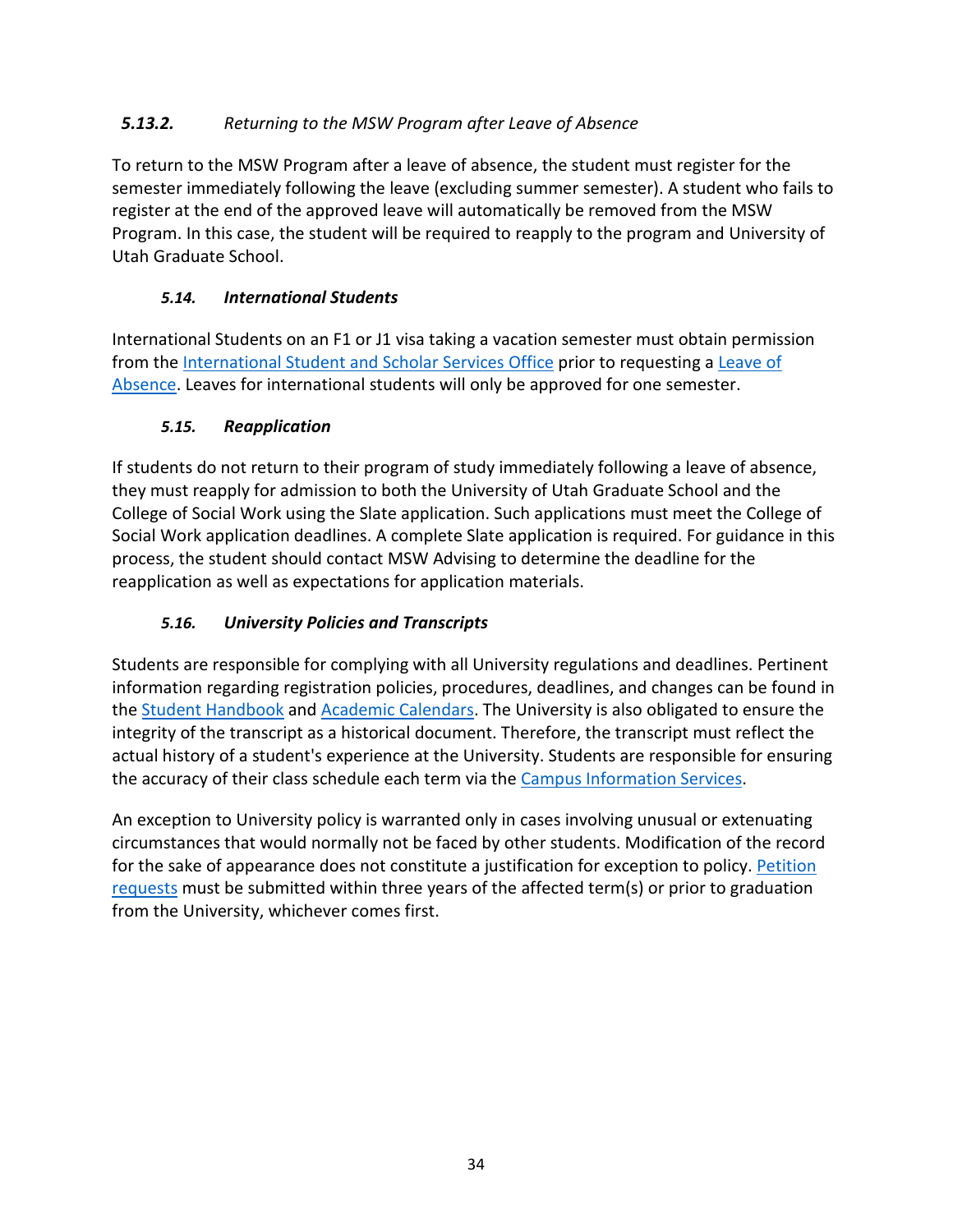# <span id="page-34-0"></span>*5.13.2. Returning to the MSW Program after Leave of Absence*

To return to the MSW Program after a leave of absence, the student must register for the semester immediately following the leave (excluding summer semester). A student who fails to register at the end of the approved leave will automatically be removed from the MSW Program. In this case, the student will be required to reapply to the program and University of Utah Graduate School.

# *5.14. International Students*

<span id="page-34-1"></span>International Students on an F1 or J1 visa taking a vacation semester must obtain permission from the [International Student and Scholar Services Office](https://admissions.utah.edu/international-graduate/) prior to requesting a [Leave of](https://registrar.utah.edu/_resources/documents/pdf/graduate-leave-absence.pdf)  [Absence.](https://registrar.utah.edu/_resources/documents/pdf/graduate-leave-absence.pdf) Leaves for international students will only be approved for one semester.

### <span id="page-34-2"></span>*5.15. Reapplication*

If students do not return to their program of study immediately following a leave of absence, they must reapply for admission to both the University of Utah Graduate School and the College of Social Work using the Slate application. Such applications must meet the College of Social Work application deadlines. A complete Slate application is required. For guidance in this process, the student should contact MSW Advising to determine the deadline for the reapplication as well as expectations for application materials.

# *5.16. University Policies and Transcripts*

<span id="page-34-3"></span>Students are responsible for complying with all University regulations and deadlines. Pertinent information regarding registration policies, procedures, deadlines, and changes can be found in the [Student Handbook](http://registrar.utah.edu/handbook/index.php) and [Academic Calendars.](http://registrar.utah.edu/academic-calendars/index.php) The University is also obligated to ensure the integrity of the transcript as a historical document. Therefore, the transcript must reflect the actual history of a student's experience at the University. Students are responsible for ensuring the accuracy of their class schedule each term via th[e Campus Information Services.](https://gate.acs.utah.edu/)

An exception to University policy is warranted only in cases involving unusual or extenuating circumstances that would normally not be faced by other students. Modification of the record for the sake of appearance does not constitute a justification for exception to policy. [Petition](https://registrar.utah.edu/handbook/exception.php)  [requests](https://registrar.utah.edu/handbook/exception.php) must be submitted within three years of the affected term(s) or prior to graduation from the University, whichever comes first.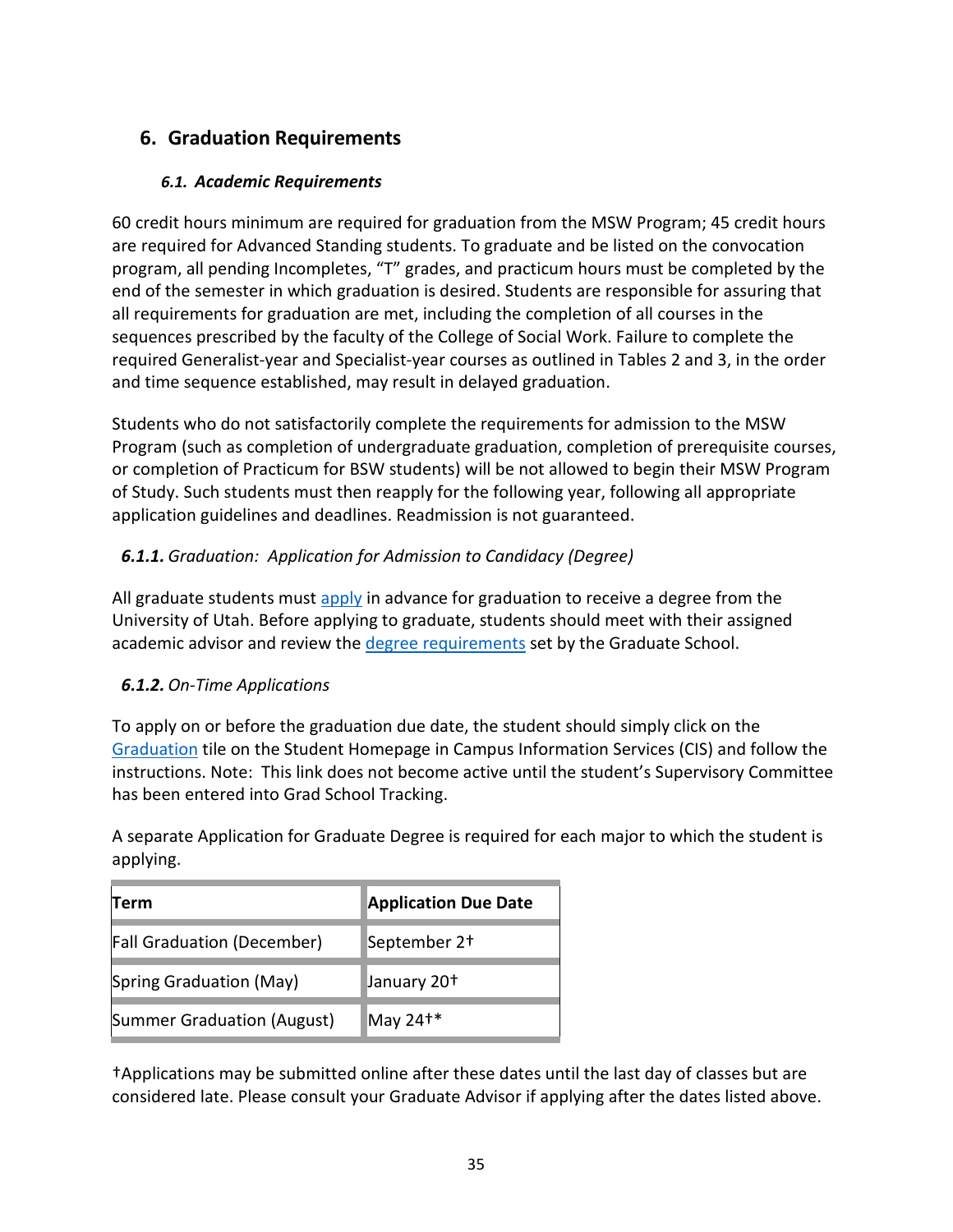# <span id="page-35-1"></span><span id="page-35-0"></span>**6. Graduation Requirements**

### *6.1. Academic Requirements*

60 credit hours minimum are required for graduation from the MSW Program; 45 credit hours are required for Advanced Standing students. To graduate and be listed on the convocation program, all pending Incompletes, "T" grades, and practicum hours must be completed by the end of the semester in which graduation is desired. Students are responsible for assuring that all requirements for graduation are met, including the completion of all courses in the sequences prescribed by the faculty of the College of Social Work. Failure to complete the required Generalist-year and Specialist-year courses as outlined in Tables 2 and 3, in the order and time sequence established, may result in delayed graduation.

Students who do not satisfactorily complete the requirements for admission to the MSW Program (such as completion of undergraduate graduation, completion of prerequisite courses, or completion of Practicum for BSW students) will be not allowed to begin their MSW Program of Study. Such students must then reapply for the following year, following all appropriate application guidelines and deadlines. Readmission is not guaranteed.

# <span id="page-35-2"></span>*6.1.1. Graduation: Application for Admission to Candidacy (Degree)*

All graduate students must [apply](https://registrar.utah.edu/handbook/graduategraduation.php) in advance for graduation to receive a degree from the University of Utah. Before applying to graduate, students should meet with their assigned academic advisor and review the [degree requirements](http://gradschool.utah.edu/graduate-catalog/degree-requirements/) set by the Graduate School.

### <span id="page-35-3"></span>*6.1.2. On-Time Applications*

To apply on or before the graduation due date, the student should simply click on the [Graduation](https://gate.acs.utah.edu/psc/heprod/EMPLOYEE/HRMS/c/SA_LEARNER_SERVICES.SSS_GRAD_APPLY.GBL?PORTALPARAM_PTCNAV=HC_SSS_GRAD_APPLY_GBL&EOPP.SCNode=HRMS&EOPP.SCPortal=EMPLOYEE&EOPP.SCName=HCCC_DEGPROG_GRAD&EOPP.SCLabel=Degree%20Progress%2fGraduation&EOPP.SCPTfname=HCCC_DEGPROG_GRAD&FolderPath=PORTAL_ROOT_OBJECT.CO_EMPLOYEE_SELF_SERVICE.HCCC_DEGPROG_GRAD.HC_SSS_GRAD_APPLY_GBL&IsFolder=false) tile on the Student Homepage in Campus Information Services (CIS) and follow the instructions. Note: This link does not become active until the student's Supervisory Committee has been entered into Grad School Tracking.

A separate Application for Graduate Degree is required for each major to which the student is applying.

| Term                              | <b>Application Due Date</b> |
|-----------------------------------|-----------------------------|
| <b>Fall Graduation (December)</b> | September 2+                |
| Spring Graduation (May)           | January 20 <sup>+</sup>     |
| Summer Graduation (August)        | May $24^{**}$               |

†Applications may be submitted online after these dates until the last day of classes but are considered late. Please consult your Graduate Advisor if applying after the dates listed above.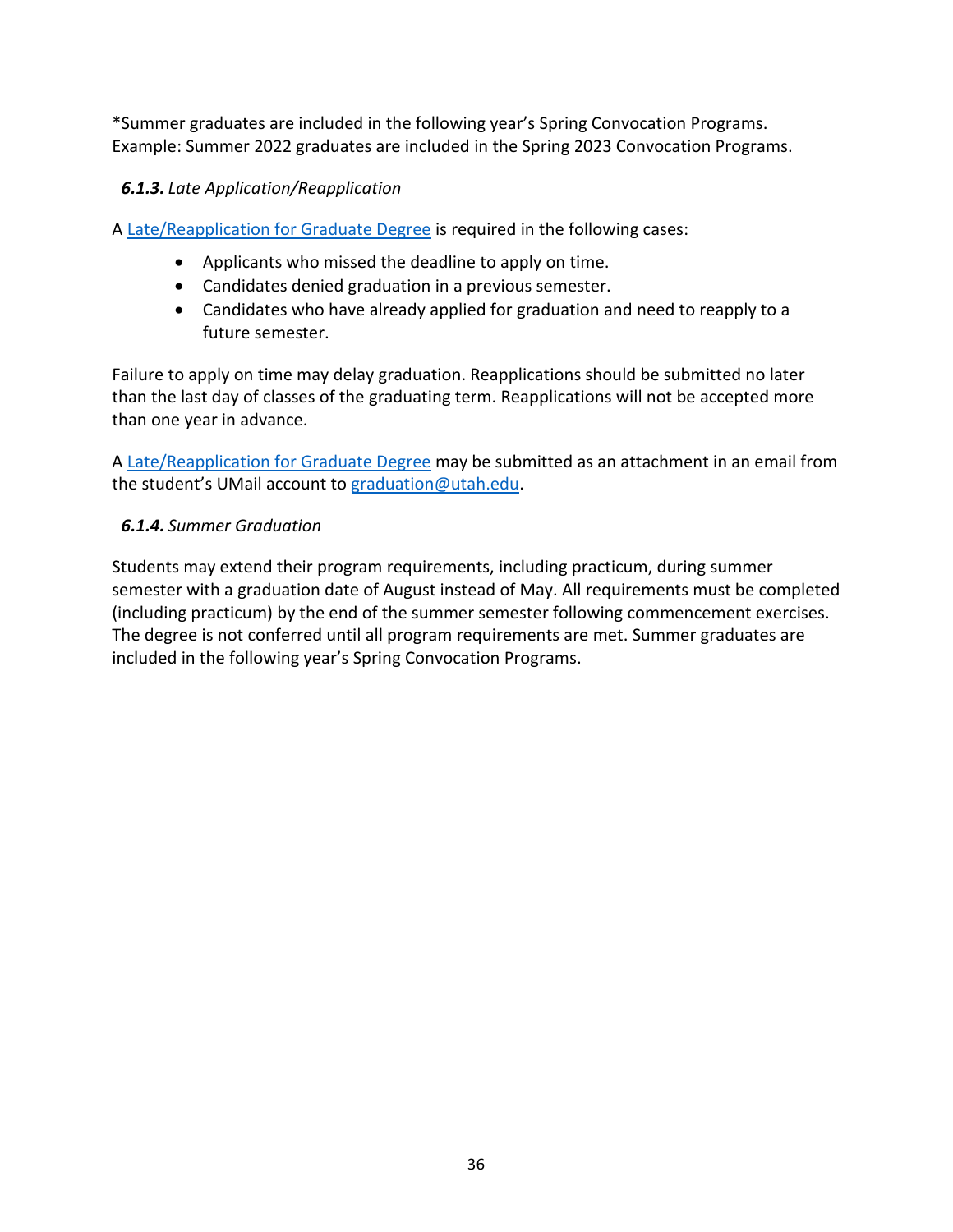\*Summer graduates are included in the following year's Spring Convocation Programs. Example: Summer 2022 graduates are included in the Spring 2023 Convocation Programs.

# <span id="page-36-0"></span>*6.1.3. Late Application/Reapplication*

A [Late/Reapplication for Graduate Degree](https://registrar.utah.edu/_pdf/graduate-degree-late-application.pdf) is required in the following cases:

- Applicants who missed the deadline to apply on time.
- Candidates denied graduation in a previous semester.
- Candidates who have already applied for graduation and need to reapply to a future semester.

Failure to apply on time may delay graduation. Reapplications should be submitted no later than the last day of classes of the graduating term. Reapplications will not be accepted more than one year in advance.

A [Late/Reapplication for Graduate Degree](https://registrar.utah.edu/_pdf/graduate-degree-late-application.pdf) may be submitted as an attachment in an email from the student's UMail account to [graduation@utah.edu.](mailto:graduation@utah.edu)

### <span id="page-36-1"></span>*6.1.4. Summer Graduation*

Students may extend their program requirements, including practicum, during summer semester with a graduation date of August instead of May. All requirements must be completed (including practicum) by the end of the summer semester following commencement exercises. The degree is not conferred until all program requirements are met. Summer graduates are included in the following year's Spring Convocation Programs.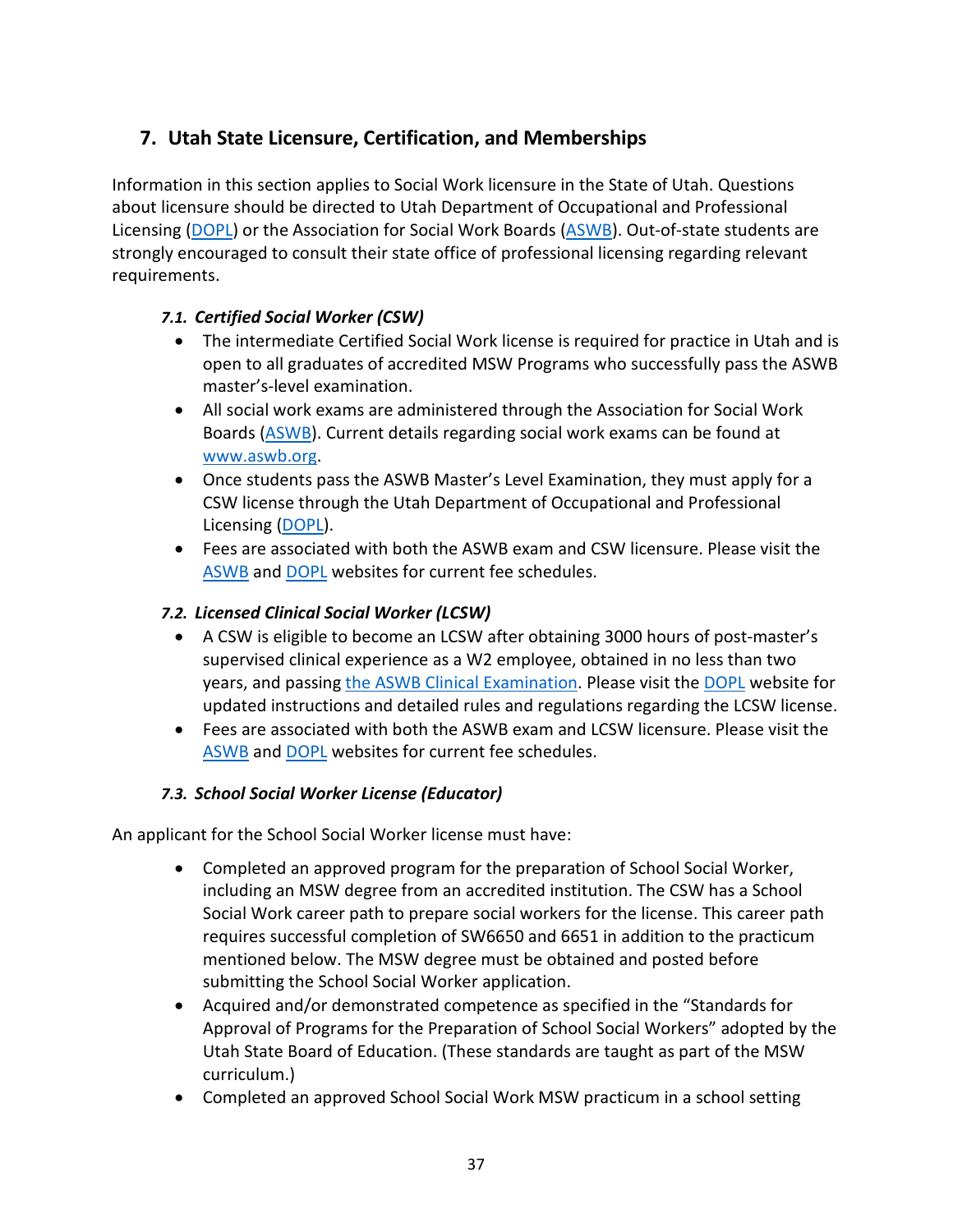# <span id="page-37-0"></span>**7. Utah State Licensure, Certification, and Memberships**

Information in this section applies to Social Work licensure in the State of Utah. Questions about licensure should be directed to Utah Department of Occupational and Professional Licensing [\(DOPL\)](https://dopl.utah.gov/) or the Association for Social Work Boards [\(ASWB\)](https://www.aswb.org/). Out-of-state students are strongly encouraged to consult their state office of professional licensing regarding relevant requirements.

# <span id="page-37-1"></span>*7.1. Certified Social Worker (CSW)*

- The intermediate Certified Social Work license is required for practice in Utah and is open to all graduates of accredited MSW Programs who successfully pass the ASWB master's-level examination.
- All social work exams are administered through the Association for Social Work Boards [\(ASWB\)](https://www.aswb.org/). Current details regarding social work exams can be found at [www.aswb.org.](https://www.aswb.org/)
- Once students pass the ASWB Master's Level Examination, they must apply for a CSW license through the Utah Department of Occupational and Professional Licensing [\(DOPL\)](https://dopl.utah.gov/).
- Fees are associated with both the ASWB exam and CSW licensure. Please visit the [ASWB](https://www.aswb.org/) an[d DOPL](https://dopl.utah.gov/) websites for current fee schedules.

# <span id="page-37-2"></span>*7.2. Licensed Clinical Social Worker (LCSW)*

- A CSW is eligible to become an LCSW after obtaining 3000 hours of post-master's supervised clinical experience as a W2 employee, obtained in no less than two years, and passing [the ASWB Clinical Examination.](https://www.aswb.org/) Please visit the [DOPL](https://dopl.utah.gov/) website for updated instructions and detailed rules and regulations regarding the LCSW license.
- Fees are associated with both the ASWB exam and LCSW licensure. Please visit the [ASWB](https://www.aswb.org/) an[d DOPL](https://dopl.utah.gov/) websites for current fee schedules.

# <span id="page-37-3"></span>*7.3. School Social Worker License (Educator)*

An applicant for the School Social Worker license must have:

- Completed an approved program for the preparation of School Social Worker, including an MSW degree from an accredited institution. The CSW has a School Social Work career path to prepare social workers for the license. This career path requires successful completion of SW6650 and 6651 in addition to the practicum mentioned below. The MSW degree must be obtained and posted before submitting the School Social Worker application.
- Acquired and/or demonstrated competence as specified in the "Standards for Approval of Programs for the Preparation of School Social Workers" adopted by the Utah State Board of Education. (These standards are taught as part of the MSW curriculum.)
- Completed an approved School Social Work MSW practicum in a school setting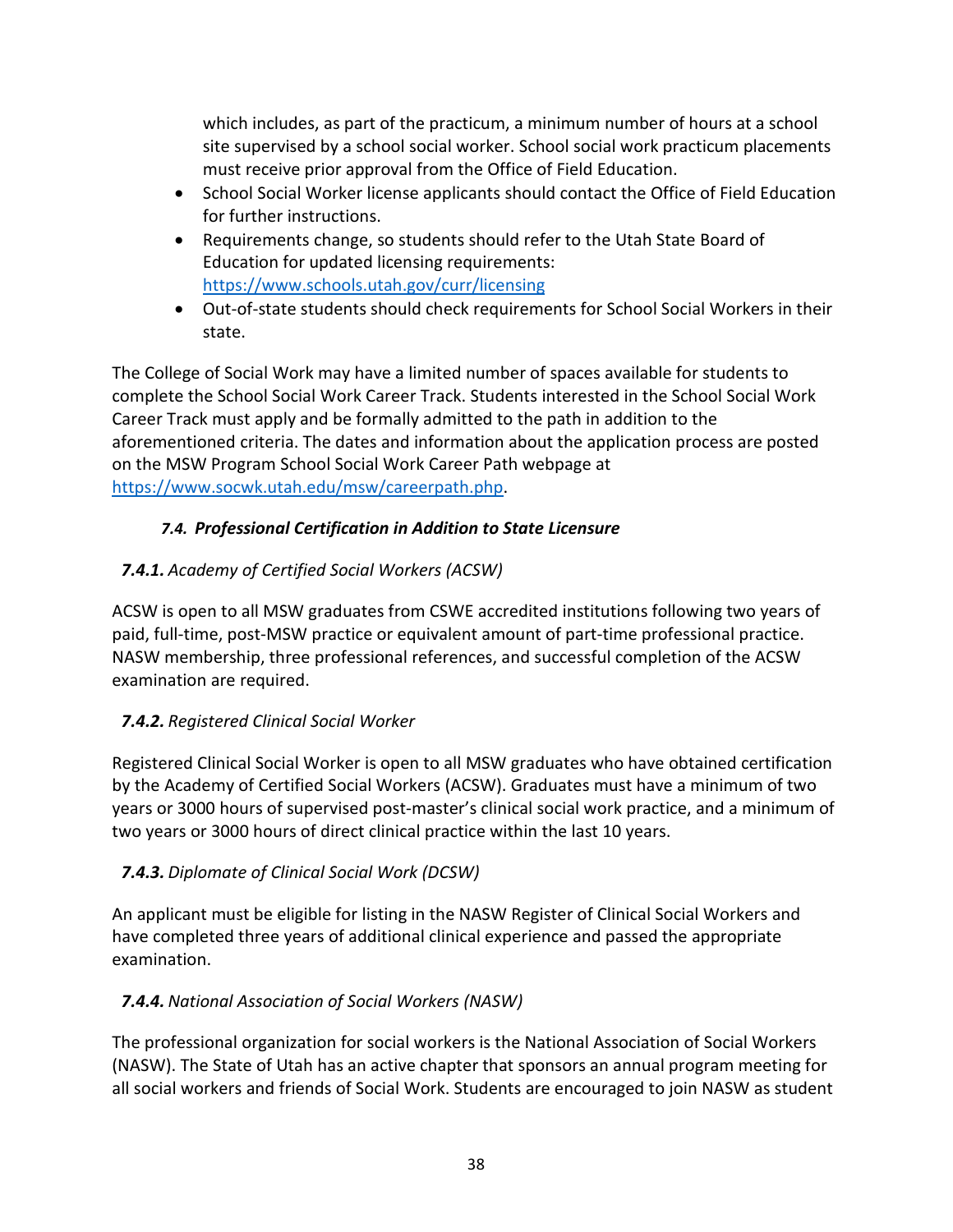which includes, as part of the practicum, a minimum number of hours at a school site supervised by a school social worker. School social work practicum placements must receive prior approval from the Office of Field Education.

- School Social Worker license applicants should contact the Office of Field Education for further instructions.
- Requirements change, so students should refer to the Utah State Board of Education for updated licensing requirements: <https://www.schools.utah.gov/curr/licensing>
- Out-of-state students should check requirements for School Social Workers in their state.

The College of Social Work may have a limited number of spaces available for students to complete the School Social Work Career Track. Students interested in the School Social Work Career Track must apply and be formally admitted to the path in addition to the aforementioned criteria. The dates and information about the application process are posted on the MSW Program School Social Work Career Path webpage at [https://www.socwk.utah.edu/msw/careerpath.php.](https://www.socwk.utah.edu/msw/careerpath.php)

# *7.4. Professional Certification in Addition to State Licensure*

# <span id="page-38-1"></span><span id="page-38-0"></span>*7.4.1. Academy of Certified Social Workers (ACSW)*

ACSW is open to all MSW graduates from CSWE accredited institutions following two years of paid, full-time, post-MSW practice or equivalent amount of part-time professional practice. NASW membership, three professional references, and successful completion of the ACSW examination are required.

# <span id="page-38-2"></span>*7.4.2. Registered Clinical Social Worker*

Registered Clinical Social Worker is open to all MSW graduates who have obtained certification by the Academy of Certified Social Workers (ACSW). Graduates must have a minimum of two years or 3000 hours of supervised post-master's clinical social work practice, and a minimum of two years or 3000 hours of direct clinical practice within the last 10 years.

# <span id="page-38-3"></span>*7.4.3. Diplomate of Clinical Social Work (DCSW)*

An applicant must be eligible for listing in the NASW Register of Clinical Social Workers and have completed three years of additional clinical experience and passed the appropriate examination.

# <span id="page-38-4"></span>*7.4.4. National Association of Social Workers (NASW)*

The professional organization for social workers is the National Association of Social Workers (NASW). The State of Utah has an active chapter that sponsors an annual program meeting for all social workers and friends of Social Work. Students are encouraged to join NASW as student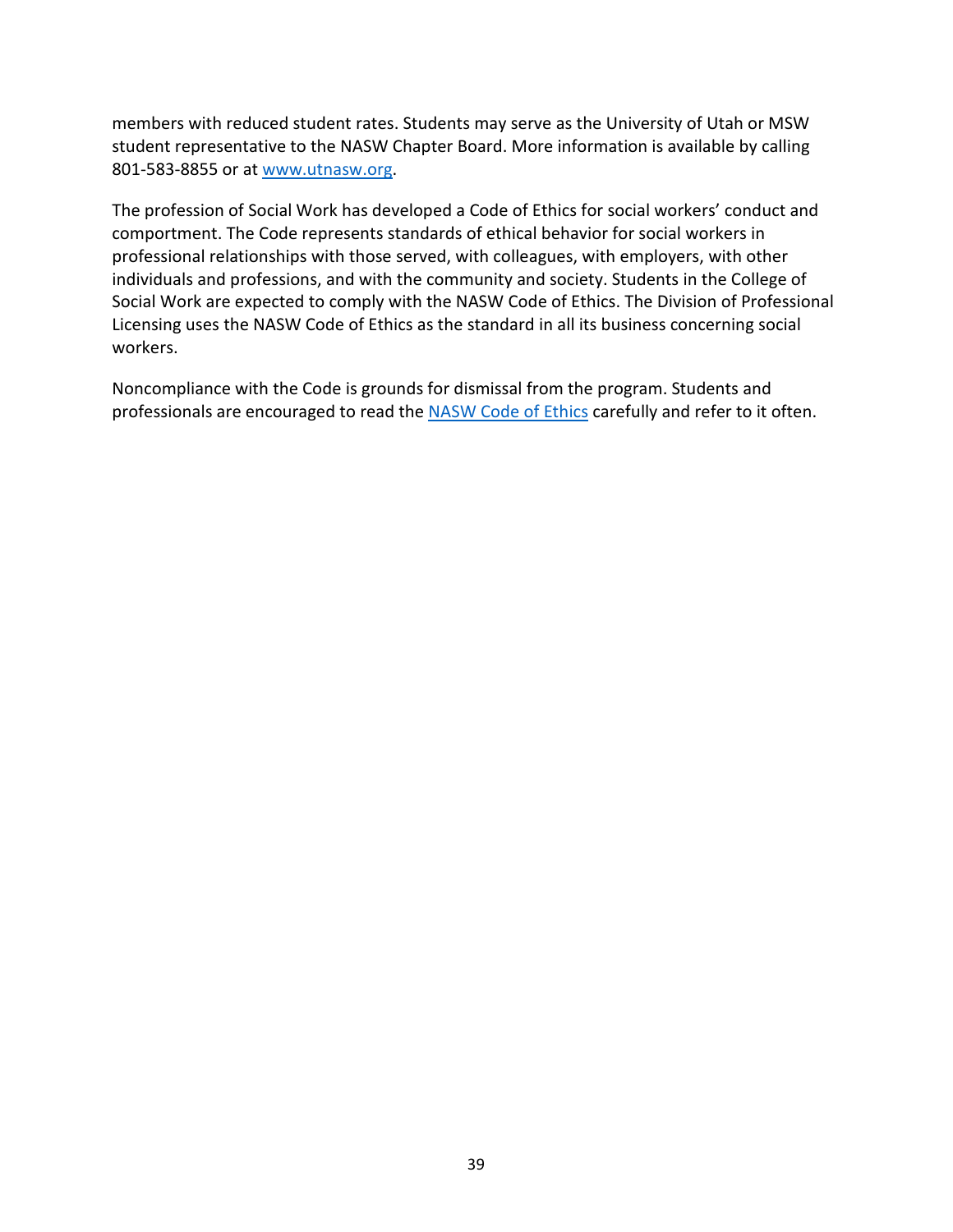members with reduced student rates. Students may serve as the University of Utah or MSW student representative to the NASW Chapter Board. More information is available by calling 801-583-8855 or at [www.utnasw.org.](http://www.utnasw.org/)

The profession of Social Work has developed a Code of Ethics for social workers' conduct and comportment. The Code represents standards of ethical behavior for social workers in professional relationships with those served, with colleagues, with employers, with other individuals and professions, and with the community and society. Students in the College of Social Work are expected to comply with the NASW Code of Ethics. The Division of Professional Licensing uses the NASW Code of Ethics as the standard in all its business concerning social workers.

Noncompliance with the Code is grounds for dismissal from the program. Students and professionals are encouraged to read the [NASW Code of Ethics](https://www.socialworkers.org/About/Ethics/Code-of-Ethics/Code-of-Ethics-English) carefully and refer to it often.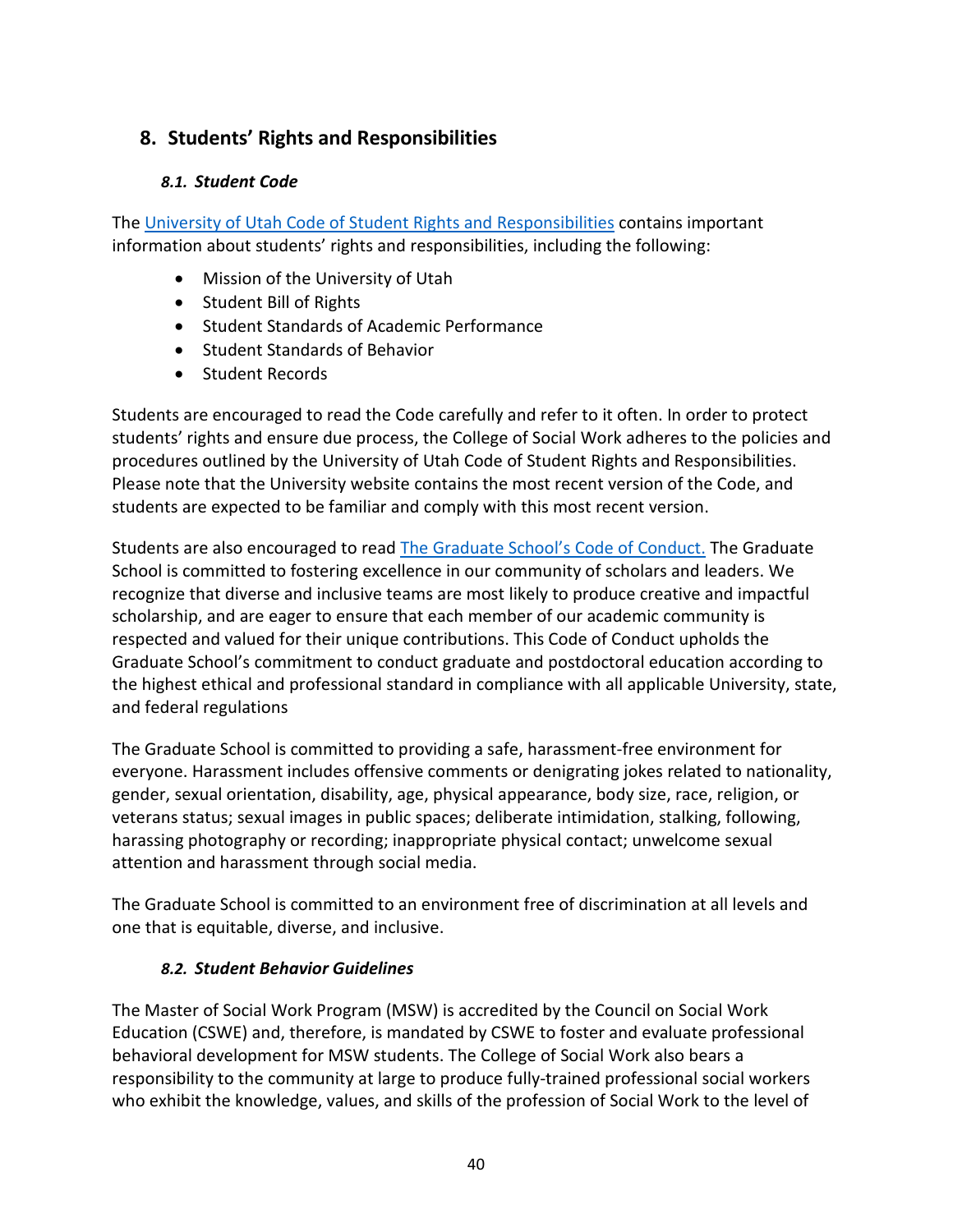# <span id="page-40-1"></span><span id="page-40-0"></span>**8. Students' Rights and Responsibilities**

### *8.1. Student Code*

The [University of Utah Code of Student Rights and Responsibilities](http://regulations.utah.edu/academics/6-400.php) contains important information about students' rights and responsibilities, including the following:

- Mission of the University of Utah
- Student Bill of Rights
- Student Standards of Academic Performance
- Student Standards of Behavior
- Student Records

Students are encouraged to read the Code carefully and refer to it often. In order to protect students' rights and ensure due process, the College of Social Work adheres to the policies and procedures outlined by the University of Utah Code of Student Rights and Responsibilities. Please note that the University website contains the most recent version of the Code, and students are expected to be familiar and comply with this most recent version.

Students are also encouraged to read [The Graduate School's Code of Conduct.](https://gradschool.utah.edu/code-of-conduct.php) The Graduate School is committed to fostering excellence in our community of scholars and leaders. We recognize that diverse and inclusive teams are most likely to produce creative and impactful scholarship, and are eager to ensure that each member of our academic community is respected and valued for their unique contributions. This Code of Conduct upholds the Graduate School's commitment to conduct graduate and postdoctoral education according to the highest ethical and professional standard in compliance with all applicable University, state, and federal regulations

The Graduate School is committed to providing a safe, harassment-free environment for everyone. Harassment includes offensive comments or denigrating jokes related to nationality, gender, sexual orientation, disability, age, physical appearance, body size, race, religion, or veterans status; sexual images in public spaces; deliberate intimidation, stalking, following, harassing photography or recording; inappropriate physical contact; unwelcome sexual attention and harassment through social media.

The Graduate School is committed to an environment free of discrimination at all levels and one that is equitable, diverse, and inclusive.

# <span id="page-40-2"></span>*8.2. Student Behavior Guidelines*

The Master of Social Work Program (MSW) is accredited by the Council on Social Work Education (CSWE) and, therefore, is mandated by CSWE to foster and evaluate professional behavioral development for MSW students. The College of Social Work also bears a responsibility to the community at large to produce fully-trained professional social workers who exhibit the knowledge, values, and skills of the profession of Social Work to the level of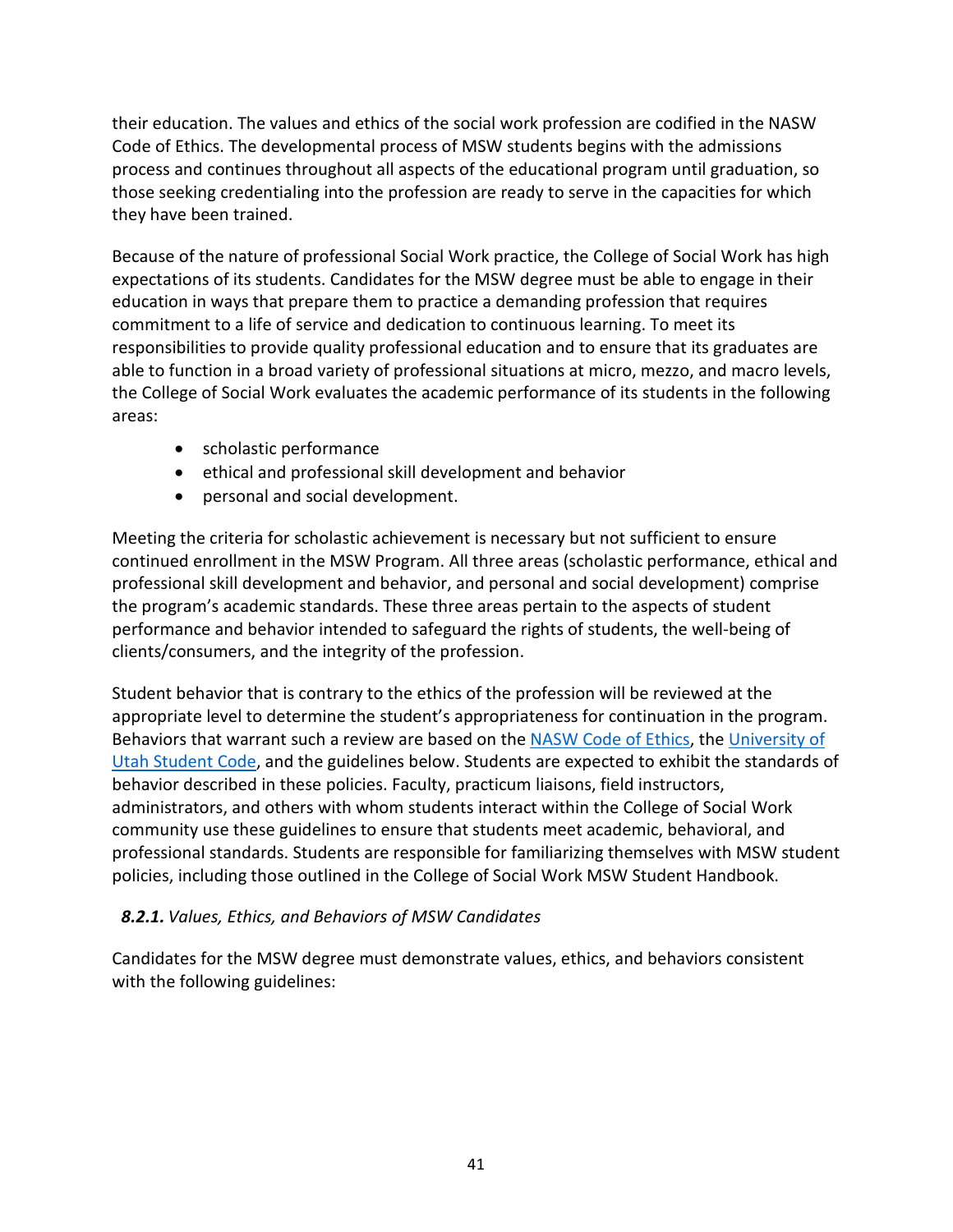their education. The values and ethics of the social work profession are codified in the NASW Code of Ethics. The developmental process of MSW students begins with the admissions process and continues throughout all aspects of the educational program until graduation, so those seeking credentialing into the profession are ready to serve in the capacities for which they have been trained.

Because of the nature of professional Social Work practice, the College of Social Work has high expectations of its students. Candidates for the MSW degree must be able to engage in their education in ways that prepare them to practice a demanding profession that requires commitment to a life of service and dedication to continuous learning. To meet its responsibilities to provide quality professional education and to ensure that its graduates are able to function in a broad variety of professional situations at micro, mezzo, and macro levels, the College of Social Work evaluates the academic performance of its students in the following areas:

- scholastic performance
- ethical and professional skill development and behavior
- personal and social development.

Meeting the criteria for scholastic achievement is necessary but not sufficient to ensure continued enrollment in the MSW Program. All three areas (scholastic performance, ethical and professional skill development and behavior, and personal and social development) comprise the program's academic standards. These three areas pertain to the aspects of student performance and behavior intended to safeguard the rights of students, the well-being of clients/consumers, and the integrity of the profession.

Student behavior that is contrary to the ethics of the profession will be reviewed at the appropriate level to determine the student's appropriateness for continuation in the program. Behaviors that warrant such a review are based on the [NASW Code of Ethics,](https://www.socialworkers.org/About/Ethics/Code-of-Ethics/Code-of-Ethics-English) the [University of](https://regulations.utah.edu/academics/6-400.php)  [Utah Student Code,](https://regulations.utah.edu/academics/6-400.php) and the guidelines below. Students are expected to exhibit the standards of behavior described in these policies. Faculty, practicum liaisons, field instructors, administrators, and others with whom students interact within the College of Social Work community use these guidelines to ensure that students meet academic, behavioral, and professional standards. Students are responsible for familiarizing themselves with MSW student policies, including those outlined in the College of Social Work MSW Student Handbook.

### <span id="page-41-0"></span>*8.2.1. Values, Ethics, and Behaviors of MSW Candidates*

Candidates for the MSW degree must demonstrate values, ethics, and behaviors consistent with the following guidelines: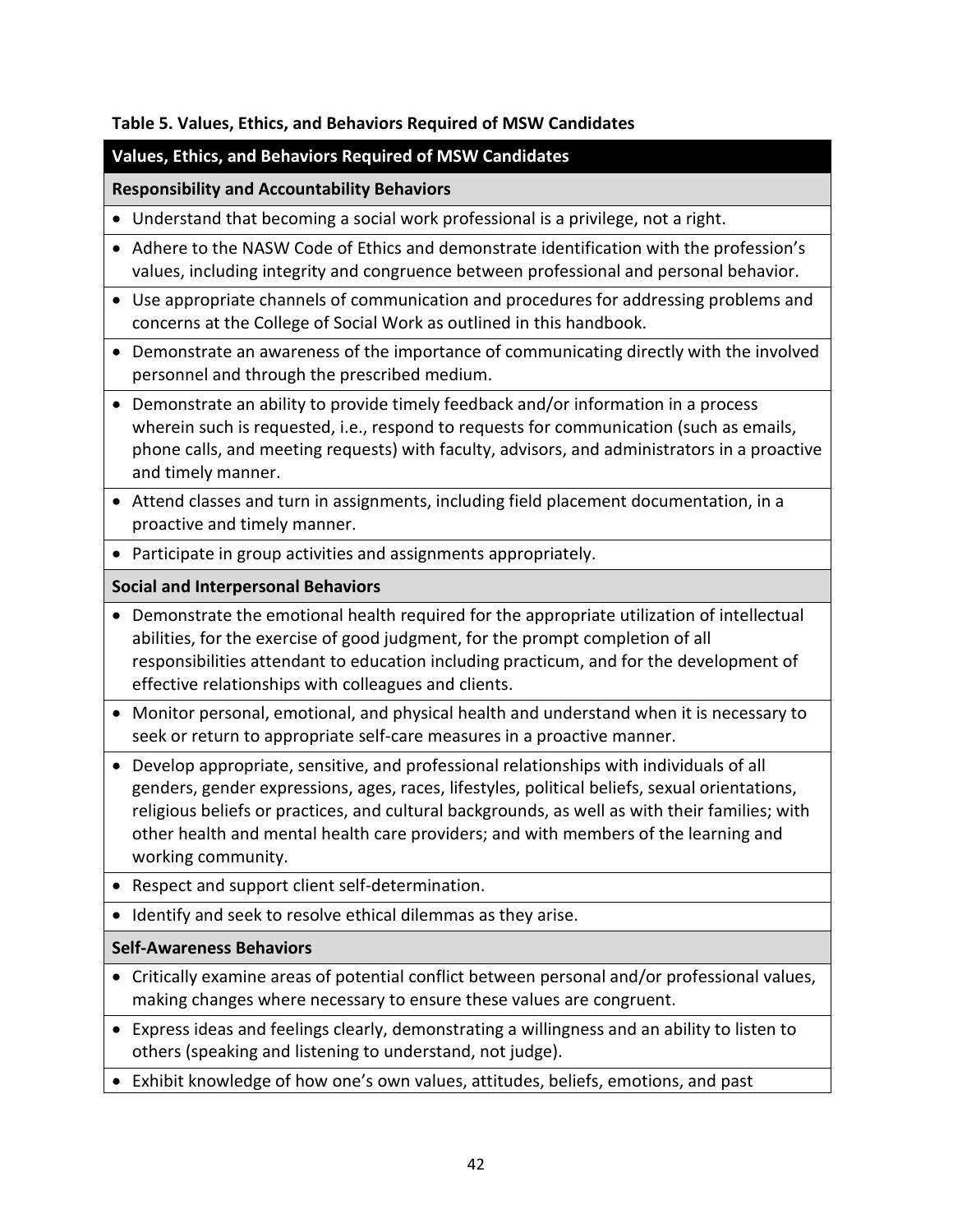#### **Table 5. Values, Ethics, and Behaviors Required of MSW Candidates**

### **Values, Ethics, and Behaviors Required of MSW Candidates**

#### **Responsibility and Accountability Behaviors**

- Understand that becoming a social work professional is a privilege, not a right.
- Adhere to the NASW Code of Ethics and demonstrate identification with the profession's values, including integrity and congruence between professional and personal behavior.
- Use appropriate channels of communication and procedures for addressing problems and concerns at the College of Social Work as outlined in this handbook.
- Demonstrate an awareness of the importance of communicating directly with the involved personnel and through the prescribed medium.
- Demonstrate an ability to provide timely feedback and/or information in a process wherein such is requested, i.e., respond to requests for communication (such as emails, phone calls, and meeting requests) with faculty, advisors, and administrators in a proactive and timely manner.
- Attend classes and turn in assignments, including field placement documentation, in a proactive and timely manner.
- Participate in group activities and assignments appropriately.

#### **Social and Interpersonal Behaviors**

- Demonstrate the emotional health required for the appropriate utilization of intellectual abilities, for the exercise of good judgment, for the prompt completion of all responsibilities attendant to education including practicum, and for the development of effective relationships with colleagues and clients.
- Monitor personal, emotional, and physical health and understand when it is necessary to seek or return to appropriate self-care measures in a proactive manner.
- Develop appropriate, sensitive, and professional relationships with individuals of all genders, gender expressions, ages, races, lifestyles, political beliefs, sexual orientations, religious beliefs or practices, and cultural backgrounds, as well as with their families; with other health and mental health care providers; and with members of the learning and working community.
- Respect and support client self-determination.
- Identify and seek to resolve ethical dilemmas as they arise.

### **Self-Awareness Behaviors**

- Critically examine areas of potential conflict between personal and/or professional values, making changes where necessary to ensure these values are congruent.
- Express ideas and feelings clearly, demonstrating a willingness and an ability to listen to others (speaking and listening to understand, not judge).
- Exhibit knowledge of how one's own values, attitudes, beliefs, emotions, and past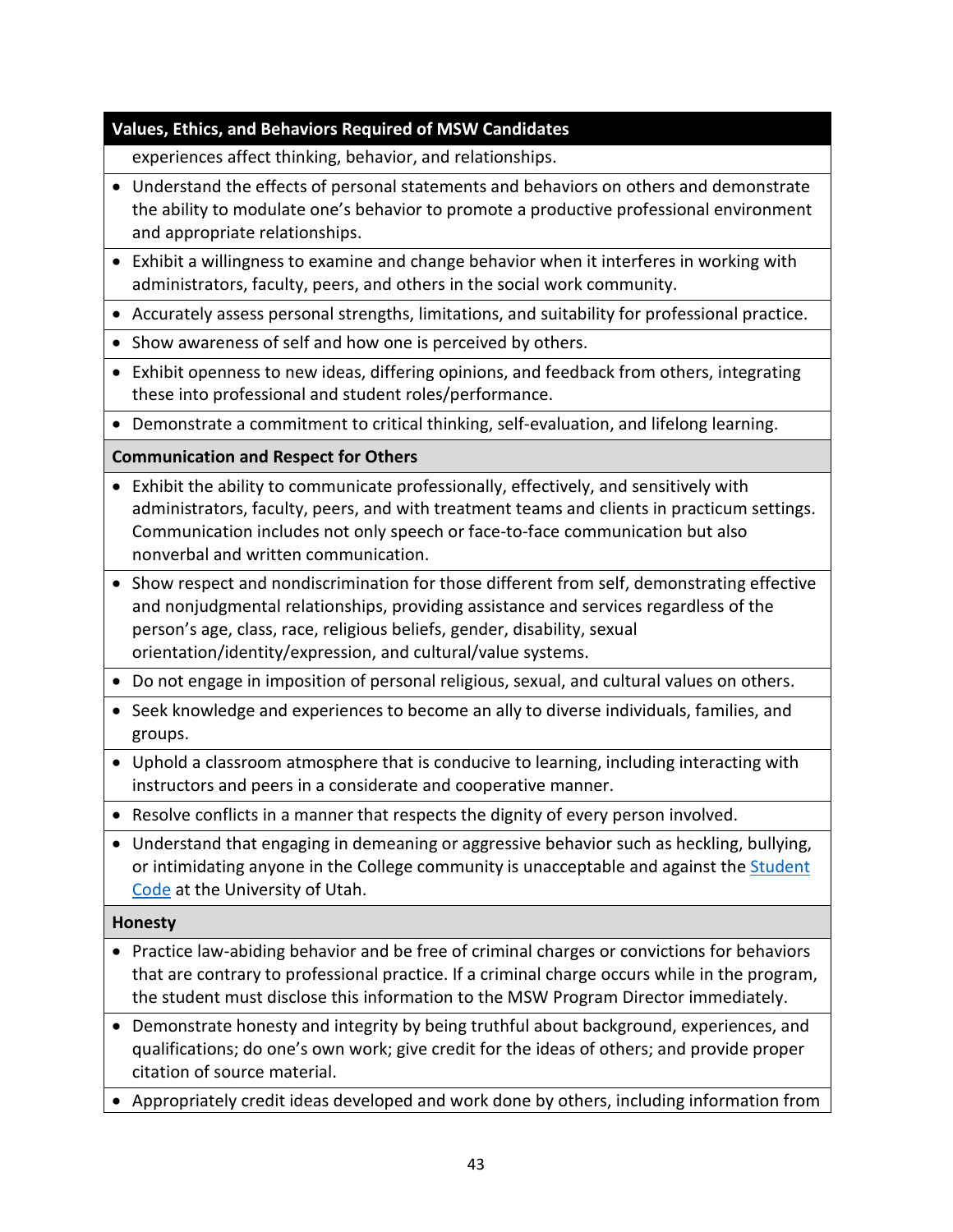# **Values, Ethics, and Behaviors Required of MSW Candidates**

experiences affect thinking, behavior, and relationships.

- Understand the effects of personal statements and behaviors on others and demonstrate the ability to modulate one's behavior to promote a productive professional environment and appropriate relationships.
- Exhibit a willingness to examine and change behavior when it interferes in working with administrators, faculty, peers, and others in the social work community.
- Accurately assess personal strengths, limitations, and suitability for professional practice.
- Show awareness of self and how one is perceived by others.
- Exhibit openness to new ideas, differing opinions, and feedback from others, integrating these into professional and student roles/performance.
- Demonstrate a commitment to critical thinking, self-evaluation, and lifelong learning.

# **Communication and Respect for Others**

- Exhibit the ability to communicate professionally, effectively, and sensitively with administrators, faculty, peers, and with treatment teams and clients in practicum settings. Communication includes not only speech or face-to-face communication but also nonverbal and written communication.
- Show respect and nondiscrimination for those different from self, demonstrating effective and nonjudgmental relationships, providing assistance and services regardless of the person's age, class, race, religious beliefs, gender, disability, sexual orientation/identity/expression, and cultural/value systems.
- Do not engage in imposition of personal religious, sexual, and cultural values on others.
- Seek knowledge and experiences to become an ally to diverse individuals, families, and groups.
- Uphold a classroom atmosphere that is conducive to learning, including interacting with instructors and peers in a considerate and cooperative manner.
- Resolve conflicts in a manner that respects the dignity of every person involved.
- Understand that engaging in demeaning or aggressive behavior such as heckling, bullying, or intimidating anyone in the College community is unacceptable and against the [Student](https://regulations.utah.edu/academics/6-400.php) [Code](https://regulations.utah.edu/academics/6-400.php) at the University of Utah.

### **Honesty**

- Practice law-abiding behavior and be free of criminal charges or convictions for behaviors that are contrary to professional practice. If a criminal charge occurs while in the program, the student must disclose this information to the MSW Program Director immediately.
- Demonstrate honesty and integrity by being truthful about background, experiences, and qualifications; do one's own work; give credit for the ideas of others; and provide proper citation of source material.
- Appropriately credit ideas developed and work done by others, including information from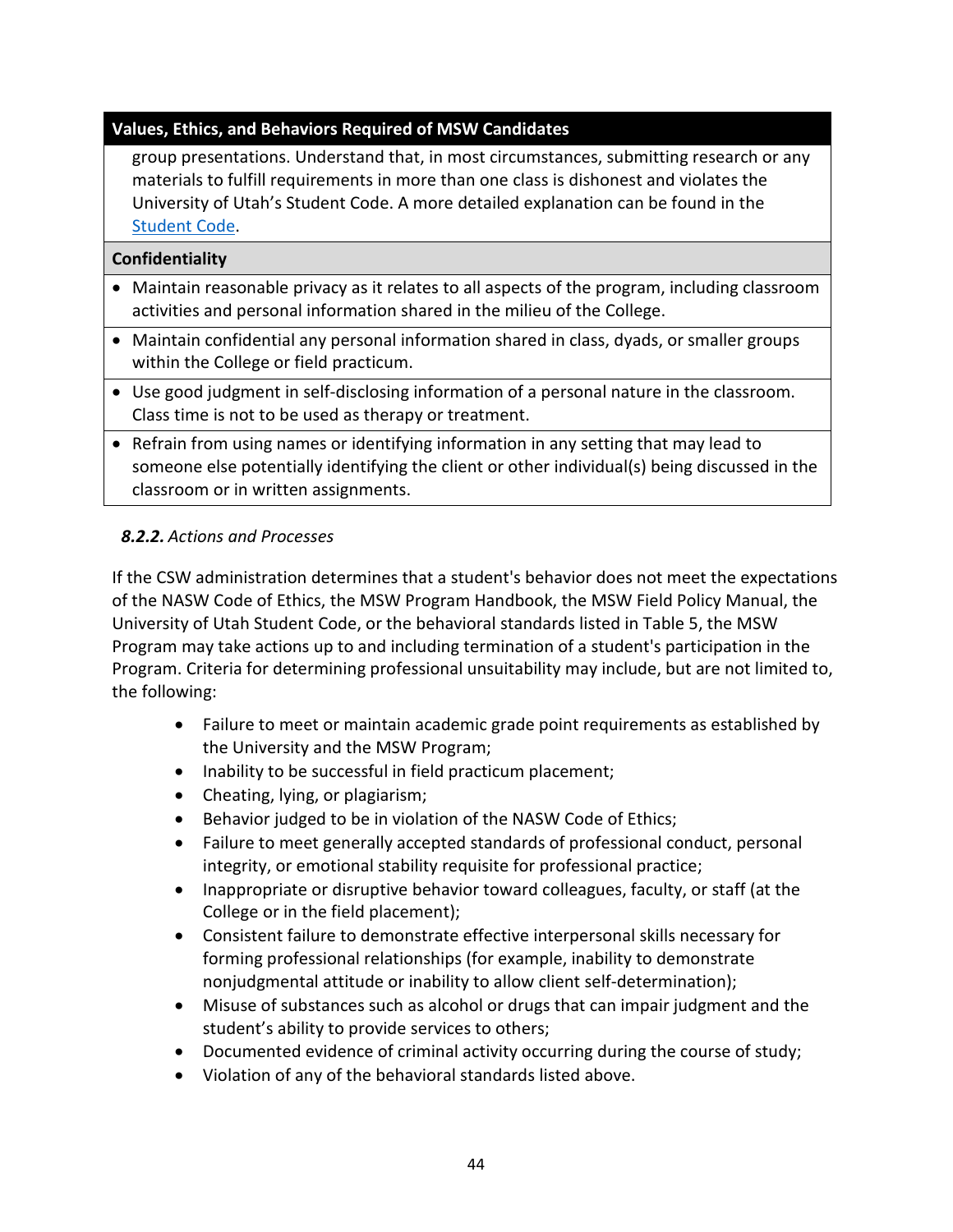# **Values, Ethics, and Behaviors Required of MSW Candidates**

group presentations. Understand that, in most circumstances, submitting research or any materials to fulfill requirements in more than one class is dishonest and violates the University of Utah's Student Code. A more detailed explanation can be found in the [Student Code.](https://regulations.utah.edu/academics/6-400.php)

#### **Confidentiality**

- Maintain reasonable privacy as it relates to all aspects of the program, including classroom activities and personal information shared in the milieu of the College.
- Maintain confidential any personal information shared in class, dyads, or smaller groups within the College or field practicum.
- Use good judgment in self-disclosing information of a personal nature in the classroom. Class time is not to be used as therapy or treatment.
- Refrain from using names or identifying information in any setting that may lead to someone else potentially identifying the client or other individual(s) being discussed in the classroom or in written assignments.

### <span id="page-44-0"></span>*8.2.2. Actions and Processes*

If the CSW administration determines that a student's behavior does not meet the expectations of the NASW Code of Ethics, the MSW Program Handbook, the MSW Field Policy Manual, the University of Utah Student Code, or the behavioral standards listed in Table 5, the MSW Program may take actions up to and including termination of a student's participation in the Program. Criteria for determining professional unsuitability may include, but are not limited to, the following:

- Failure to meet or maintain academic grade point requirements as established by the University and the MSW Program;
- Inability to be successful in field practicum placement;
- Cheating, lying, or plagiarism;
- Behavior judged to be in violation of the NASW Code of Ethics;
- Failure to meet generally accepted standards of professional conduct, personal integrity, or emotional stability requisite for professional practice;
- Inappropriate or disruptive behavior toward colleagues, faculty, or staff (at the College or in the field placement);
- Consistent failure to demonstrate effective interpersonal skills necessary for forming professional relationships (for example, inability to demonstrate nonjudgmental attitude or inability to allow client self-determination);
- Misuse of substances such as alcohol or drugs that can impair judgment and the student's ability to provide services to others;
- Documented evidence of criminal activity occurring during the course of study;
- Violation of any of the behavioral standards listed above.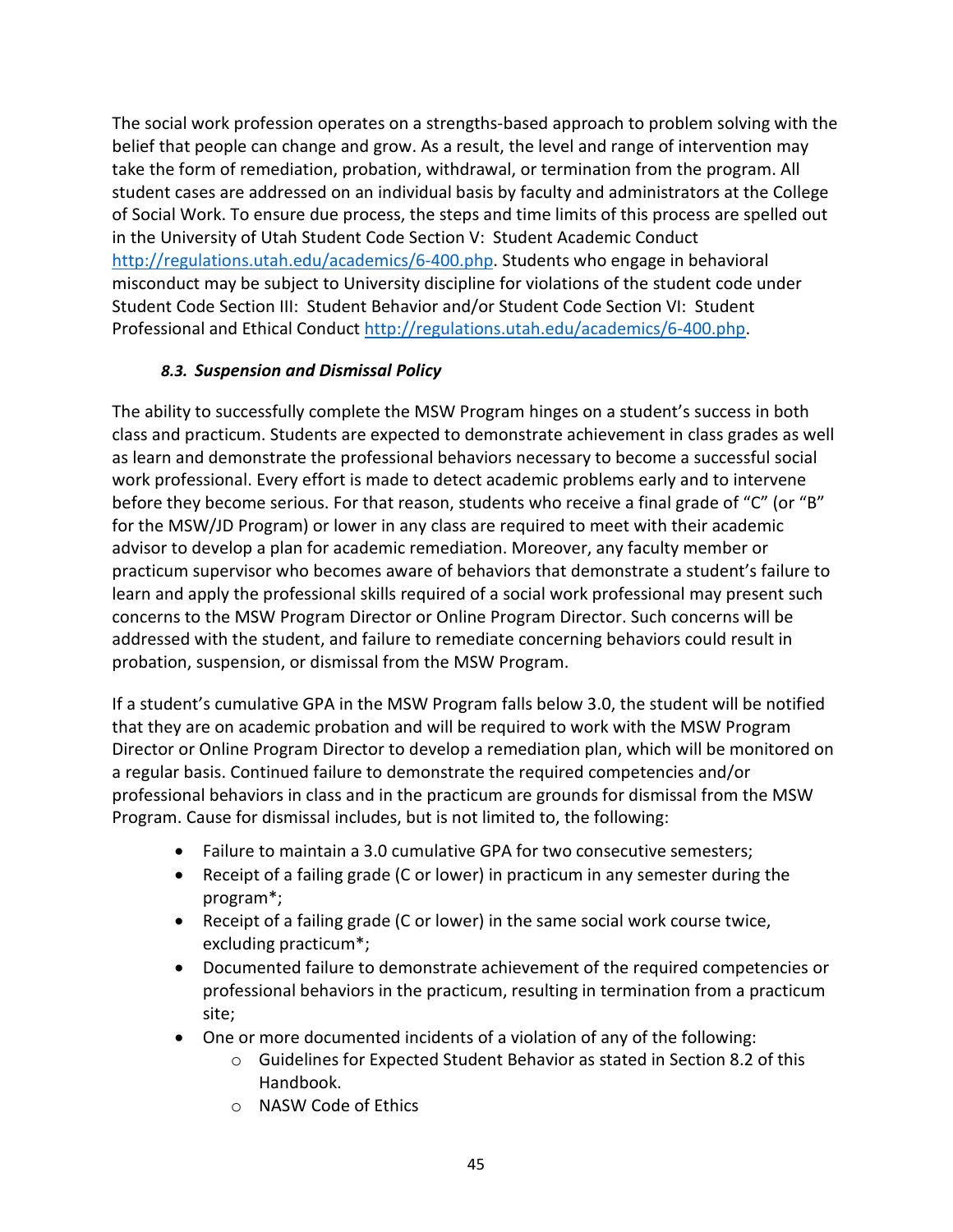The social work profession operates on a strengths-based approach to problem solving with the belief that people can change and grow. As a result, the level and range of intervention may take the form of remediation, probation, withdrawal, or termination from the program. All student cases are addressed on an individual basis by faculty and administrators at the College of Social Work. To ensure due process, the steps and time limits of this process are spelled out in the University of Utah Student Code Section V: Student Academic Conduct [http://regulations.utah.edu/academics/6-400.php.](http://regulations.utah.edu/academics/6-400.php) Students who engage in behavioral misconduct may be subject to University discipline for violations of the student code under Student Code Section III: Student Behavior and/or Student Code Section VI: Student Professional and Ethical Conduct [http://regulations.utah.edu/academics/6-400.php.](http://regulations.utah.edu/academics/6-400.php)

### *8.3. Suspension and Dismissal Policy*

<span id="page-45-0"></span>The ability to successfully complete the MSW Program hinges on a student's success in both class and practicum. Students are expected to demonstrate achievement in class grades as well as learn and demonstrate the professional behaviors necessary to become a successful social work professional. Every effort is made to detect academic problems early and to intervene before they become serious. For that reason, students who receive a final grade of "C" (or "B" for the MSW/JD Program) or lower in any class are required to meet with their academic advisor to develop a plan for academic remediation. Moreover, any faculty member or practicum supervisor who becomes aware of behaviors that demonstrate a student's failure to learn and apply the professional skills required of a social work professional may present such concerns to the MSW Program Director or Online Program Director. Such concerns will be addressed with the student, and failure to remediate concerning behaviors could result in probation, suspension, or dismissal from the MSW Program.

If a student's cumulative GPA in the MSW Program falls below 3.0, the student will be notified that they are on academic probation and will be required to work with the MSW Program Director or Online Program Director to develop a remediation plan, which will be monitored on a regular basis. Continued failure to demonstrate the required competencies and/or professional behaviors in class and in the practicum are grounds for dismissal from the MSW Program. Cause for dismissal includes, but is not limited to, the following:

- Failure to maintain a 3.0 cumulative GPA for two consecutive semesters;
- Receipt of a failing grade (C or lower) in practicum in any semester during the program\*;
- Receipt of a failing grade (C or lower) in the same social work course twice, excluding practicum\*;
- Documented failure to demonstrate achievement of the required competencies or professional behaviors in the practicum, resulting in termination from a practicum site;
- One or more documented incidents of a violation of any of the following:
	- o Guidelines for Expected Student Behavior as stated in Section 8.2 of this Handbook.
	- o [NASW Code of Ethics](https://www.socialworkers.org/About/Ethics/Code-of-Ethics/Code-of-Ethics-English)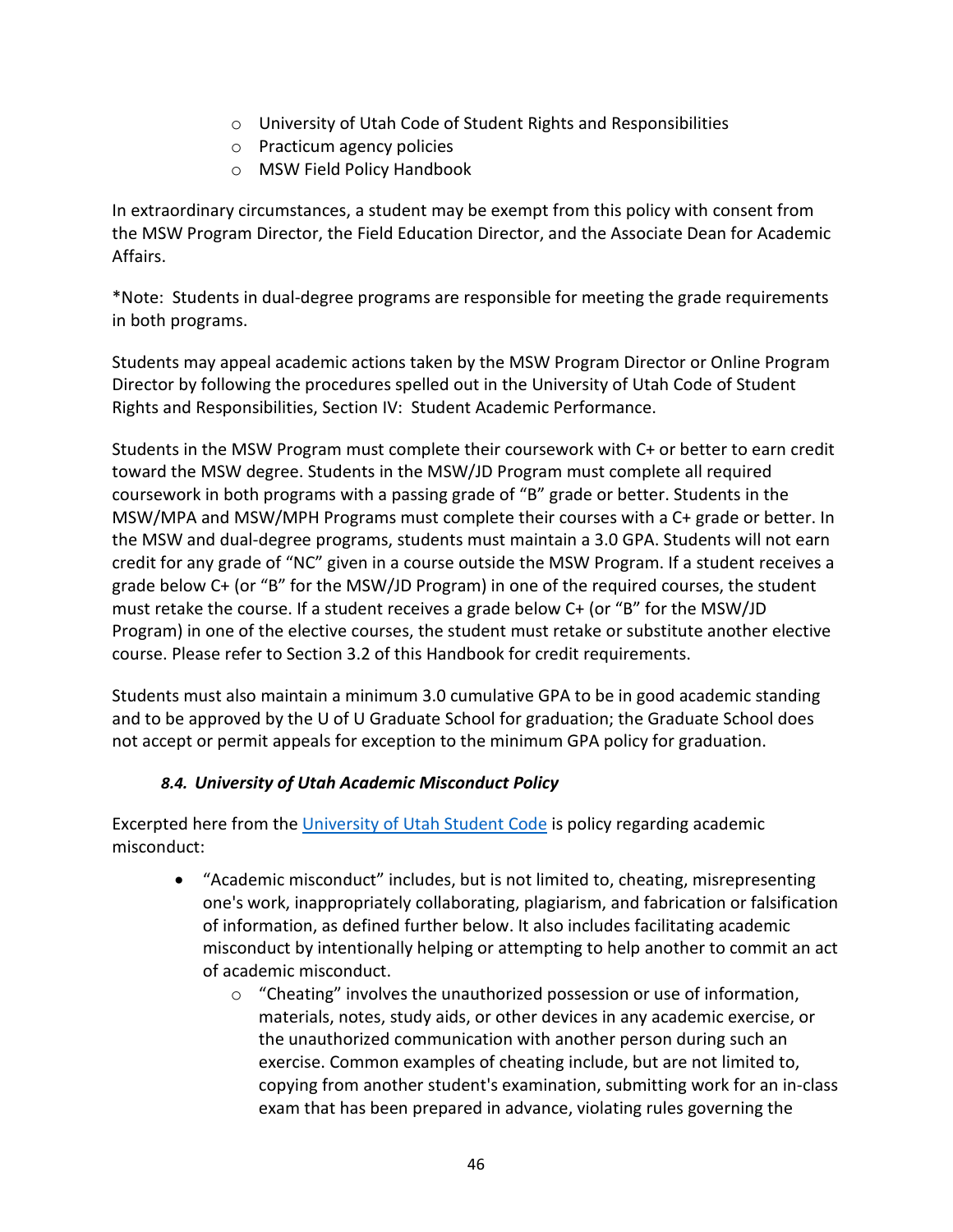- o [University of Utah Code of Student Rights and Responsibilities](https://regulations.utah.edu/academics/6-400.php)
- o Practicum agency policies
- o MSW Field Policy Handbook

In extraordinary circumstances, a student may be exempt from this policy with consent from the MSW Program Director, the Field Education Director, and the Associate Dean for Academic Affairs.

\*Note: Students in dual-degree programs are responsible for meeting the grade requirements in both programs.

Students may appeal academic actions taken by the MSW Program Director or Online Program Director by following the procedures spelled out in the [University of Utah Code of Student](https://regulations.utah.edu/academics/6-400.php)  [Rights and Responsibilities,](https://regulations.utah.edu/academics/6-400.php) Section IV: Student Academic Performance.

Students in the MSW Program must complete their coursework with C+ or better to earn credit toward the MSW degree. Students in the MSW/JD Program must complete all required coursework in both programs with a passing grade of "B" grade or better. Students in the MSW/MPA and MSW/MPH Programs must complete their courses with a C+ grade or better. In the MSW and dual-degree programs, students must maintain a 3.0 GPA. Students will not earn credit for any grade of "NC" given in a course outside the MSW Program. If a student receives a grade below C+ (or "B" for the MSW/JD Program) in one of the required courses, the student must retake the course. If a student receives a grade below C+ (or "B" for the MSW/JD Program) in one of the elective courses, the student must retake or substitute another elective course. Please refer to Section 3.2 of this Handbook for credit requirements.

Students must also maintain a minimum 3.0 cumulative GPA to be in good academic standing and to be approved by the U of U Graduate School for graduation; the Graduate School does not accept or permit appeals for exception to the minimum GPA policy for graduation.

### *8.4. University of Utah Academic Misconduct Policy*

<span id="page-46-0"></span>Excerpted here from the [University of Utah Student Code](http://regulations.utah.edu/academics/6-400.php) is policy regarding academic misconduct:

- "Academic misconduct" includes, but is not limited to, cheating, misrepresenting one's work, inappropriately collaborating, plagiarism, and fabrication or falsification of information, as defined further below. It also includes facilitating academic misconduct by intentionally helping or attempting to help another to commit an act of academic misconduct.
	- o "Cheating" involves the unauthorized possession or use of information, materials, notes, study aids, or other devices in any academic exercise, or the unauthorized communication with another person during such an exercise. Common examples of cheating include, but are not limited to, copying from another student's examination, submitting work for an in-class exam that has been prepared in advance, violating rules governing the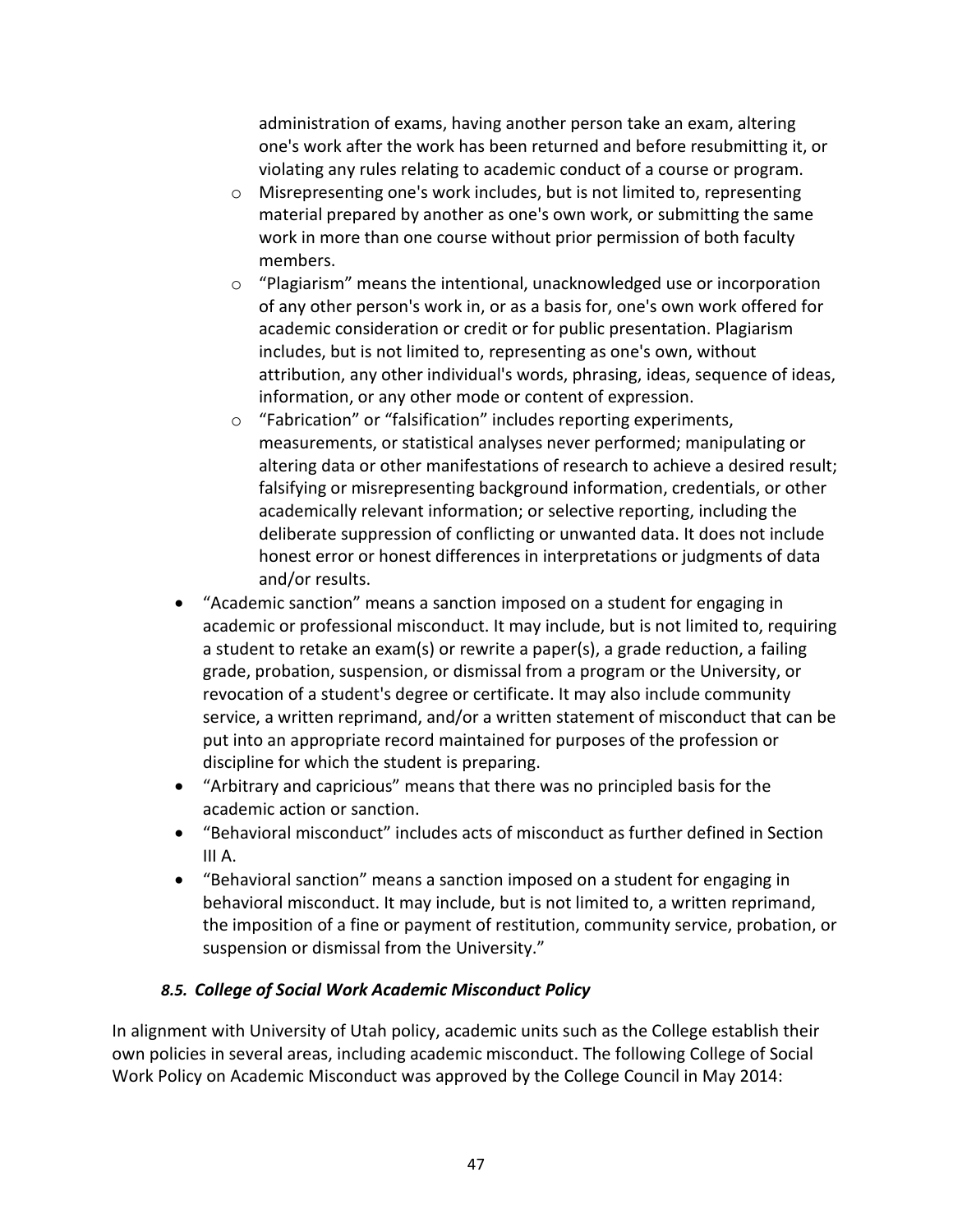administration of exams, having another person take an exam, altering one's work after the work has been returned and before resubmitting it, or violating any rules relating to academic conduct of a course or program.

- o Misrepresenting one's work includes, but is not limited to, representing material prepared by another as one's own work, or submitting the same work in more than one course without prior permission of both faculty members.
- $\circ$  "Plagiarism" means the intentional, unacknowledged use or incorporation of any other person's work in, or as a basis for, one's own work offered for academic consideration or credit or for public presentation. Plagiarism includes, but is not limited to, representing as one's own, without attribution, any other individual's words, phrasing, ideas, sequence of ideas, information, or any other mode or content of expression.
- o "Fabrication" or "falsification" includes reporting experiments, measurements, or statistical analyses never performed; manipulating or altering data or other manifestations of research to achieve a desired result; falsifying or misrepresenting background information, credentials, or other academically relevant information; or selective reporting, including the deliberate suppression of conflicting or unwanted data. It does not include honest error or honest differences in interpretations or judgments of data and/or results.
- "Academic sanction" means a sanction imposed on a student for engaging in academic or professional misconduct. It may include, but is not limited to, requiring a student to retake an exam(s) or rewrite a paper(s), a grade reduction, a failing grade, probation, suspension, or dismissal from a program or the University, or revocation of a student's degree or certificate. It may also include community service, a written reprimand, and/or a written statement of misconduct that can be put into an appropriate record maintained for purposes of the profession or discipline for which the student is preparing.
- "Arbitrary and capricious" means that there was no principled basis for the academic action or sanction.
- "Behavioral misconduct" includes acts of misconduct as further defined in Section III A.
- "Behavioral sanction" means a sanction imposed on a student for engaging in behavioral misconduct. It may include, but is not limited to, a written reprimand, the imposition of a fine or payment of restitution, community service, probation, or suspension or dismissal from the University."

# <span id="page-47-0"></span>*8.5. College of Social Work Academic Misconduct Policy*

In alignment with University of Utah policy, academic units such as the College establish their own policies in several areas, including academic misconduct. The following College of Social Work Policy on Academic Misconduct was approved by the College Council in May 2014: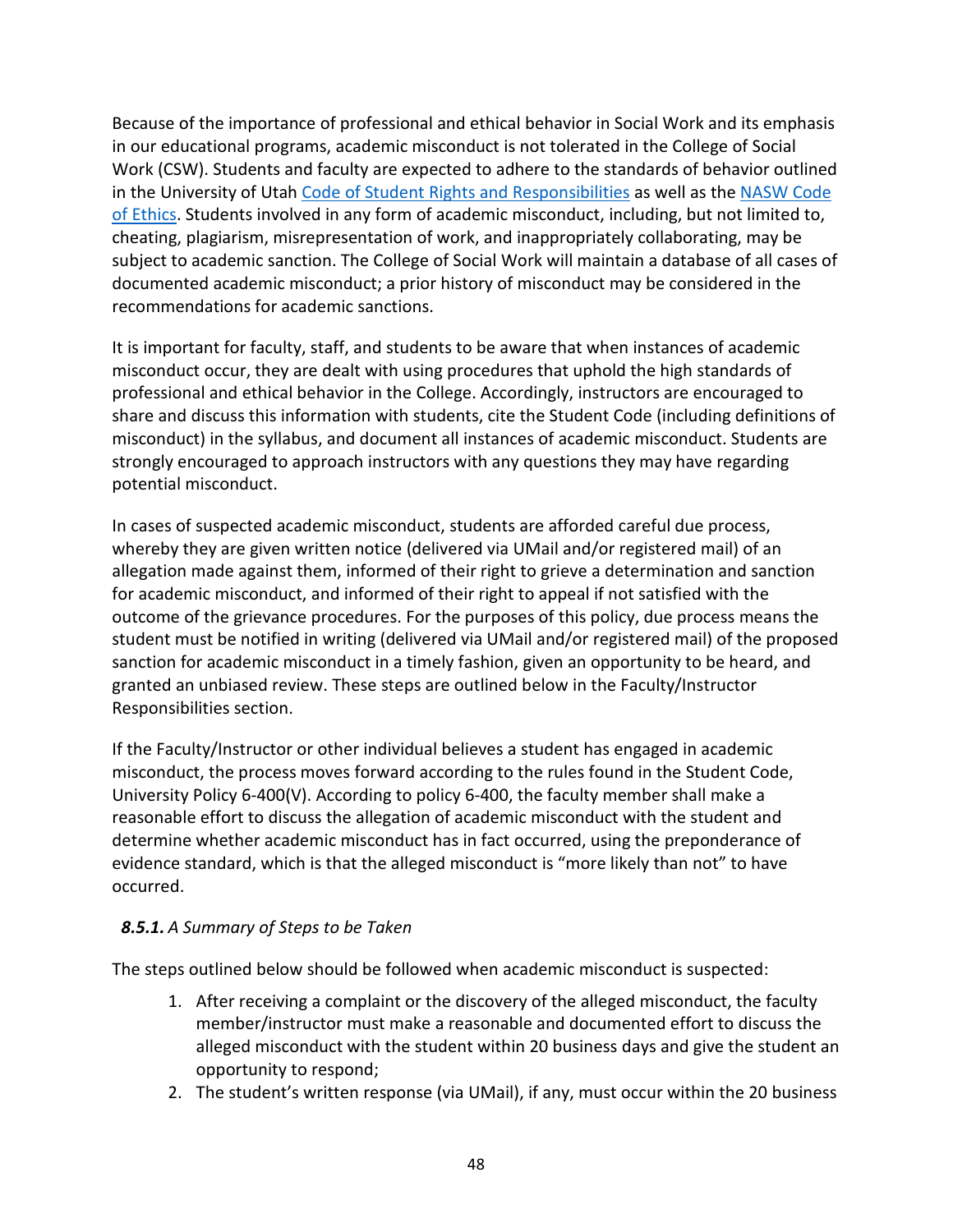Because of the importance of professional and ethical behavior in Social Work and its emphasis in our educational programs, academic misconduct is not tolerated in the College of Social Work (CSW). Students and faculty are expected to adhere to the standards of behavior outlined in the University of Utah [Code of Student Rights and Responsibilities](https://regulations.utah.edu/academics/6-400.php) as well as th[e NASW Code](https://www.socialworkers.org/About/Ethics/Code-of-Ethics/Code-of-Ethics-English)  [of Ethics.](https://www.socialworkers.org/About/Ethics/Code-of-Ethics/Code-of-Ethics-English) Students involved in any form of academic misconduct, including, but not limited to, cheating, plagiarism, misrepresentation of work, and inappropriately collaborating, may be subject to academic sanction. The College of Social Work will maintain a database of all cases of documented academic misconduct; a prior history of misconduct may be considered in the recommendations for academic sanctions.

It is important for faculty, staff, and students to be aware that when instances of academic misconduct occur, they are dealt with using procedures that uphold the high standards of professional and ethical behavior in the College. Accordingly, instructors are encouraged to share and discuss this information with students, cite the Student Code (including definitions of misconduct) in the syllabus, and document all instances of academic misconduct. Students are strongly encouraged to approach instructors with any questions they may have regarding potential misconduct.

In cases of suspected academic misconduct, students are afforded careful due process, whereby they are given written notice (delivered via UMail and/or registered mail) of an allegation made against them, informed of their right to grieve a determination and sanction for academic misconduct, and informed of their right to appeal if not satisfied with the outcome of the grievance procedures. For the purposes of this policy, due process means the student must be notified in writing (delivered via UMail and/or registered mail) of the proposed sanction for academic misconduct in a timely fashion, given an opportunity to be heard, and granted an unbiased review. These steps are outlined below in the Faculty/Instructor Responsibilities section.

If the Faculty/Instructor or other individual believes a student has engaged in academic misconduct, the process moves forward according to the rules found in the Student Code, University Policy 6-400(V). According to policy 6-400, the faculty member shall make a reasonable effort to discuss the allegation of academic misconduct with the student and determine whether academic misconduct has in fact occurred, using the preponderance of evidence standard, which is that the alleged misconduct is "more likely than not" to have occurred.

# <span id="page-48-0"></span>*8.5.1. A Summary of Steps to be Taken*

The steps outlined below should be followed when academic misconduct is suspected:

- 1. After receiving a complaint or the discovery of the alleged misconduct, the faculty member/instructor must make a reasonable and documented effort to discuss the alleged misconduct with the student within 20 business days and give the student an opportunity to respond;
- 2. The student's written response (via UMail), if any, must occur within the 20 business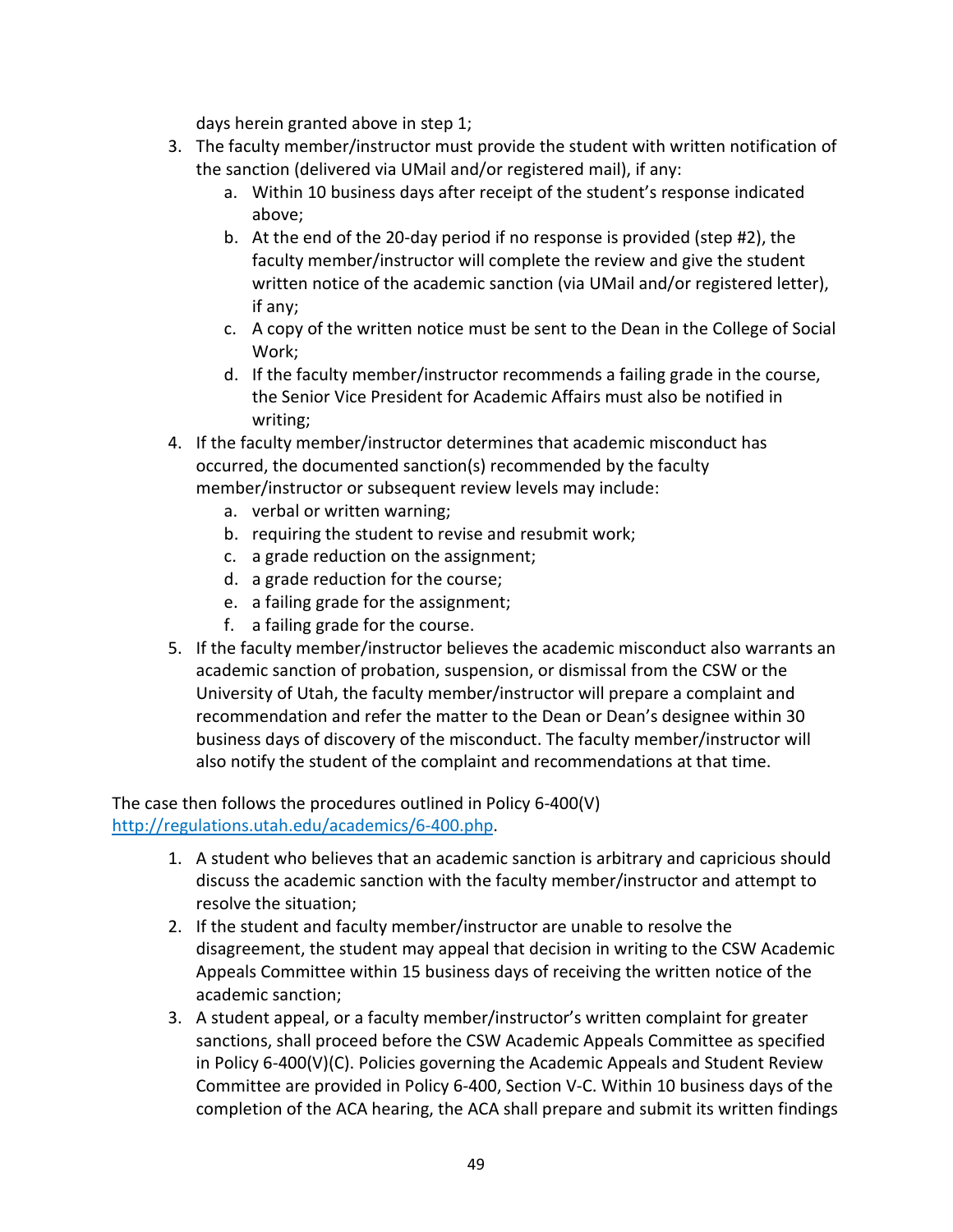days herein granted above in step 1;

- 3. The faculty member/instructor must provide the student with written notification of the sanction (delivered via UMail and/or registered mail), if any:
	- a. Within 10 business days after receipt of the student's response indicated above;
	- b. At the end of the 20-day period if no response is provided (step #2), the faculty member/instructor will complete the review and give the student written notice of the academic sanction (via UMail and/or registered letter), if any;
	- c. A copy of the written notice must be sent to the Dean in the College of Social Work;
	- d. If the faculty member/instructor recommends a failing grade in the course, the Senior Vice President for Academic Affairs must also be notified in writing;
- 4. If the faculty member/instructor determines that academic misconduct has occurred, the documented sanction(s) recommended by the faculty member/instructor or subsequent review levels may include:
	- a. verbal or written warning;
	- b. requiring the student to revise and resubmit work;
	- c. a grade reduction on the assignment;
	- d. a grade reduction for the course;
	- e. a failing grade for the assignment;
	- f. a failing grade for the course.
- 5. If the faculty member/instructor believes the academic misconduct also warrants an academic sanction of probation, suspension, or dismissal from the CSW or the University of Utah, the faculty member/instructor will prepare a complaint and recommendation and refer the matter to the Dean or Dean's designee within 30 business days of discovery of the misconduct. The faculty member/instructor will also notify the student of the complaint and recommendations at that time.

The case then follows the procedures outlined in Policy 6-400(V) [http://regulations.utah.edu/academics/6-400.php.](http://regulations.utah.edu/academics/6-400.php)

- 1. A student who believes that an academic sanction is arbitrary and capricious should discuss the academic sanction with the faculty member/instructor and attempt to resolve the situation;
- 2. If the student and faculty member/instructor are unable to resolve the disagreement, the student may appeal that decision in writing to the CSW Academic Appeals Committee within 15 business days of receiving the written notice of the academic sanction;
- 3. A student appeal, or a faculty member/instructor's written complaint for greater sanctions, shall proceed before the CSW Academic Appeals Committee as specified in Policy 6-400(V)(C). Policies governing the Academic Appeals and Student Review Committee are provided in Policy 6-400, Section V-C. Within 10 business days of the completion of the ACA hearing, the ACA shall prepare and submit its written findings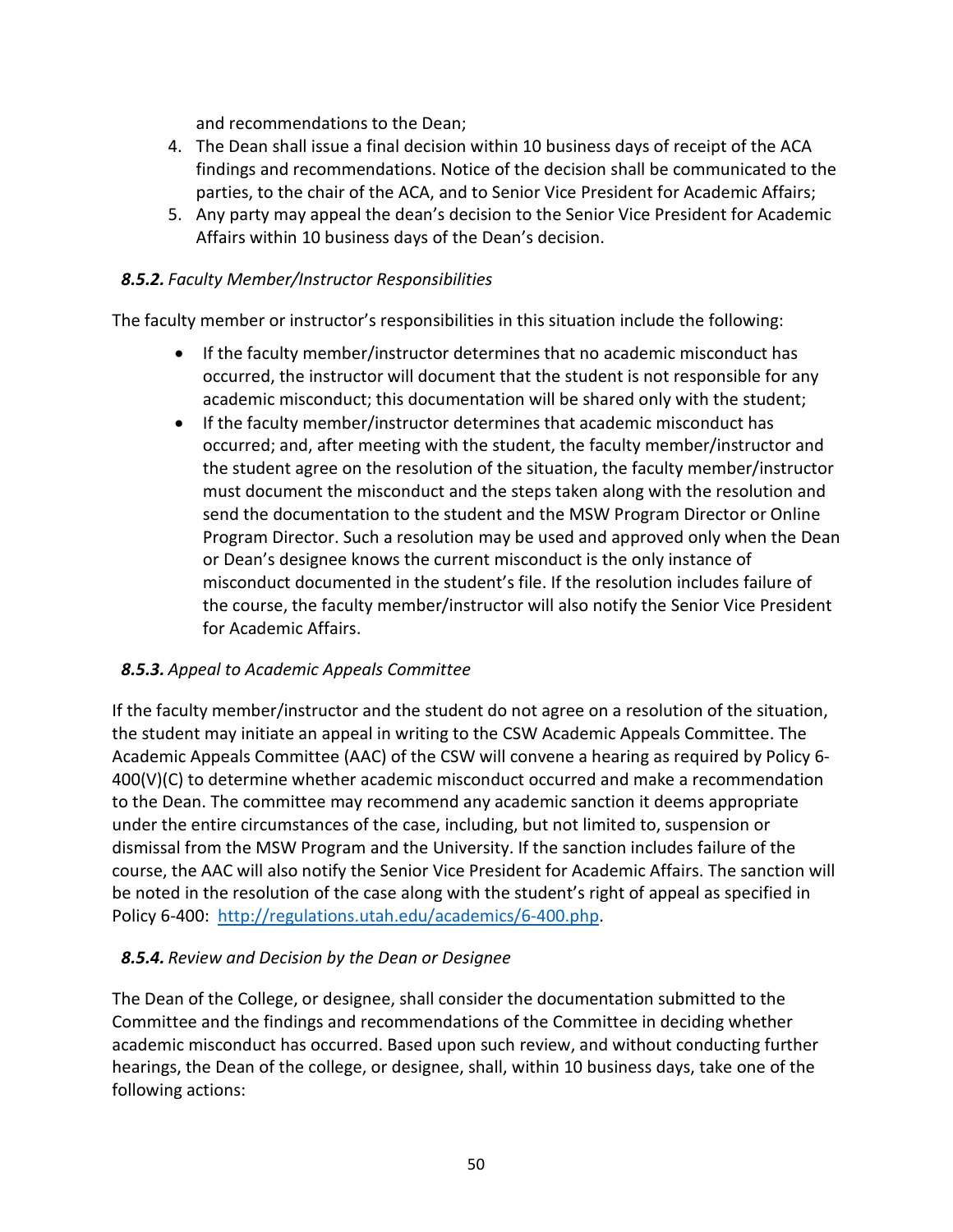and recommendations to the Dean;

- 4. The Dean shall issue a final decision within 10 business days of receipt of the ACA findings and recommendations. Notice of the decision shall be communicated to the parties, to the chair of the ACA, and to Senior Vice President for Academic Affairs;
- 5. Any party may appeal the dean's decision to the Senior Vice President for Academic Affairs within 10 business days of the Dean's decision.

### <span id="page-50-0"></span>*8.5.2. Faculty Member/Instructor Responsibilities*

The faculty member or instructor's responsibilities in this situation include the following:

- If the faculty member/instructor determines that no academic misconduct has occurred, the instructor will document that the student is not responsible for any academic misconduct; this documentation will be shared only with the student;
- If the faculty member/instructor determines that academic misconduct has occurred; and, after meeting with the student, the faculty member/instructor and the student agree on the resolution of the situation, the faculty member/instructor must document the misconduct and the steps taken along with the resolution and send the documentation to the student and the MSW Program Director or Online Program Director. Such a resolution may be used and approved only when the Dean or Dean's designee knows the current misconduct is the only instance of misconduct documented in the student's file. If the resolution includes failure of the course, the faculty member/instructor will also notify the Senior Vice President for Academic Affairs.

### <span id="page-50-1"></span>*8.5.3. Appeal to Academic Appeals Committee*

If the faculty member/instructor and the student do not agree on a resolution of the situation, the student may initiate an appeal in writing to the CSW Academic Appeals Committee. The Academic Appeals Committee (AAC) of the CSW will convene a hearing as required by Policy 6- 400(V)(C) to determine whether academic misconduct occurred and make a recommendation to the Dean. The committee may recommend any academic sanction it deems appropriate under the entire circumstances of the case, including, but not limited to, suspension or dismissal from the MSW Program and the University. If the sanction includes failure of the course, the AAC will also notify the Senior Vice President for Academic Affairs. The sanction will be noted in the resolution of the case along with the student's right of appeal as specified in Policy 6-400: [http://regulations.utah.edu/academics/6-400.php.](http://regulations.utah.edu/academics/6-400.php)

### <span id="page-50-2"></span>*8.5.4. Review and Decision by the Dean or Designee*

The Dean of the College, or designee, shall consider the documentation submitted to the Committee and the findings and recommendations of the Committee in deciding whether academic misconduct has occurred. Based upon such review, and without conducting further hearings, the Dean of the college, or designee, shall, within 10 business days, take one of the following actions: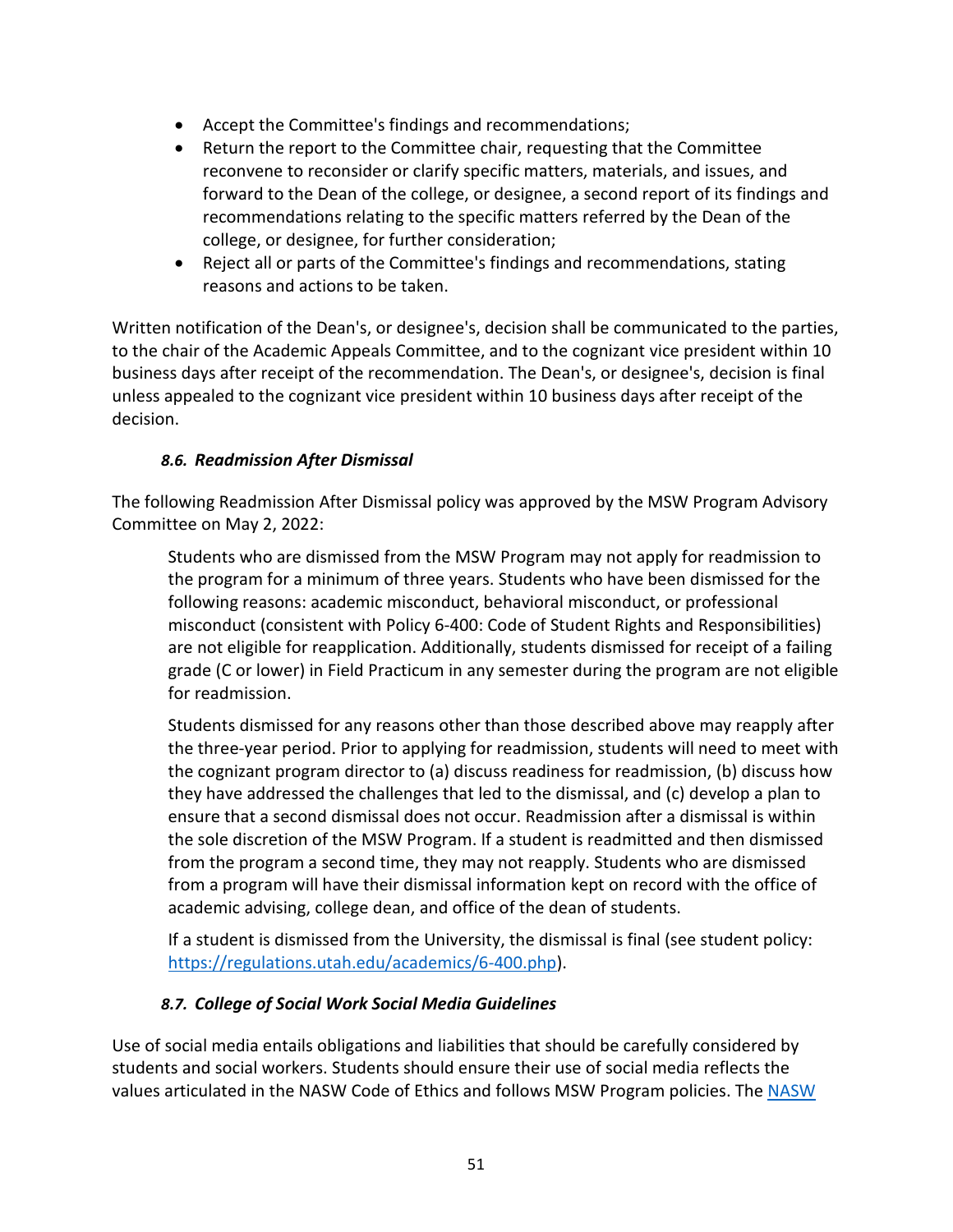- Accept the Committee's findings and recommendations;
- Return the report to the Committee chair, requesting that the Committee reconvene to reconsider or clarify specific matters, materials, and issues, and forward to the Dean of the college, or designee, a second report of its findings and recommendations relating to the specific matters referred by the Dean of the college, or designee, for further consideration;
- Reject all or parts of the Committee's findings and recommendations, stating reasons and actions to be taken.

Written notification of the Dean's, or designee's, decision shall be communicated to the parties, to the chair of the Academic Appeals Committee, and to the cognizant vice president within 10 business days after receipt of the recommendation. The Dean's, or designee's, decision is final unless appealed to the cognizant vice president within 10 business days after receipt of the decision.

### <span id="page-51-0"></span>*8.6. Readmission After Dismissal*

The following Readmission After Dismissal policy was approved by the MSW Program Advisory Committee on May 2, 2022:

Students who are dismissed from the MSW Program may not apply for readmission to the program for a minimum of three years. Students who have been dismissed for the following reasons: academic misconduct, behavioral misconduct, or professional misconduct (consistent with Policy 6-400: Code of Student Rights and Responsibilities) are not eligible for reapplication. Additionally, students dismissed for receipt of a failing grade (C or lower) in Field Practicum in any semester during the program are not eligible for readmission.

Students dismissed for any reasons other than those described above may reapply after the three-year period. Prior to applying for readmission, students will need to meet with the cognizant program director to (a) discuss readiness for readmission, (b) discuss how they have addressed the challenges that led to the dismissal, and (c) develop a plan to ensure that a second dismissal does not occur. Readmission after a dismissal is within the sole discretion of the MSW Program. If a student is readmitted and then dismissed from the program a second time, they may not reapply. Students who are dismissed from a program will have their dismissal information kept on record with the office of academic advising, college dean, and office of the dean of students.

If a student is dismissed from the University, the dismissal is final (see student policy: [https://regulations.utah.edu/academics/6-400.php\)](https://regulations.utah.edu/academics/6-400.php).

### *8.7. College of Social Work Social Media Guidelines*

<span id="page-51-1"></span>Use of social media entails obligations and liabilities that should be carefully considered by students and social workers. Students should ensure their use of social media reflects the values articulated in the [NASW Code of Ethics](https://www.socialworkers.org/About/Ethics/Code-of-Ethics/Code-of-Ethics-English) and follows MSW Program policies. The [NASW](https://www.socialworkers.org/About/Ethics/Code-of-Ethics)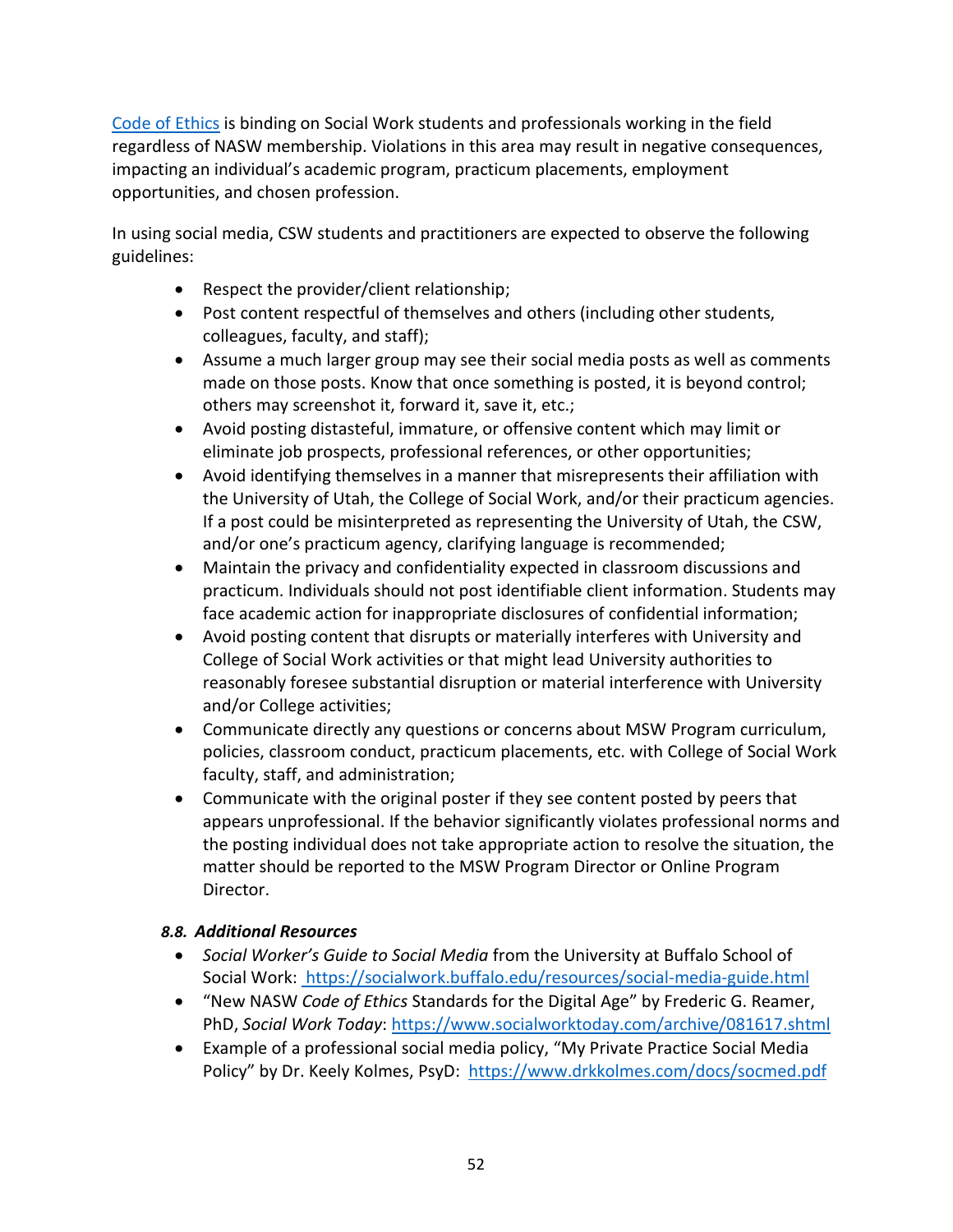[Code of Ethics](https://www.socialworkers.org/About/Ethics/Code-of-Ethics) is binding on Social Work students and professionals working in the field regardless of NASW membership. Violations in this area may result in negative consequences, impacting an individual's academic program, practicum placements, employment opportunities, and chosen profession.

In using social media, CSW students and practitioners are expected to observe the following guidelines:

- Respect the provider/client relationship;
- Post content respectful of themselves and others (including other students, colleagues, faculty, and staff);
- Assume a much larger group may see their social media posts as well as comments made on those posts. Know that once something is posted, it is beyond control; others may screenshot it, forward it, save it, etc.;
- Avoid posting distasteful, immature, or offensive content which may limit or eliminate job prospects, professional references, or other opportunities;
- Avoid identifying themselves in a manner that misrepresents their affiliation with the University of Utah, the College of Social Work, and/or their practicum agencies. If a post could be misinterpreted as representing the University of Utah, the CSW, and/or one's practicum agency, clarifying language is recommended;
- Maintain the privacy and confidentiality expected in classroom discussions and practicum. Individuals should not post identifiable client information. Students may face academic action for inappropriate disclosures of confidential information;
- Avoid posting content that disrupts or materially interferes with University and College of Social Work activities or that might lead University authorities to reasonably foresee substantial disruption or material interference with University and/or College activities;
- Communicate directly any questions or concerns about MSW Program curriculum, policies, classroom conduct, practicum placements, etc. with College of Social Work faculty, staff, and administration;
- Communicate with the original poster if they see content posted by peers that appears unprofessional. If the behavior significantly violates professional norms and the posting individual does not take appropriate action to resolve the situation, the matter should be reported to the MSW Program Director or Online Program Director.

### <span id="page-52-0"></span>*8.8. Additional Resources*

- *Social Worker's Guide to Social Media* from the University at Buffalo School of Social Work: <https://socialwork.buffalo.edu/resources/social-media-guide.html>
- "New NASW *Code of Ethics* Standards for the Digital Age" by Frederic G. Reamer, PhD, *Social Work Today*:<https://www.socialworktoday.com/archive/081617.shtml>
- Example of a professional social media policy, "My Private Practice Social Media Policy" by Dr. Keely Kolmes, PsyD: <https://www.drkkolmes.com/docs/socmed.pdf>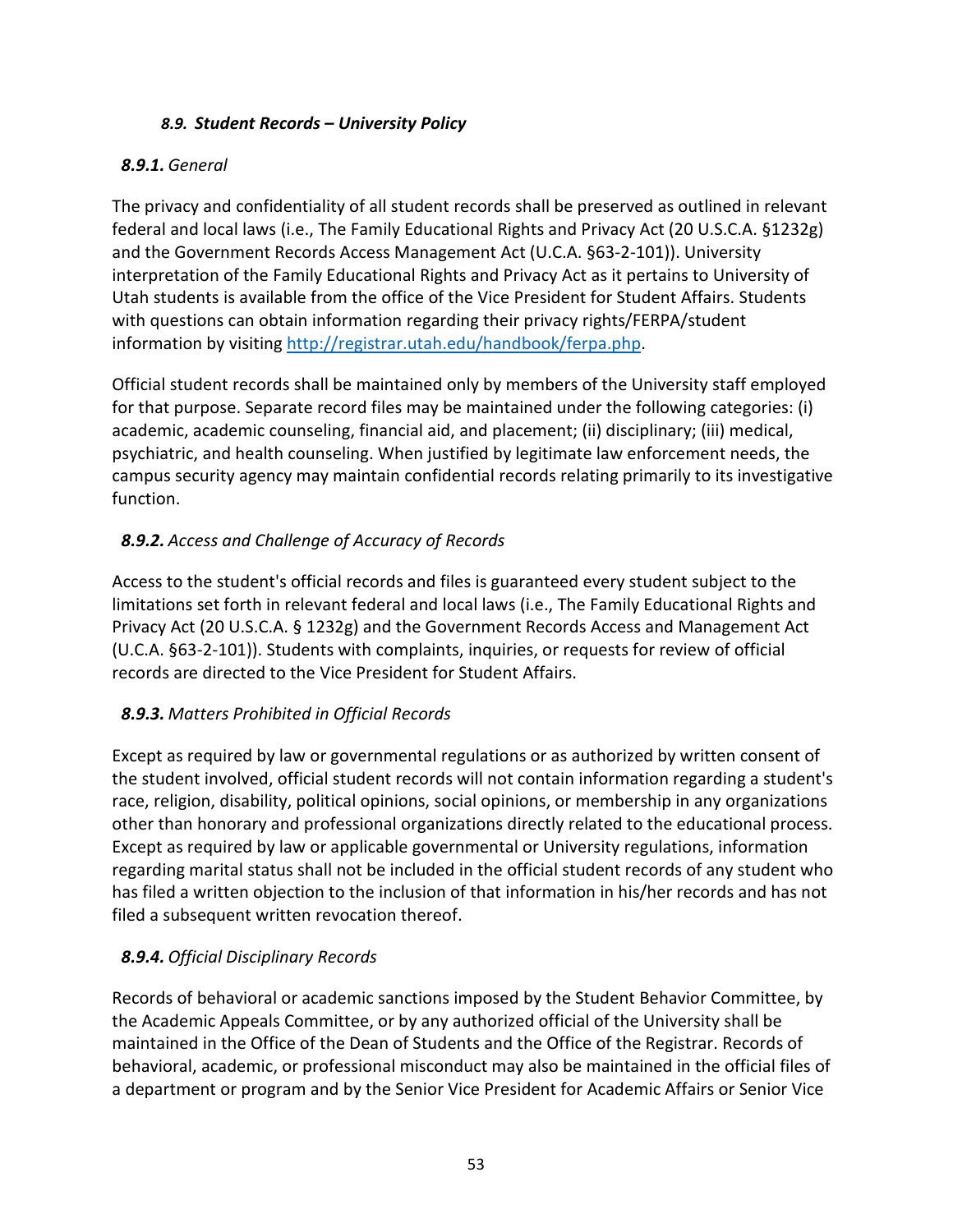### *8.9. Student Records – University Policy*

### <span id="page-53-1"></span><span id="page-53-0"></span>*8.9.1. General*

The privacy and confidentiality of all student records shall be preserved as outlined in relevant federal and local laws (i.e., The Family Educational Rights and Privacy Act (20 U.S.C.A. §1232g) and the Government Records Access Management Act (U.C.A. §63-2-101)). University interpretation of the Family Educational Rights and Privacy Act as it pertains to University of Utah students is available from the office of the Vice President for Student Affairs. Students with questions can obtain information regarding their privacy rights/FERPA/student information by visiting [http://registrar.utah.edu/handbook/ferpa.php.](http://registrar.utah.edu/handbook/ferpa.php)

Official student records shall be maintained only by members of the University staff employed for that purpose. Separate record files may be maintained under the following categories: (i) academic, academic counseling, financial aid, and placement; (ii) disciplinary; (iii) medical, psychiatric, and health counseling. When justified by legitimate law enforcement needs, the campus security agency may maintain confidential records relating primarily to its investigative function.

# <span id="page-53-2"></span>*8.9.2. Access and Challenge of Accuracy of Records*

Access to the student's official records and files is guaranteed every student subject to the limitations set forth in relevant federal and local laws (i.e., The Family Educational Rights and Privacy Act (20 U.S.C.A. § 1232g) and the Government Records Access and Management Act (U.C.A. §63-2-101)). Students with complaints, inquiries, or requests for review of official records are directed to the Vice President for Student Affairs.

# <span id="page-53-3"></span>*8.9.3. Matters Prohibited in Official Records*

Except as required by law or governmental regulations or as authorized by written consent of the student involved, official student records will not contain information regarding a student's race, religion, disability, political opinions, social opinions, or membership in any organizations other than honorary and professional organizations directly related to the educational process. Except as required by law or applicable governmental or University regulations, information regarding marital status shall not be included in the official student records of any student who has filed a written objection to the inclusion of that information in his/her records and has not filed a subsequent written revocation thereof.

# <span id="page-53-4"></span>*8.9.4. Official Disciplinary Records*

Records of behavioral or academic sanctions imposed by the Student Behavior Committee, by the Academic Appeals Committee, or by any authorized official of the University shall be maintained in the Office of the Dean of Students and the Office of the Registrar. Records of behavioral, academic, or professional misconduct may also be maintained in the official files of a department or program and by the Senior Vice President for Academic Affairs or Senior Vice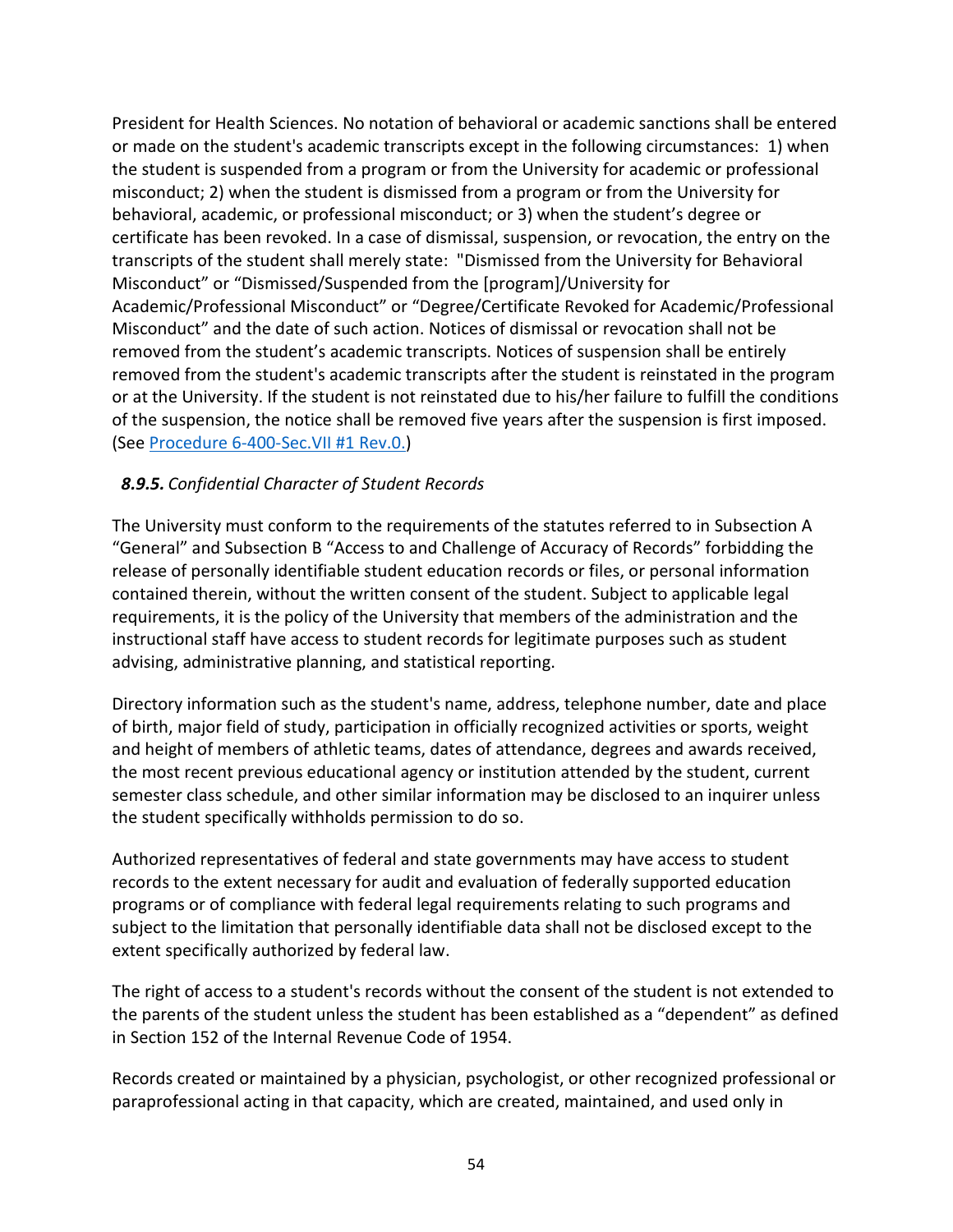President for Health Sciences. No notation of behavioral or academic sanctions shall be entered or made on the student's academic transcripts except in the following circumstances: 1) when the student is suspended from a program or from the University for academic or professional misconduct; 2) when the student is dismissed from a program or from the University for behavioral, academic, or professional misconduct; or 3) when the student's degree or certificate has been revoked. In a case of dismissal, suspension, or revocation, the entry on the transcripts of the student shall merely state: "Dismissed from the University for Behavioral Misconduct" or "Dismissed/Suspended from the [program]/University for Academic/Professional Misconduct" or "Degree/Certificate Revoked for Academic/Professional Misconduct" and the date of such action. Notices of dismissal or revocation shall not be removed from the student's academic transcripts. Notices of suspension shall be entirely removed from the student's academic transcripts after the student is reinstated in the program or at the University. If the student is not reinstated due to his/her failure to fulfill the conditions of the suspension, the notice shall be removed five years after the suspension is first imposed. (See [Procedure 6-400-Sec.VII #1 Rev.0.\)](http://www.regulations.utah.edu/academics/procedures/6-400-sec7_1r0.html)

### <span id="page-54-0"></span>*8.9.5. Confidential Character of Student Records*

The University must conform to the requirements of the statutes referred to in Subsection A "General" and Subsection B "Access to and Challenge of Accuracy of Records" forbidding the release of personally identifiable student education records or files, or personal information contained therein, without the written consent of the student. Subject to applicable legal requirements, it is the policy of the University that members of the administration and the instructional staff have access to student records for legitimate purposes such as student advising, administrative planning, and statistical reporting.

Directory information such as the student's name, address, telephone number, date and place of birth, major field of study, participation in officially recognized activities or sports, weight and height of members of athletic teams, dates of attendance, degrees and awards received, the most recent previous educational agency or institution attended by the student, current semester class schedule, and other similar information may be disclosed to an inquirer unless the student specifically withholds permission to do so.

Authorized representatives of federal and state governments may have access to student records to the extent necessary for audit and evaluation of federally supported education programs or of compliance with federal legal requirements relating to such programs and subject to the limitation that personally identifiable data shall not be disclosed except to the extent specifically authorized by federal law.

The right of access to a student's records without the consent of the student is not extended to the parents of the student unless the student has been established as a "dependent" as defined in Section 152 of the Internal Revenue Code of 1954.

Records created or maintained by a physician, psychologist, or other recognized professional or paraprofessional acting in that capacity, which are created, maintained, and used only in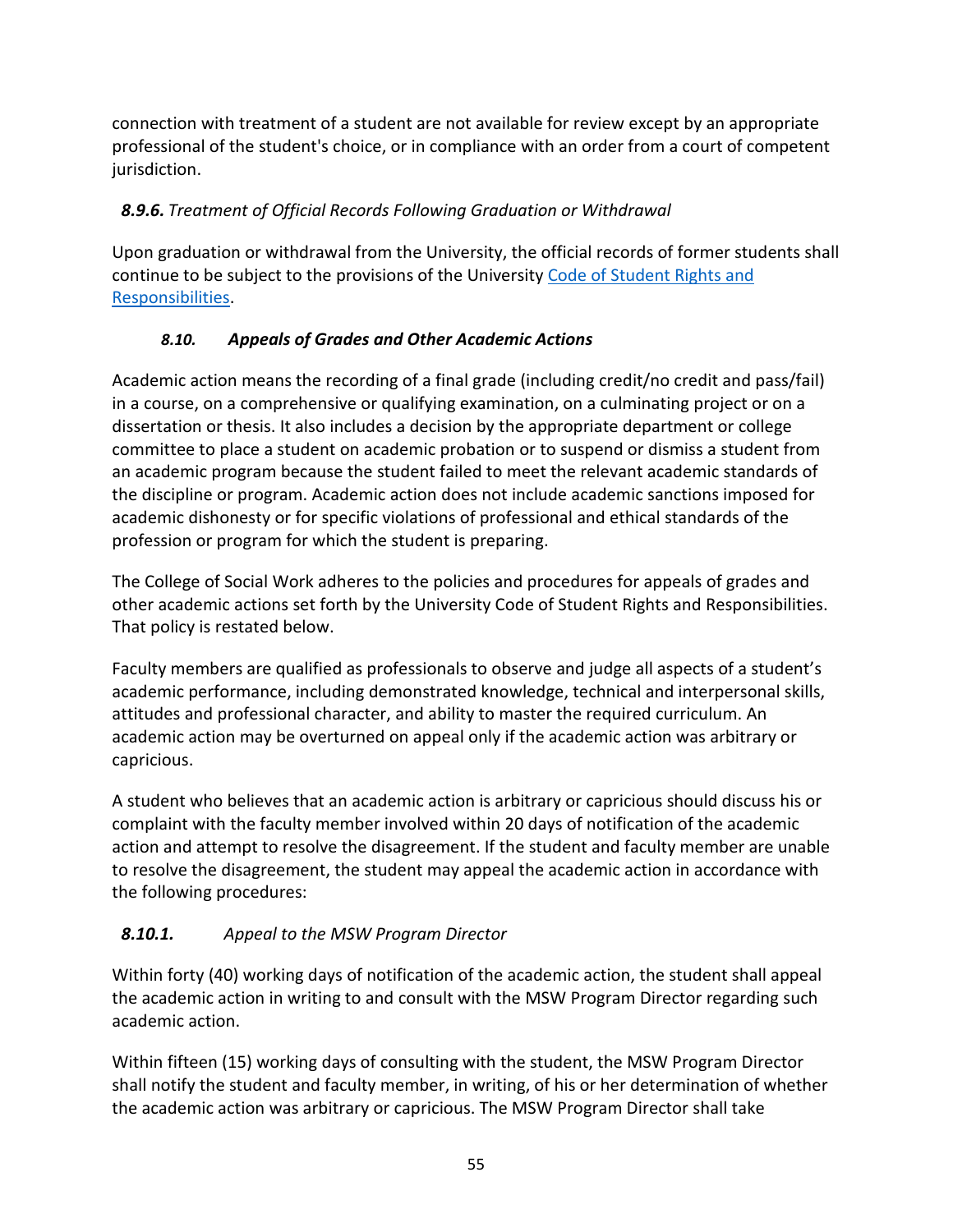connection with treatment of a student are not available for review except by an appropriate professional of the student's choice, or in compliance with an order from a court of competent jurisdiction.

# <span id="page-55-0"></span>*8.9.6. Treatment of Official Records Following Graduation or Withdrawal*

Upon graduation or withdrawal from the University, the official records of former students shall continue to be subject to the provisions of the University [Code of Student Rights and](http://regulations.utah.edu/academics/6-400.php)  [Responsibilities.](http://regulations.utah.edu/academics/6-400.php)

# <span id="page-55-1"></span>*8.10. Appeals of Grades and Other Academic Actions*

Academic action means the recording of a final grade (including credit/no credit and pass/fail) in a course, on a comprehensive or qualifying examination, on a culminating project or on a dissertation or thesis. It also includes a decision by the appropriate department or college committee to place a student on academic probation or to suspend or dismiss a student from an academic program because the student failed to meet the relevant academic standards of the discipline or program. Academic action does not include academic sanctions imposed for academic dishonesty or for specific violations of professional and ethical standards of the profession or program for which the student is preparing.

The College of Social Work adheres to the policies and procedures for appeals of grades and other academic actions set forth by the [University Code of Student Rights and Responsibilities.](http://regulations.utah.edu/academics/6-400.php) That policy is restated below.

Faculty members are qualified as professionals to observe and judge all aspects of a student's academic performance, including demonstrated knowledge, technical and interpersonal skills, attitudes and professional character, and ability to master the required curriculum. An academic action may be overturned on appeal only if the academic action was arbitrary or capricious.

A student who believes that an academic action is arbitrary or capricious should discuss his or complaint with the faculty member involved within 20 days of notification of the academic action and attempt to resolve the disagreement. If the student and faculty member are unable to resolve the disagreement, the student may appeal the academic action in accordance with the following procedures:

# <span id="page-55-2"></span>*8.10.1. Appeal to the MSW Program Director*

Within forty (40) working days of notification of the academic action, the student shall appeal the academic action in writing to and consult with the MSW Program Director regarding such academic action.

Within fifteen (15) working days of consulting with the student, the MSW Program Director shall notify the student and faculty member, in writing, of his or her determination of whether the academic action was arbitrary or capricious. The MSW Program Director shall take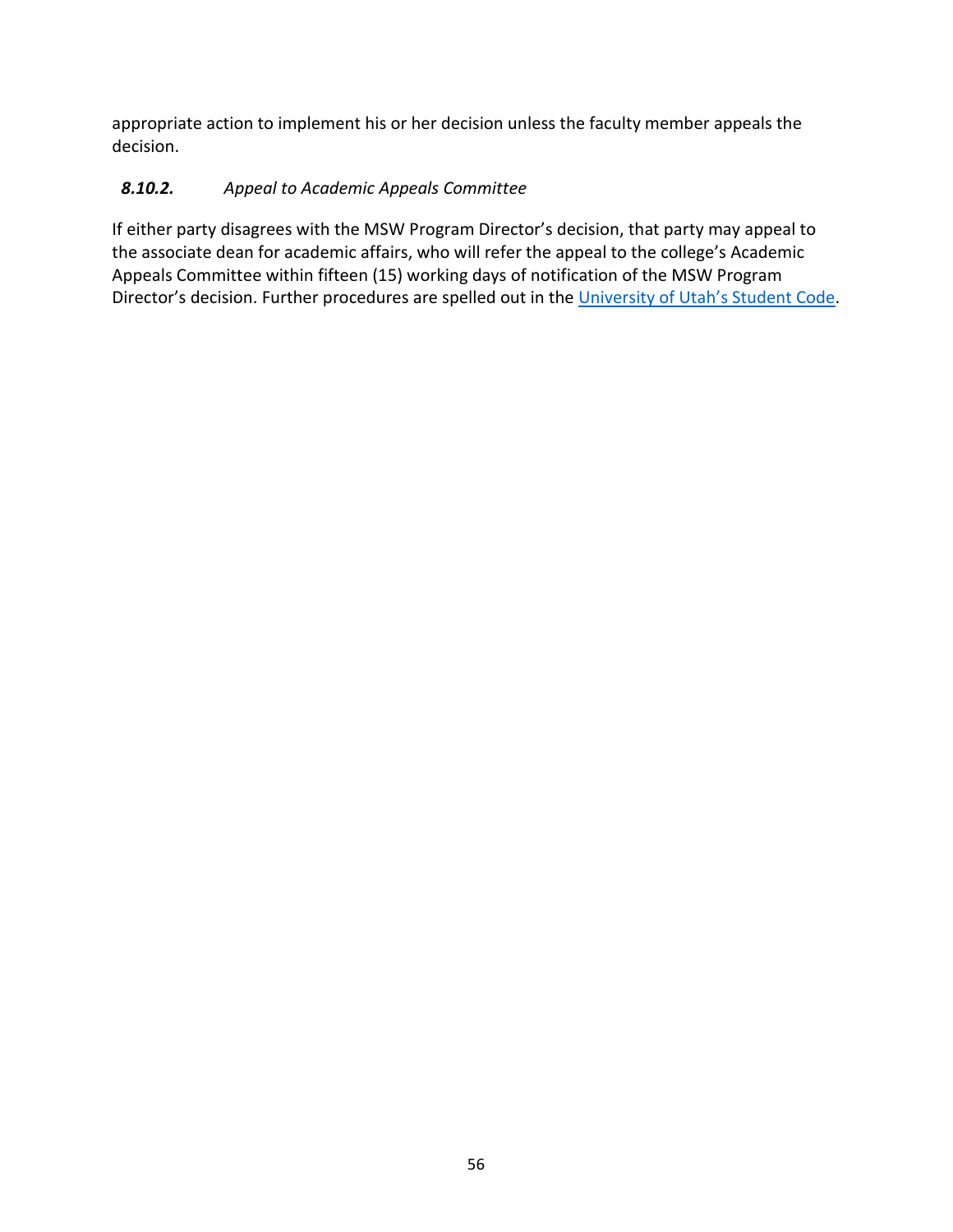appropriate action to implement his or her decision unless the faculty member appeals the decision.

# <span id="page-56-0"></span>*8.10.2. Appeal to Academic Appeals Committee*

If either party disagrees with the MSW Program Director's decision, that party may appeal to the associate dean for academic affairs, who will refer the appeal to the college's Academic Appeals Committee within fifteen (15) working days of notification of the MSW Program Director's decision. Further procedures are spelled out in the [University of Utah's Student Code.](http://regulations.utah.edu/academics/6-400.php)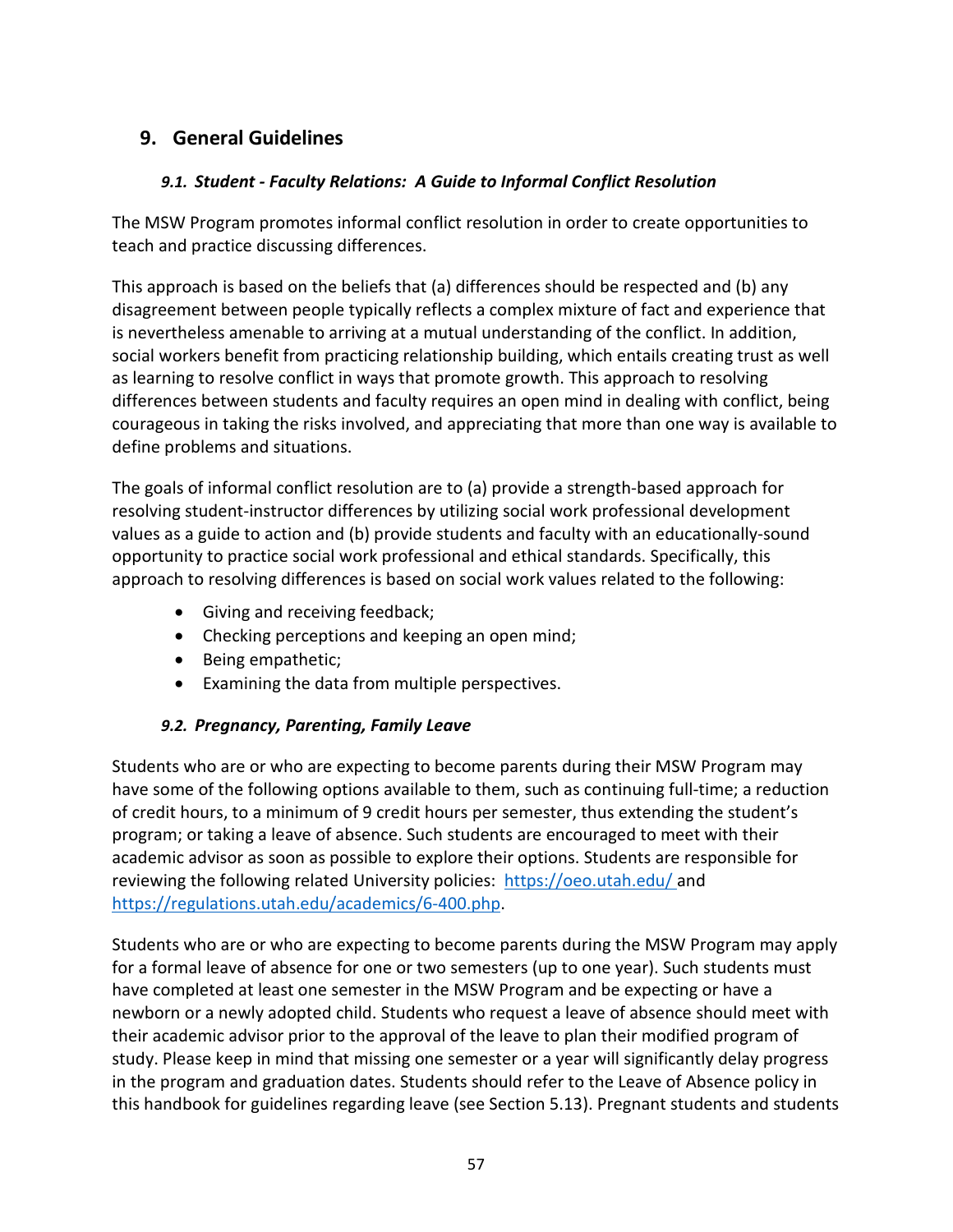# <span id="page-57-1"></span><span id="page-57-0"></span>**9. General Guidelines**

### *9.1. Student - Faculty Relations: A Guide to Informal Conflict Resolution*

The MSW Program promotes informal conflict resolution in order to create opportunities to teach and practice discussing differences.

This approach is based on the beliefs that (a) differences should be respected and (b) any disagreement between people typically reflects a complex mixture of fact and experience that is nevertheless amenable to arriving at a mutual understanding of the conflict. In addition, social workers benefit from practicing relationship building, which entails creating trust as well as learning to resolve conflict in ways that promote growth. This approach to resolving differences between students and faculty requires an open mind in dealing with conflict, being courageous in taking the risks involved, and appreciating that more than one way is available to define problems and situations.

The goals of informal conflict resolution are to (a) provide a strength-based approach for resolving student-instructor differences by utilizing social work professional development values as a guide to action and (b) provide students and faculty with an educationally-sound opportunity to practice social work professional and ethical standards. Specifically, this approach to resolving differences is based on social work values related to the following:

- Giving and receiving feedback;
- Checking perceptions and keeping an open mind;
- Being empathetic;
- Examining the data from multiple perspectives.

### <span id="page-57-2"></span>*9.2. Pregnancy, Parenting, Family Leave*

Students who are or who are expecting to become parents during their MSW Program may have some of the following options available to them, such as continuing full-time; a reduction of credit hours, to a minimum of 9 credit hours per semester, thus extending the student's program; or taking a leave of absence. Such students are encouraged to meet with their academic advisor as soon as possible to explore their options. Students are responsible for reviewing the following related University policies: <https://oeo.utah.edu/> and [https://regulations.utah.edu/academics/6-400.php.](https://regulations.utah.edu/academics/6-400.php)

Students who are or who are expecting to become parents during the MSW Program may apply for a [formal leave of absence](https://registrar.utah.edu/handbook/leave.php) for one or two semesters (up to one year). Such students must have completed at least one semester in the MSW Program and be expecting or have a newborn or a newly adopted child. Students who request a leave of absence should meet with their academic advisor prior to the approval of the leave to plan their modified program of study. Please keep in mind that missing one semester or a year will significantly delay progress in the program and graduation dates. Students should refer to the Leave of Absence policy in this handbook for guidelines regarding leave (see Section 5.13). Pregnant students and students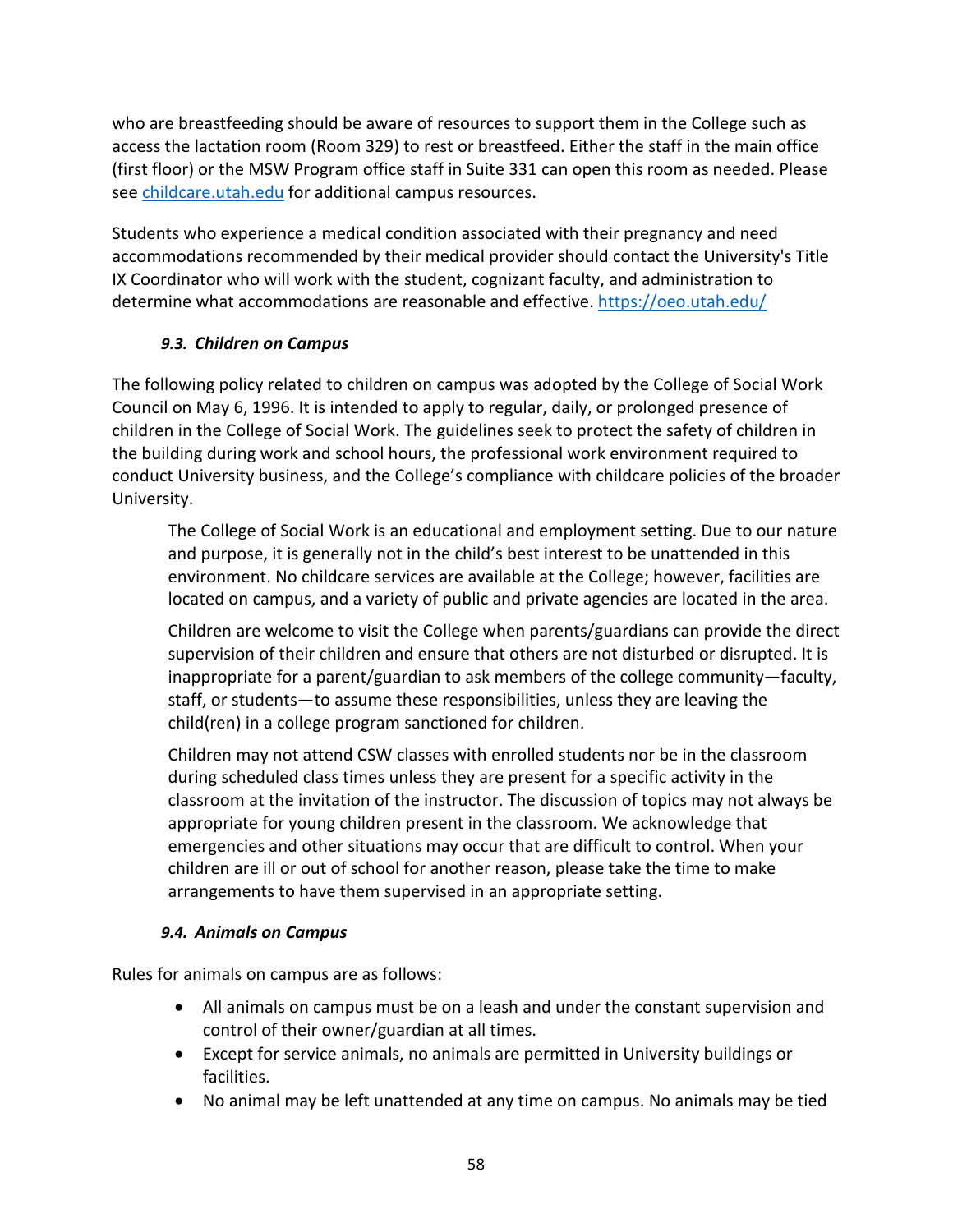who are breastfeeding should be aware of resources to support them in the College such as access the lactation room (Room 329) to rest or breastfeed. Either the staff in the main office (first floor) or the MSW Program office staff in Suite 331 can open this room as needed. Please see [childcare.utah.edu](http://www.childcare.utah.edu/) for additional campus resources.

Students who experience a medical condition associated with their pregnancy and need accommodations recommended by their medical provider should contact the University's Title IX Coordinator who will work with the student, cognizant faculty, and administration to determine what accommodations are reasonable and effective. <https://oeo.utah.edu/>

# <span id="page-58-0"></span>*9.3. Children on Campus*

The following policy related to children on campus was adopted by the College of Social Work Council on May 6, 1996. It is intended to apply to regular, daily, or prolonged presence of children in the College of Social Work. The guidelines seek to protect the safety of children in the building during work and school hours, the professional work environment required to conduct University business, and the College's compliance with childcare policies of the broader University.

The College of Social Work is an educational and employment setting. Due to our nature and purpose, it is generally not in the child's best interest to be unattended in this environment. No childcare services are available at the College; however, facilities are located on campus, and a variety of public and private agencies are located in the area.

Children are welcome to visit the College when parents/guardians can provide the direct supervision of their children and ensure that others are not disturbed or disrupted. It is inappropriate for a parent/guardian to ask members of the college community—faculty, staff, or students—to assume these responsibilities, unless they are leaving the child(ren) in a college program sanctioned for children.

Children may not attend CSW classes with enrolled students nor be in the classroom during scheduled class times unless they are present for a specific activity in the classroom at the invitation of the instructor. The discussion of topics may not always be appropriate for young children present in the classroom. We acknowledge that emergencies and other situations may occur that are difficult to control. When your children are ill or out of school for another reason, please take the time to make arrangements to have them supervised in an appropriate setting.

### *9.4. Animals on Campus*

<span id="page-58-1"></span>Rules for animals on campus are as follows:

- All animals on campus must be on a leash and under the constant supervision and control of their owner/guardian at all times.
- Except for service animals, no animals are permitted in University buildings or facilities.
- No animal may be left unattended at any time on campus. No animals may be tied